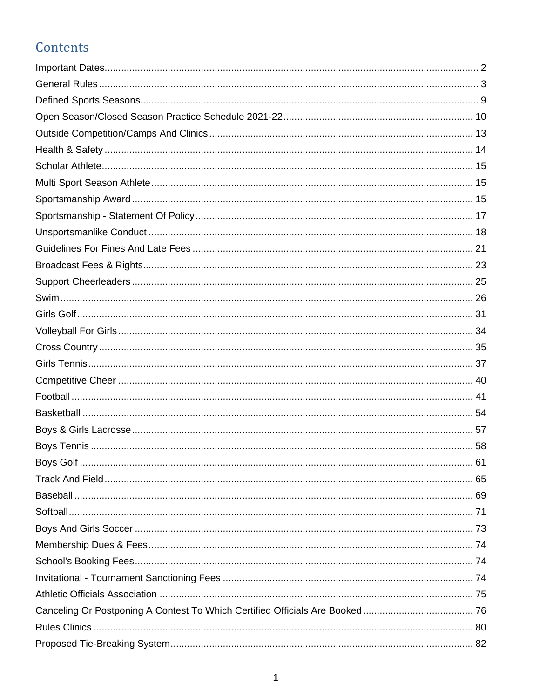# Contents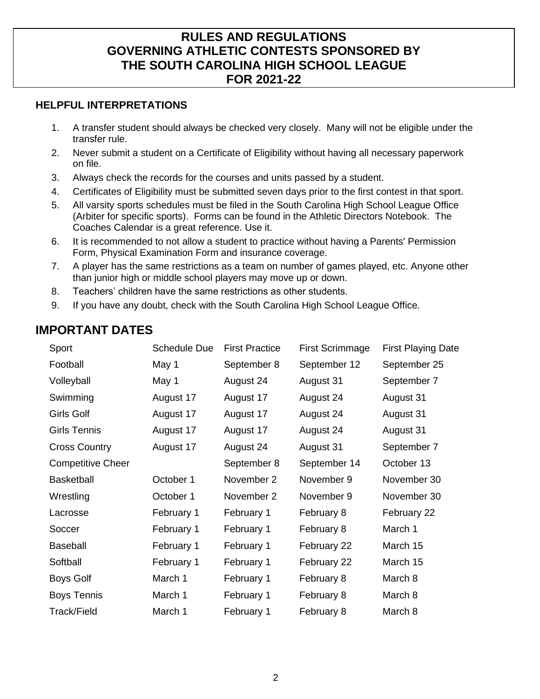### **RULES AND REGULATIONS GOVERNING ATHLETIC CONTESTS SPONSORED BY THE SOUTH CAROLINA HIGH SCHOOL LEAGUE FOR 2021-22**

#### **HELPFUL INTERPRETATIONS**

- 1. A transfer student should always be checked very closely. Many will not be eligible under the transfer rule.
- 2. Never submit a student on a Certificate of Eligibility without having all necessary paperwork on file.
- 3. Always check the records for the courses and units passed by a student.
- 4. Certificates of Eligibility must be submitted seven days prior to the first contest in that sport.
- 5. All varsity sports schedules must be filed in the South Carolina High School League Office (Arbiter for specific sports). Forms can be found in the Athletic Directors Notebook. The Coaches Calendar is a great reference. Use it.
- 6. It is recommended to not allow a student to practice without having a Parents' Permission Form, Physical Examination Form and insurance coverage.
- 7. A player has the same restrictions as a team on number of games played, etc. Anyone other than junior high or middle school players may move up or down.
- 8. Teachers' children have the same restrictions as other students.
- 9. If you have any doubt, check with the South Carolina High School League Office.

## <span id="page-1-0"></span>**IMPORTANT DATES**

| Sport                    | <b>Schedule Due</b> | <b>First Practice</b> | <b>First Scrimmage</b> | <b>First Playing Date</b> |
|--------------------------|---------------------|-----------------------|------------------------|---------------------------|
| Football                 | May 1               | September 8           | September 12           | September 25              |
| Volleyball               | May 1               | August 24             | August 31              | September 7               |
| Swimming                 | August 17           | August 17             | August 24              | August 31                 |
| <b>Girls Golf</b>        | August 17           | August 17             | August 24              | August 31                 |
| <b>Girls Tennis</b>      | August 17           | August 17             | August 24              | August 31                 |
| <b>Cross Country</b>     | August 17           | August 24             | August 31              | September 7               |
| <b>Competitive Cheer</b> |                     | September 8           | September 14           | October 13                |
| <b>Basketball</b>        | October 1           | November 2            | November 9             | November 30               |
| Wrestling                | October 1           | November 2            | November 9             | November 30               |
| Lacrosse                 | February 1          | February 1            | February 8             | February 22               |
| Soccer                   | February 1          | February 1            | February 8             | March 1                   |
| <b>Baseball</b>          | February 1          | February 1            | February 22            | March 15                  |
| Softball                 | February 1          | February 1            | February 22            | March 15                  |
| Boys Golf                | March 1             | February 1            | February 8             | March 8                   |
| <b>Boys Tennis</b>       | March 1             | February 1            | February 8             | March 8                   |
| Track/Field              | March 1             | February 1            | February 8             | March 8                   |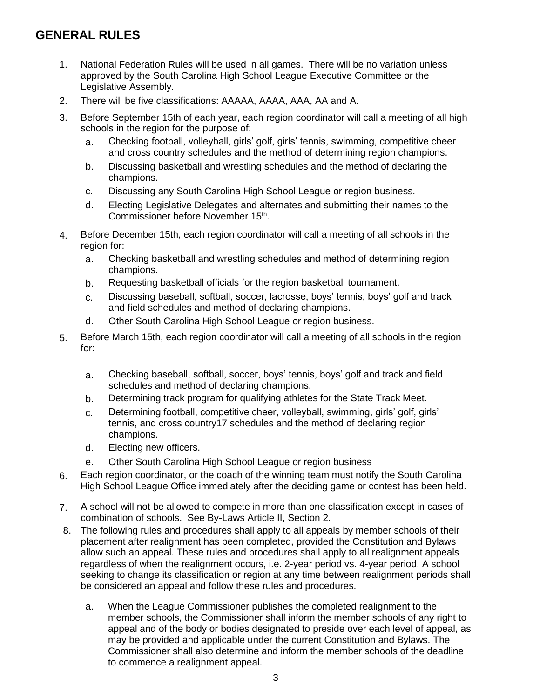# <span id="page-2-0"></span>**GENERAL RULES**

- 1. National Federation Rules will be used in all games. There will be no variation unless approved by the South Carolina High School League Executive Committee or the Legislative Assembly.
- 2. There will be five classifications: AAAAA, AAAA, AAA, AA and A.
- 3. Before September 15th of each year, each region coordinator will call a meeting of all high schools in the region for the purpose of:
	- a. Checking football, volleyball, girls' golf, girls' tennis, swimming, competitive cheer and cross country schedules and the method of determining region champions.
	- b. Discussing basketball and wrestling schedules and the method of declaring the champions.
	- c. Discussing any South Carolina High School League or region business.
	- d. Electing Legislative Delegates and alternates and submitting their names to the Commissioner before November 15<sup>th</sup>.
- 4. Before December 15th, each region coordinator will call a meeting of all schools in the region for:
	- a. Checking basketball and wrestling schedules and method of determining region champions.
	- b. Requesting basketball officials for the region basketball tournament.
	- c. Discussing baseball, softball, soccer, lacrosse, boys' tennis, boys' golf and track and field schedules and method of declaring champions.
	- d. Other South Carolina High School League or region business.
- 5. Before March 15th, each region coordinator will call a meeting of all schools in the region for:
	- a. Checking baseball, softball, soccer, boys' tennis, boys' golf and track and field schedules and method of declaring champions.
	- b. Determining track program for qualifying athletes for the State Track Meet.
	- c. Determining football, competitive cheer, volleyball, swimming, girls' golf, girls' tennis, and cross country17 schedules and the method of declaring region champions.
	- d. Electing new officers.
	- e. Other South Carolina High School League or region business
- 6. Each region coordinator, or the coach of the winning team must notify the South Carolina High School League Office immediately after the deciding game or contest has been held.
- 7. A school will not be allowed to compete in more than one classification except in cases of combination of schools. See By-Laws Article II, Section 2.
- 8. The following rules and procedures shall apply to all appeals by member schools of their placement after realignment has been completed, provided the Constitution and Bylaws allow such an appeal. These rules and procedures shall apply to all realignment appeals regardless of when the realignment occurs, i.e. 2-year period vs. 4-year period. A school seeking to change its classification or region at any time between realignment periods shall be considered an appeal and follow these rules and procedures.
	- a. When the League Commissioner publishes the completed realignment to the member schools, the Commissioner shall inform the member schools of any right to appeal and of the body or bodies designated to preside over each level of appeal, as may be provided and applicable under the current Constitution and Bylaws. The Commissioner shall also determine and inform the member schools of the deadline to commence a realignment appeal.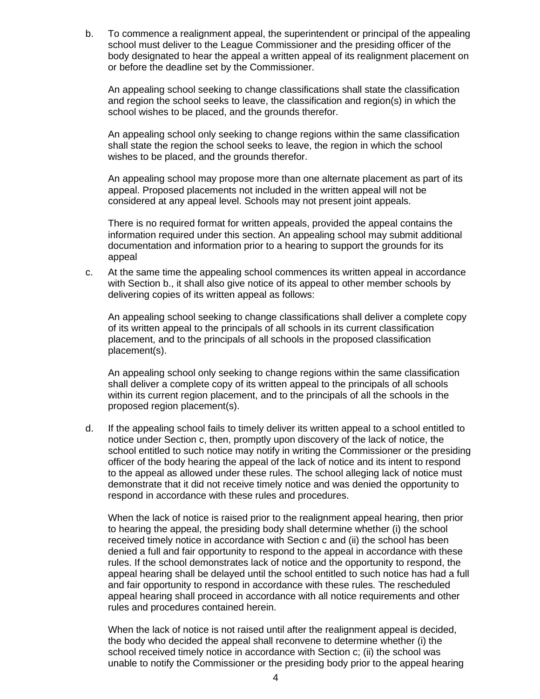b. To commence a realignment appeal, the superintendent or principal of the appealing school must deliver to the League Commissioner and the presiding officer of the body designated to hear the appeal a written appeal of its realignment placement on or before the deadline set by the Commissioner.

An appealing school seeking to change classifications shall state the classification and region the school seeks to leave, the classification and region(s) in which the school wishes to be placed, and the grounds therefor.

An appealing school only seeking to change regions within the same classification shall state the region the school seeks to leave, the region in which the school wishes to be placed, and the grounds therefor.

An appealing school may propose more than one alternate placement as part of its appeal. Proposed placements not included in the written appeal will not be considered at any appeal level. Schools may not present joint appeals.

There is no required format for written appeals, provided the appeal contains the information required under this section. An appealing school may submit additional documentation and information prior to a hearing to support the grounds for its appeal

c. At the same time the appealing school commences its written appeal in accordance with Section b., it shall also give notice of its appeal to other member schools by delivering copies of its written appeal as follows:

An appealing school seeking to change classifications shall deliver a complete copy of its written appeal to the principals of all schools in its current classification placement, and to the principals of all schools in the proposed classification placement(s).

An appealing school only seeking to change regions within the same classification shall deliver a complete copy of its written appeal to the principals of all schools within its current region placement, and to the principals of all the schools in the proposed region placement(s).

d. If the appealing school fails to timely deliver its written appeal to a school entitled to notice under Section c, then, promptly upon discovery of the lack of notice, the school entitled to such notice may notify in writing the Commissioner or the presiding officer of the body hearing the appeal of the lack of notice and its intent to respond to the appeal as allowed under these rules. The school alleging lack of notice must demonstrate that it did not receive timely notice and was denied the opportunity to respond in accordance with these rules and procedures.

When the lack of notice is raised prior to the realignment appeal hearing, then prior to hearing the appeal, the presiding body shall determine whether (i) the school received timely notice in accordance with Section c and (ii) the school has been denied a full and fair opportunity to respond to the appeal in accordance with these rules. If the school demonstrates lack of notice and the opportunity to respond, the appeal hearing shall be delayed until the school entitled to such notice has had a full and fair opportunity to respond in accordance with these rules. The rescheduled appeal hearing shall proceed in accordance with all notice requirements and other rules and procedures contained herein.

When the lack of notice is not raised until after the realignment appeal is decided, the body who decided the appeal shall reconvene to determine whether (i) the school received timely notice in accordance with Section c; (ii) the school was unable to notify the Commissioner or the presiding body prior to the appeal hearing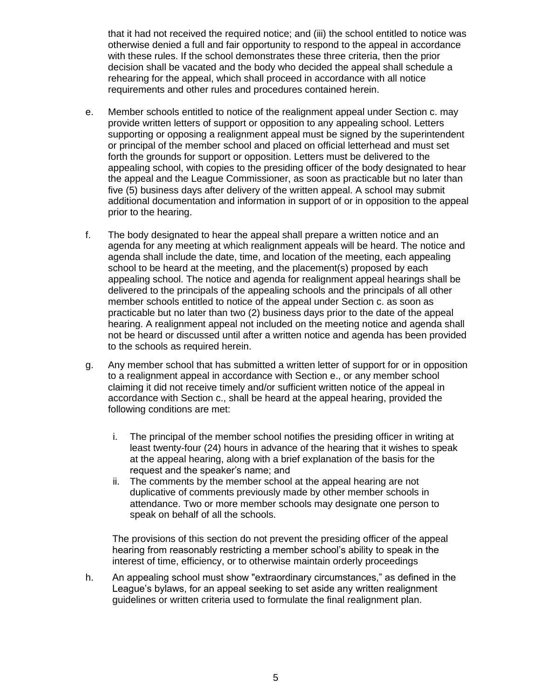that it had not received the required notice; and (iii) the school entitled to notice was otherwise denied a full and fair opportunity to respond to the appeal in accordance with these rules. If the school demonstrates these three criteria, then the prior decision shall be vacated and the body who decided the appeal shall schedule a rehearing for the appeal, which shall proceed in accordance with all notice requirements and other rules and procedures contained herein.

- e. Member schools entitled to notice of the realignment appeal under Section c. may provide written letters of support or opposition to any appealing school. Letters supporting or opposing a realignment appeal must be signed by the superintendent or principal of the member school and placed on official letterhead and must set forth the grounds for support or opposition. Letters must be delivered to the appealing school, with copies to the presiding officer of the body designated to hear the appeal and the League Commissioner, as soon as practicable but no later than five (5) business days after delivery of the written appeal. A school may submit additional documentation and information in support of or in opposition to the appeal prior to the hearing.
- f. The body designated to hear the appeal shall prepare a written notice and an agenda for any meeting at which realignment appeals will be heard. The notice and agenda shall include the date, time, and location of the meeting, each appealing school to be heard at the meeting, and the placement(s) proposed by each appealing school. The notice and agenda for realignment appeal hearings shall be delivered to the principals of the appealing schools and the principals of all other member schools entitled to notice of the appeal under Section c. as soon as practicable but no later than two (2) business days prior to the date of the appeal hearing. A realignment appeal not included on the meeting notice and agenda shall not be heard or discussed until after a written notice and agenda has been provided to the schools as required herein.
- g. Any member school that has submitted a written letter of support for or in opposition to a realignment appeal in accordance with Section e., or any member school claiming it did not receive timely and/or sufficient written notice of the appeal in accordance with Section c., shall be heard at the appeal hearing, provided the following conditions are met:
	- i. The principal of the member school notifies the presiding officer in writing at least twenty-four (24) hours in advance of the hearing that it wishes to speak at the appeal hearing, along with a brief explanation of the basis for the request and the speaker's name; and
	- ii. The comments by the member school at the appeal hearing are not duplicative of comments previously made by other member schools in attendance. Two or more member schools may designate one person to speak on behalf of all the schools.

The provisions of this section do not prevent the presiding officer of the appeal hearing from reasonably restricting a member school's ability to speak in the interest of time, efficiency, or to otherwise maintain orderly proceedings

h. An appealing school must show "extraordinary circumstances," as defined in the League's bylaws, for an appeal seeking to set aside any written realignment guidelines or written criteria used to formulate the final realignment plan.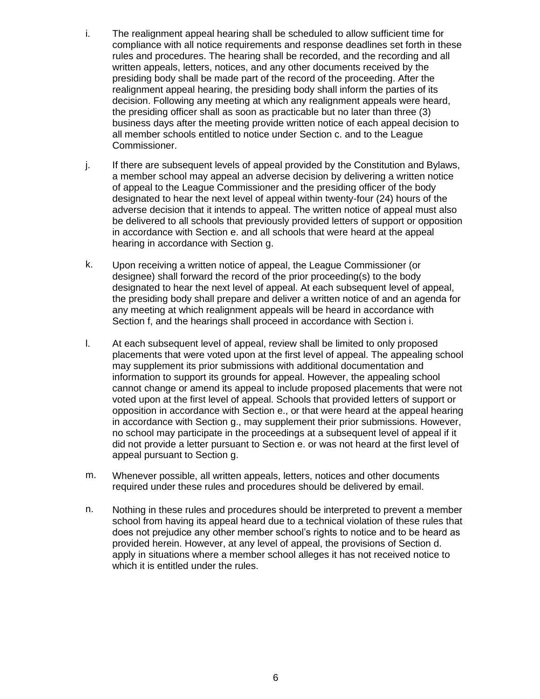- i. The realignment appeal hearing shall be scheduled to allow sufficient time for compliance with all notice requirements and response deadlines set forth in these rules and procedures. The hearing shall be recorded, and the recording and all written appeals, letters, notices, and any other documents received by the presiding body shall be made part of the record of the proceeding. After the realignment appeal hearing, the presiding body shall inform the parties of its decision. Following any meeting at which any realignment appeals were heard, the presiding officer shall as soon as practicable but no later than three (3) business days after the meeting provide written notice of each appeal decision to all member schools entitled to notice under Section c. and to the League Commissioner.
- j. If there are subsequent levels of appeal provided by the Constitution and Bylaws, a member school may appeal an adverse decision by delivering a written notice of appeal to the League Commissioner and the presiding officer of the body designated to hear the next level of appeal within twenty-four (24) hours of the adverse decision that it intends to appeal. The written notice of appeal must also be delivered to all schools that previously provided letters of support or opposition in accordance with Section e. and all schools that were heard at the appeal hearing in accordance with Section g.
- k. Upon receiving a written notice of appeal, the League Commissioner (or designee) shall forward the record of the prior proceeding(s) to the body designated to hear the next level of appeal. At each subsequent level of appeal, the presiding body shall prepare and deliver a written notice of and an agenda for any meeting at which realignment appeals will be heard in accordance with Section f, and the hearings shall proceed in accordance with Section i.
- l. At each subsequent level of appeal, review shall be limited to only proposed placements that were voted upon at the first level of appeal. The appealing school may supplement its prior submissions with additional documentation and information to support its grounds for appeal. However, the appealing school cannot change or amend its appeal to include proposed placements that were not voted upon at the first level of appeal. Schools that provided letters of support or opposition in accordance with Section e., or that were heard at the appeal hearing in accordance with Section g., may supplement their prior submissions. However, no school may participate in the proceedings at a subsequent level of appeal if it did not provide a letter pursuant to Section e. or was not heard at the first level of appeal pursuant to Section g.
- m. Whenever possible, all written appeals, letters, notices and other documents required under these rules and procedures should be delivered by email.
- n. Nothing in these rules and procedures should be interpreted to prevent a member school from having its appeal heard due to a technical violation of these rules that does not prejudice any other member school's rights to notice and to be heard as provided herein. However, at any level of appeal, the provisions of Section d. apply in situations where a member school alleges it has not received notice to which it is entitled under the rules.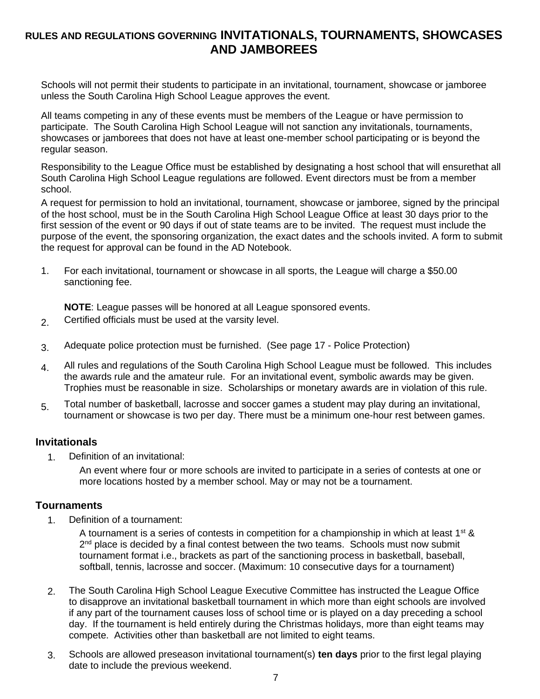## **RULES AND REGULATIONS GOVERNING INVITATIONALS, TOURNAMENTS, SHOWCASES AND JAMBOREES**

Schools will not permit their students to participate in an invitational, tournament, showcase or jamboree unless the South Carolina High School League approves the event.

All teams competing in any of these events must be members of the League or have permission to participate. The South Carolina High School League will not sanction any invitationals, tournaments, showcases or jamborees that does not have at least one-member school participating or is beyond the regular season.

Responsibility to the League Office must be established by designating a host school that will ensurethat all South Carolina High School League regulations are followed. Event directors must be from a member school.

A request for permission to hold an invitational, tournament, showcase or jamboree, signed by the principal of the host school, must be in the South Carolina High School League Office at least 30 days prior to the first session of the event or 90 days if out of state teams are to be invited. The request must include the purpose of the event, the sponsoring organization, the exact dates and the schools invited. A form to submit the request for approval can be found in the AD Notebook.

1. For each invitational, tournament or showcase in all sports, the League will charge a \$50.00 sanctioning fee.

**NOTE**: League passes will be honored at all League sponsored events.

- 2. Certified officials must be used at the varsity level.
- 3. Adequate police protection must be furnished. (See page 17 Police Protection)
- $4.$  All rules and regulations of the South Carolina High School League must be followed. This includes the awards rule and the amateur rule. For an invitational event, symbolic awards may be given. Trophies must be reasonable in size. Scholarships or monetary awards are in violation of this rule.
- 5. Total number of basketball, lacrosse and soccer games a student may play during an invitational, tournament or showcase is two per day. There must be a minimum one-hour rest between games.

#### **Invitationals**

1. Definition of an invitational:

An event where four or more schools are invited to participate in a series of contests at one or more locations hosted by a member school. May or may not be a tournament.

#### **Tournaments**

1. Definition of a tournament:

A tournament is a series of contests in competition for a championship in which at least  $1^{st}$  &  $2<sup>nd</sup>$  place is decided by a final contest between the two teams. Schools must now submit tournament format i.e., brackets as part of the sanctioning process in basketball, baseball, softball, tennis, lacrosse and soccer. (Maximum: 10 consecutive days for a tournament)

- 2. The South Carolina High School League Executive Committee has instructed the League Office to disapprove an invitational basketball tournament in which more than eight schools are involved if any part of the tournament causes loss of school time or is played on a day preceding a school day. If the tournament is held entirely during the Christmas holidays, more than eight teams may compete. Activities other than basketball are not limited to eight teams.
- 3. Schools are allowed preseason invitational tournament(s) **ten days** prior to the first legal playing date to include the previous weekend.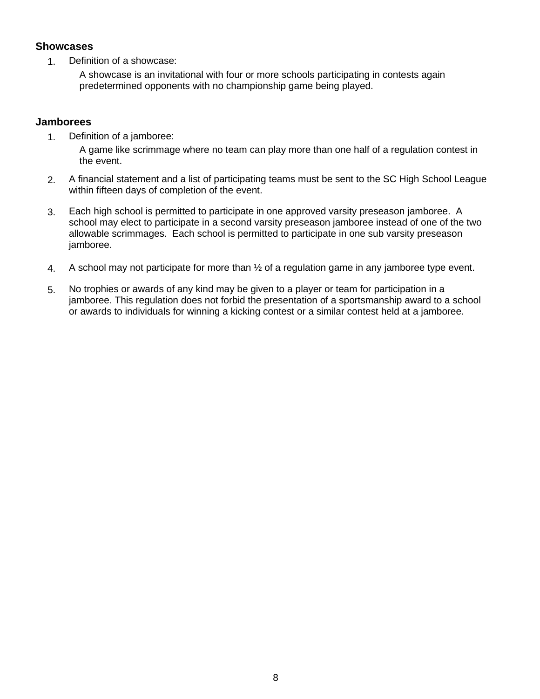#### **Showcases**

1. Definition of a showcase:

A showcase is an invitational with four or more schools participating in contests again predetermined opponents with no championship game being played.

### **Jamborees**

1. Definition of a jamboree:

A game like scrimmage where no team can play more than one half of a regulation contest in the event.

- 2. A financial statement and a list of participating teams must be sent to the SC High School League within fifteen days of completion of the event.
- 3. Each high school is permitted to participate in one approved varsity preseason jamboree. A school may elect to participate in a second varsity preseason jamboree instead of one of the two allowable scrimmages. Each school is permitted to participate in one sub varsity preseason jamboree.
- 4. A school may not participate for more than ½ of a regulation game in any jamboree type event.
- 5. No trophies or awards of any kind may be given to a player or team for participation in a jamboree. This regulation does not forbid the presentation of a sportsmanship award to a school or awards to individuals for winning a kicking contest or a similar contest held at a jamboree.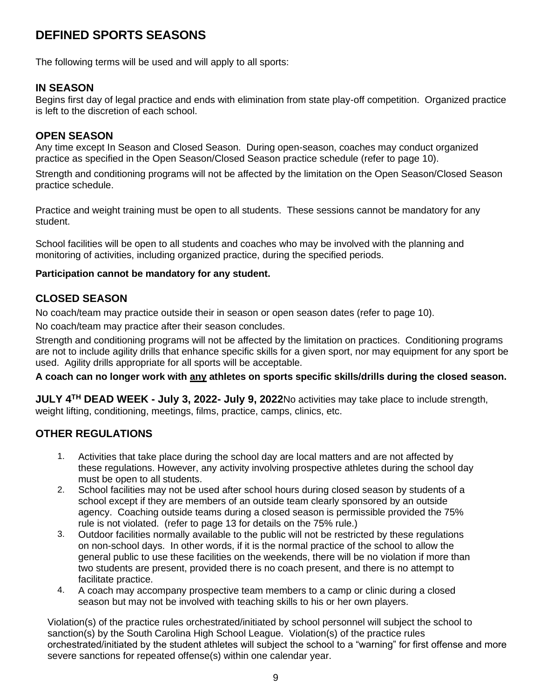# <span id="page-8-0"></span>**DEFINED SPORTS SEASONS**

The following terms will be used and will apply to all sports:

### **IN SEASON**

Begins first day of legal practice and ends with elimination from state play-off competition. Organized practice is left to the discretion of each school.

### **OPEN SEASON**

Any time except In Season and Closed Season. During open-season, coaches may conduct organized practice as specified in the Open Season/Closed Season practice schedule (refer to page 10).

Strength and conditioning programs will not be affected by the limitation on the Open Season/Closed Season practice schedule.

Practice and weight training must be open to all students. These sessions cannot be mandatory for any student.

School facilities will be open to all students and coaches who may be involved with the planning and monitoring of activities, including organized practice, during the specified periods.

#### **Participation cannot be mandatory for any student.**

### **CLOSED SEASON**

No coach/team may practice outside their in season or open season dates (refer to page 10).

No coach/team may practice after their season concludes.

Strength and conditioning programs will not be affected by the limitation on practices. Conditioning programs are not to include agility drills that enhance specific skills for a given sport, nor may equipment for any sport be used. Agility drills appropriate for all sports will be acceptable.

#### **A coach can no longer work with any athletes on sports specific skills/drills during the closed season.**

**JULY 4TH DEAD WEEK - July 3, 2022- July 9, 2022**No activities may take place to include strength, weight lifting, conditioning, meetings, films, practice, camps, clinics, etc.

### **OTHER REGULATIONS**

- 1. Activities that take place during the school day are local matters and are not affected by these regulations. However, any activity involving prospective athletes during the school day must be open to all students.
- 2. School facilities may not be used after school hours during closed season by students of a school except if they are members of an outside team clearly sponsored by an outside agency. Coaching outside teams during a closed season is permissible provided the 75% rule is not violated. (refer to page 13 for details on the 75% rule.)
- 3. Outdoor facilities normally available to the public will not be restricted by these regulations on non-school days. In other words, if it is the normal practice of the school to allow the general public to use these facilities on the weekends, there will be no violation if more than two students are present, provided there is no coach present, and there is no attempt to facilitate practice.
- 4. A coach may accompany prospective team members to a camp or clinic during a closed season but may not be involved with teaching skills to his or her own players.

Violation(s) of the practice rules orchestrated/initiated by school personnel will subject the school to sanction(s) by the South Carolina High School League. Violation(s) of the practice rules orchestrated/initiated by the student athletes will subject the school to a "warning" for first offense and more severe sanctions for repeated offense(s) within one calendar year.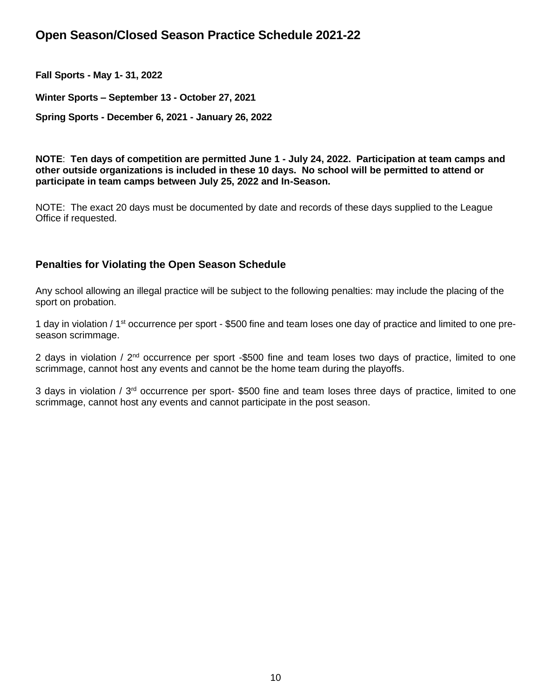# <span id="page-9-0"></span>**Open Season/Closed Season Practice Schedule 2021-22**

**Fall Sports - May 1- 31, 2022**

**Winter Sports – September 13 - October 27, 2021**

**Spring Sports - December 6, 2021 - January 26, 2022**

**NOTE**: **Ten days of competition are permitted June 1 - July 24, 2022. Participation at team camps and other outside organizations is included in these 10 days. No school will be permitted to attend or participate in team camps between July 25, 2022 and In-Season.**

NOTE: The exact 20 days must be documented by date and records of these days supplied to the League Office if requested.

### **Penalties for Violating the Open Season Schedule**

Any school allowing an illegal practice will be subject to the following penalties: may include the placing of the sport on probation.

1 day in violation / 1<sup>st</sup> occurrence per sport - \$500 fine and team loses one day of practice and limited to one preseason scrimmage.

2 days in violation / 2<sup>nd</sup> occurrence per sport -\$500 fine and team loses two days of practice, limited to one scrimmage, cannot host any events and cannot be the home team during the playoffs.

3 days in violation /  $3<sup>rd</sup>$  occurrence per sport- \$500 fine and team loses three days of practice, limited to one scrimmage, cannot host any events and cannot participate in the post season.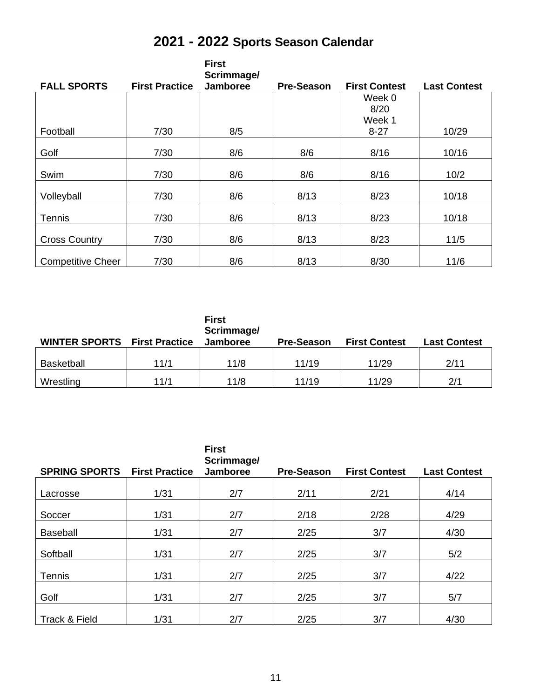| 2021 - 2022 Sports Season Calendar |  |  |  |
|------------------------------------|--|--|--|
|------------------------------------|--|--|--|

| <b>FALL SPORTS</b>       | <b>First Practice</b> | <b>First</b><br>Scrimmage/<br>Jamboree | <b>Pre-Season</b> | <b>First Contest</b> | <b>Last Contest</b> |
|--------------------------|-----------------------|----------------------------------------|-------------------|----------------------|---------------------|
|                          |                       |                                        |                   |                      |                     |
|                          |                       |                                        |                   | Week 0               |                     |
|                          |                       |                                        |                   | 8/20                 |                     |
|                          |                       |                                        |                   | Week 1               |                     |
| Football                 | 7/30                  | 8/5                                    |                   | $8 - 27$             | 10/29               |
|                          |                       |                                        |                   |                      |                     |
| Golf                     | 7/30                  | 8/6                                    | 8/6               | 8/16                 | 10/16               |
|                          |                       |                                        |                   |                      |                     |
| Swim                     | 7/30                  | 8/6                                    | 8/6               | 8/16                 | 10/2                |
|                          |                       |                                        |                   |                      |                     |
| Volleyball               | 7/30                  | 8/6                                    | 8/13              | 8/23                 | 10/18               |
|                          |                       |                                        |                   |                      |                     |
| Tennis                   | 7/30                  | 8/6                                    | 8/13              | 8/23                 | 10/18               |
|                          |                       |                                        |                   |                      |                     |
| <b>Cross Country</b>     | 7/30                  | 8/6                                    | 8/13              | 8/23                 | 11/5                |
|                          |                       |                                        |                   |                      |                     |
| <b>Competitive Cheer</b> | 7/30                  | 8/6                                    | 8/13              | 8/30                 | 11/6                |

| <b>WINTER SPORTS First Practice</b> |      | <b>First</b><br>Scrimmage/<br><b>Jamboree</b> | <b>Pre-Season</b> | <b>First Contest</b> | <b>Last Contest</b> |
|-------------------------------------|------|-----------------------------------------------|-------------------|----------------------|---------------------|
| <b>Basketball</b>                   | 11/1 | 11/8                                          | 11/19             | 11/29                | 2/11                |
| Wrestling                           | 11/1 | 11/8                                          | 11/19             | 11/29                | 2/1                 |

|                      |                       | <b>First</b><br>Scrimmage/ |                   |                      |                     |
|----------------------|-----------------------|----------------------------|-------------------|----------------------|---------------------|
| <b>SPRING SPORTS</b> | <b>First Practice</b> | Jamboree                   | <b>Pre-Season</b> | <b>First Contest</b> | <b>Last Contest</b> |
| Lacrosse             | 1/31                  | 2/7                        | 2/11              | 2/21                 | 4/14                |
| Soccer               | 1/31                  | 2/7                        | 2/18              | 2/28                 | 4/29                |
| <b>Baseball</b>      | 1/31                  | 2/7                        | 2/25              | 3/7                  | 4/30                |
| Softball             | 1/31                  | 2/7                        | 2/25              | 3/7                  | 5/2                 |
| <b>Tennis</b>        | 1/31                  | 2/7                        | 2/25              | 3/7                  | 4/22                |
| Golf                 | 1/31                  | 2/7                        | 2/25              | 3/7                  | 5/7                 |
| Track & Field        | 1/31                  | 2/7                        | 2/25              | 3/7                  | 4/30                |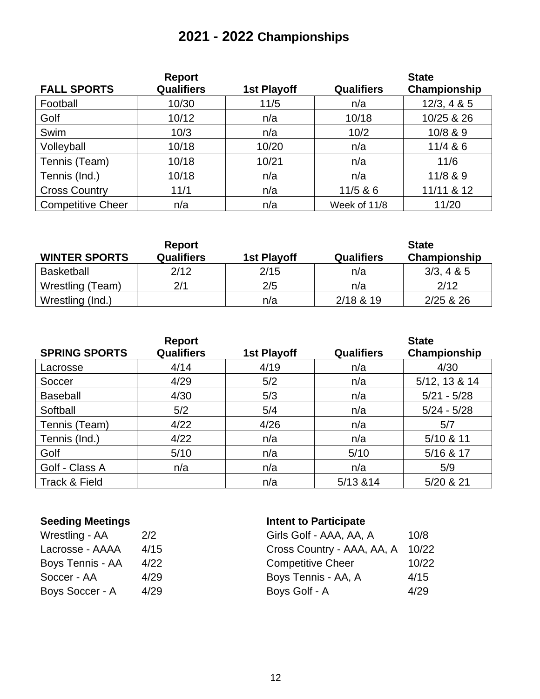# **2021 - 2022 Championships**

|                          | <b>Report</b>     |             |                   | <b>State</b> |
|--------------------------|-------------------|-------------|-------------------|--------------|
| <b>FALL SPORTS</b>       | <b>Qualifiers</b> | 1st Playoff | <b>Qualifiers</b> | Championship |
| Football                 | 10/30             | 11/5        | n/a               | 12/3, 4 & 5  |
| Golf                     | 10/12             | n/a         | 10/18             | 10/25 & 26   |
| Swim                     | 10/3              | n/a         | 10/2              | 10/8 & 9     |
| Volleyball               | 10/18             | 10/20       | n/a               | 11/4 & 86    |
| Tennis (Team)            | 10/18             | 10/21       | n/a               | 11/6         |
| Tennis (Ind.)            | 10/18             | n/a         | n/a               | 11/8 & 9     |
| <b>Cross Country</b>     | 11/1              | n/a         | 11/5 & 86         | 11/11 & 12   |
| <b>Competitive Cheer</b> | n/a               | n/a         | Week of 11/8      | 11/20        |

| <b>WINTER SPORTS</b> | Report<br><b>Qualifiers</b> | 1st Playoff | <b>Qualifiers</b> | <b>State</b><br>Championship |
|----------------------|-----------------------------|-------------|-------------------|------------------------------|
| <b>Basketball</b>    | 2/12                        | 2/15        | n/a               | 3/3, 4 & 8 & 5               |
| Wrestling (Team)     | 2/1                         | 2/5         | n/a               | 2/12                         |
| Wrestling (Ind.)     |                             | n/a         | 2/18 & 19         | 2/25 & 26                    |

| <b>SPRING SPORTS</b> | <b>Report</b><br><b>Qualifiers</b> | 1st Playoff | <b>Qualifiers</b> | <b>State</b><br>Championship |
|----------------------|------------------------------------|-------------|-------------------|------------------------------|
| Lacrosse             | 4/14                               | 4/19        | n/a               | 4/30                         |
| Soccer               | 4/29                               | 5/2         | n/a               | 5/12, 13 & 14                |
| <b>Baseball</b>      | 4/30                               | 5/3         | n/a               | $5/21 - 5/28$                |
| Softball             | 5/2                                | 5/4         | n/a               | $5/24 - 5/28$                |
| Tennis (Team)        | 4/22                               | 4/26        | n/a               | 5/7                          |
| Tennis (Ind.)        | 4/22                               | n/a         | n/a               | 5/10 & 11                    |
| Golf                 | 5/10                               | n/a         | 5/10              | 5/16 & 17                    |
| Golf - Class A       | n/a                                | n/a         | n/a               | 5/9                          |
| Track & Field        |                                    | n/a         | 5/13 & 14         | 5/20 & 21                    |

| Wrestling - AA   | 2/2  |
|------------------|------|
| Lacrosse - AAAA  | 4/15 |
| Boys Tennis - AA | 4/22 |
| Soccer - AA      | 4/29 |
| Boys Soccer - A  | 4/29 |

# **Seeding Meetings Intent to Participate**

| Wrestling - AA   | 2/2  | Girls Golf - AAA, AA, A    | 10/8  |
|------------------|------|----------------------------|-------|
| Lacrosse - AAAA  | 4/15 | Cross Country - AAA, AA, A | 10/22 |
| Boys Tennis - AA | 4/22 | <b>Competitive Cheer</b>   | 10/22 |
| Soccer - AA      | 4/29 | Boys Tennis - AA, A        | 4/15  |
| Boys Soccer - A  | 4/29 | Boys Golf - A              | 4/29  |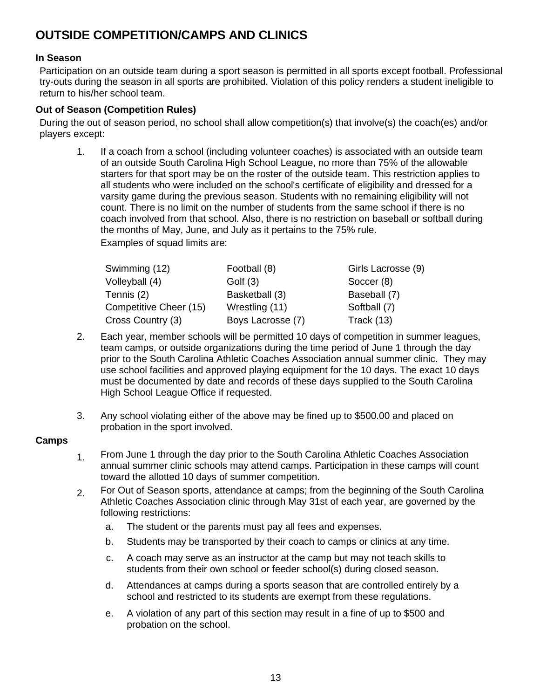# <span id="page-12-0"></span>**OUTSIDE COMPETITION/CAMPS AND CLINICS**

### **In Season**

Participation on an outside team during a sport season is permitted in all sports except football. Professional try-outs during the season in all sports are prohibited. Violation of this policy renders a student ineligible to return to his/her school team.

### **Out of Season (Competition Rules)**

During the out of season period, no school shall allow competition(s) that involve(s) the coach(es) and/or players except:

1. If a coach from a school (including volunteer coaches) is associated with an outside team of an outside South Carolina High School League, no more than 75% of the allowable starters for that sport may be on the roster of the outside team. This restriction applies to all students who were included on the school's certificate of eligibility and dressed for a varsity game during the previous season. Students with no remaining eligibility will not count. There is no limit on the number of students from the same school if there is no coach involved from that school. Also, there is no restriction on baseball or softball during the months of May, June, and July as it pertains to the 75% rule.

Examples of squad limits are:

| Swimming (12)          | Football (8)      | Girls Lacrosse (9) |
|------------------------|-------------------|--------------------|
| Volleyball (4)         | Golf $(3)$        | Soccer (8)         |
| Tennis (2)             | Basketball (3)    | Baseball (7)       |
| Competitive Cheer (15) | Wrestling (11)    | Softball (7)       |
| Cross Country (3)      | Boys Lacrosse (7) | Track $(13)$       |

- 2. Each year, member schools will be permitted 10 days of competition in summer leagues, team camps, or outside organizations during the time period of June 1 through the day prior to the South Carolina Athletic Coaches Association annual summer clinic. They may use school facilities and approved playing equipment for the 10 days. The exact 10 days must be documented by date and records of these days supplied to the South Carolina High School League Office if requested.
- 3. Any school violating either of the above may be fined up to \$500.00 and placed on probation in the sport involved.

### **Camps**

- 1. From June 1 through the day prior to the South Carolina Athletic Coaches Association annual summer clinic schools may attend camps. Participation in these camps will count toward the allotted 10 days of summer competition.
- 2. For Out of Season sports, attendance at camps; from the beginning of the South Carolina Athletic Coaches Association clinic through May 31st of each year, are governed by the following restrictions:
	- a. The student or the parents must pay all fees and expenses.
	- b. Students may be transported by their coach to camps or clinics at any time.
	- c. A coach may serve as an instructor at the camp but may not teach skills to students from their own school or feeder school(s) during closed season.
	- d. Attendances at camps during a sports season that are controlled entirely by a school and restricted to its students are exempt from these regulations.
	- e. A violation of any part of this section may result in a fine of up to \$500 and probation on the school.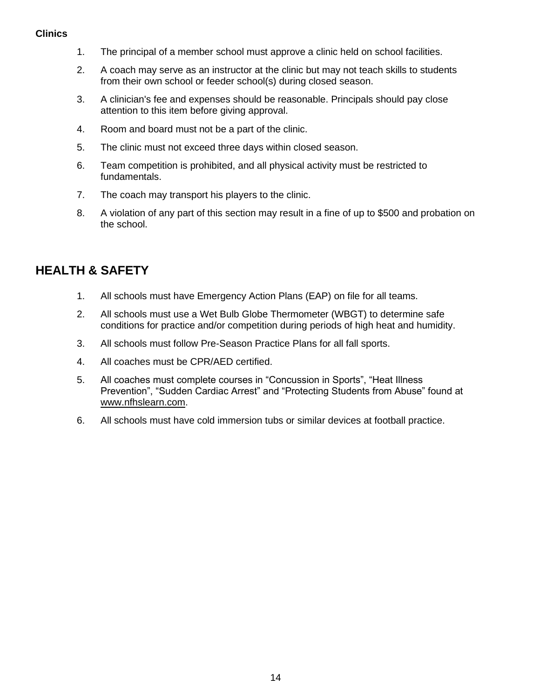#### **Clinics**

- 1. The principal of a member school must approve a clinic held on school facilities.
- 2. A coach may serve as an instructor at the clinic but may not teach skills to students from their own school or feeder school(s) during closed season.
- 3. A clinician's fee and expenses should be reasonable. Principals should pay close attention to this item before giving approval.
- 4. Room and board must not be a part of the clinic.
- 5. The clinic must not exceed three days within closed season.
- 6. Team competition is prohibited, and all physical activity must be restricted to fundamentals.
- 7. The coach may transport his players to the clinic.
- 8. A violation of any part of this section may result in a fine of up to \$500 and probation on the school.

# <span id="page-13-0"></span>**HEALTH & SAFETY**

- 1. All schools must have Emergency Action Plans (EAP) on file for all teams.
- 2. All schools must use a Wet Bulb Globe Thermometer (WBGT) to determine safe conditions for practice and/or competition during periods of high heat and humidity.
- 3. All schools must follow Pre-Season Practice Plans for all fall sports.
- 4. All coaches must be CPR/AED certified.
- 5. All coaches must complete courses in "Concussion in Sports", "Heat Illness Prevention", "Sudden Cardiac Arrest" and "Protecting Students from Abuse" found at [www.nfhslearn.com.](http://www.nfhslearn.com/)
- 6. All schools must have cold immersion tubs or similar devices at football practice.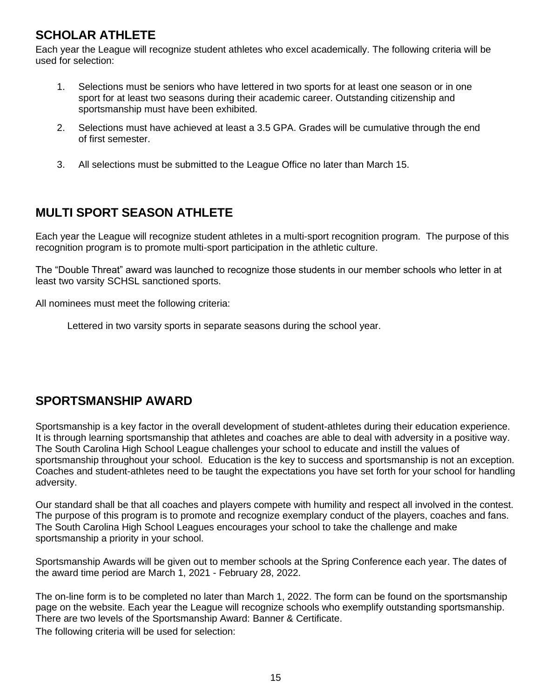# <span id="page-14-0"></span>**SCHOLAR ATHLETE**

Each year the League will recognize student athletes who excel academically. The following criteria will be used for selection:

- 1. Selections must be seniors who have lettered in two sports for at least one season or in one sport for at least two seasons during their academic career. Outstanding citizenship and sportsmanship must have been exhibited.
- 2. Selections must have achieved at least a 3.5 GPA. Grades will be cumulative through the end of first semester.
- 3. All selections must be submitted to the League Office no later than March 15.

# <span id="page-14-1"></span>**MULTI SPORT SEASON ATHLETE**

Each year the League will recognize student athletes in a multi-sport recognition program. The purpose of this recognition program is to promote multi-sport participation in the athletic culture.

The "Double Threat" award was launched to recognize those students in our member schools who letter in at least two varsity SCHSL sanctioned sports.

All nominees must meet the following criteria:

Lettered in two varsity sports in separate seasons during the school year.

# <span id="page-14-2"></span>**SPORTSMANSHIP AWARD**

Sportsmanship is a key factor in the overall development of student-athletes during their education experience. It is through learning sportsmanship that athletes and coaches are able to deal with adversity in a positive way. The South Carolina High School League challenges your school to educate and instill the values of sportsmanship throughout your school. Education is the key to success and sportsmanship is not an exception. Coaches and student-athletes need to be taught the expectations you have set forth for your school for handling adversity.

Our standard shall be that all coaches and players compete with humility and respect all involved in the contest. The purpose of this program is to promote and recognize exemplary conduct of the players, coaches and fans. The South Carolina High School Leagues encourages your school to take the challenge and make sportsmanship a priority in your school.

Sportsmanship Awards will be given out to member schools at the Spring Conference each year. The dates of the award time period are March 1, 2021 - February 28, 2022.

The on-line form is to be completed no later than March 1, 2022. The form can be found on the sportsmanship page on the website. Each year the League will recognize schools who exemplify outstanding sportsmanship. There are two levels of the Sportsmanship Award: Banner & Certificate. The following criteria will be used for selection: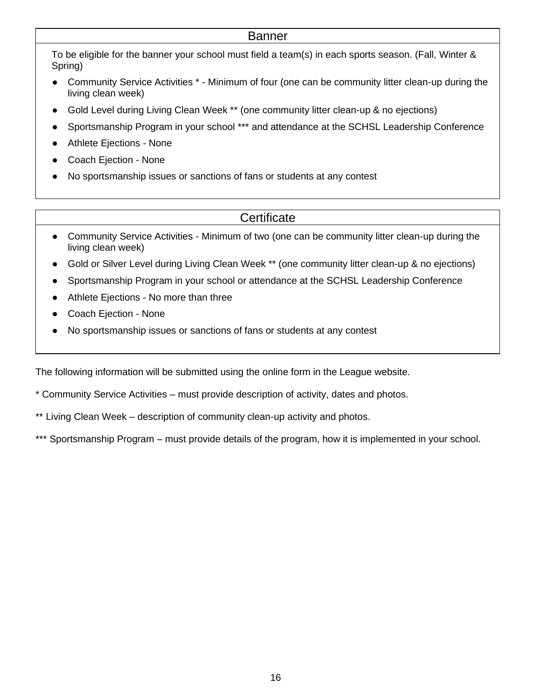### Banner

To be eligible for the banner your school must field a team(s) in each sports season. (Fall, Winter & Spring)

- Community Service Activities \* Minimum of four (one can be community litter clean-up during the living clean week)
- Gold Level during Living Clean Week \*\* (one community litter clean-up & no ejections)
- Sportsmanship Program in your school \*\*\* and attendance at the SCHSL Leadership Conference
- Athlete Ejections None
- Coach Ejection None
- No sportsmanship issues or sanctions of fans or students at any contest

# **Certificate**

- Community Service Activities Minimum of two (one can be community litter clean-up during the living clean week)
- Gold or Silver Level during Living Clean Week \*\* (one community litter clean-up & no ejections)
- Sportsmanship Program in your school or attendance at the SCHSL Leadership Conference
- Athlete Ejections No more than three
- Coach Ejection None
- No sportsmanship issues or sanctions of fans or students at any contest

The following information will be submitted using the online form in the League website.

- \* Community Service Activities must provide description of activity, dates and photos.
- \*\* Living Clean Week description of community clean-up activity and photos.

\*\*\* Sportsmanship Program – must provide details of the program, how it is implemented in your school.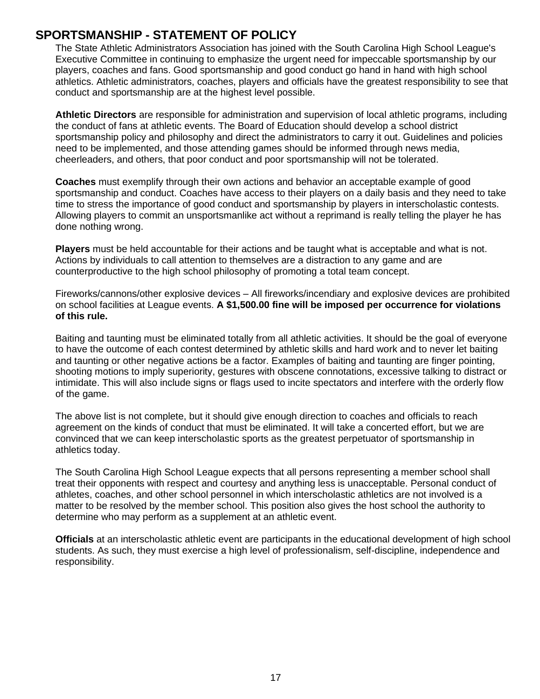# <span id="page-16-0"></span>**SPORTSMANSHIP - STATEMENT OF POLICY**

The State Athletic Administrators Association has joined with the South Carolina High School League's Executive Committee in continuing to emphasize the urgent need for impeccable sportsmanship by our players, coaches and fans. Good sportsmanship and good conduct go hand in hand with high school athletics. Athletic administrators, coaches, players and officials have the greatest responsibility to see that conduct and sportsmanship are at the highest level possible.

**Athletic Directors** are responsible for administration and supervision of local athletic programs, including the conduct of fans at athletic events. The Board of Education should develop a school district sportsmanship policy and philosophy and direct the administrators to carry it out. Guidelines and policies need to be implemented, and those attending games should be informed through news media, cheerleaders, and others, that poor conduct and poor sportsmanship will not be tolerated.

**Coaches** must exemplify through their own actions and behavior an acceptable example of good sportsmanship and conduct. Coaches have access to their players on a daily basis and they need to take time to stress the importance of good conduct and sportsmanship by players in interscholastic contests. Allowing players to commit an unsportsmanlike act without a reprimand is really telling the player he has done nothing wrong.

**Players** must be held accountable for their actions and be taught what is acceptable and what is not. Actions by individuals to call attention to themselves are a distraction to any game and are counterproductive to the high school philosophy of promoting a total team concept.

Fireworks/cannons/other explosive devices – All fireworks/incendiary and explosive devices are prohibited on school facilities at League events. **A \$1,500.00 fine will be imposed per occurrence for violations of this rule.** 

Baiting and taunting must be eliminated totally from all athletic activities. It should be the goal of everyone to have the outcome of each contest determined by athletic skills and hard work and to never let baiting and taunting or other negative actions be a factor. Examples of baiting and taunting are finger pointing, shooting motions to imply superiority, gestures with obscene connotations, excessive talking to distract or intimidate. This will also include signs or flags used to incite spectators and interfere with the orderly flow of the game.

The above list is not complete, but it should give enough direction to coaches and officials to reach agreement on the kinds of conduct that must be eliminated. It will take a concerted effort, but we are convinced that we can keep interscholastic sports as the greatest perpetuator of sportsmanship in athletics today.

The South Carolina High School League expects that all persons representing a member school shall treat their opponents with respect and courtesy and anything less is unacceptable. Personal conduct of athletes, coaches, and other school personnel in which interscholastic athletics are not involved is a matter to be resolved by the member school. This position also gives the host school the authority to determine who may perform as a supplement at an athletic event.

**Officials** at an interscholastic athletic event are participants in the educational development of high school students. As such, they must exercise a high level of professionalism, self-discipline, independence and responsibility.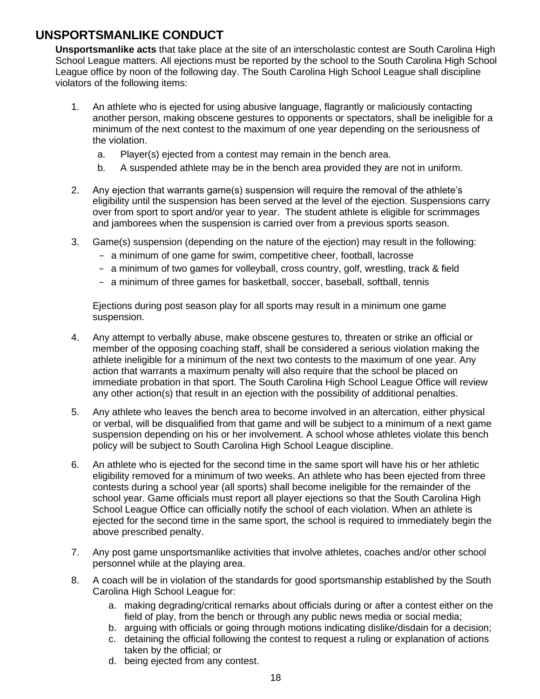# <span id="page-17-0"></span>**UNSPORTSMANLIKE CONDUCT**

**Unsportsmanlike acts** that take place at the site of an interscholastic contest are South Carolina High School League matters. All ejections must be reported by the school to the South Carolina High School League office by noon of the following day. The South Carolina High School League shall discipline violators of the following items:

- 1. An athlete who is ejected for using abusive language, flagrantly or maliciously contacting another person, making obscene gestures to opponents or spectators, shall be ineligible for a minimum of the next contest to the maximum of one year depending on the seriousness of the violation.
	- a. Player(s) ejected from a contest may remain in the bench area.
	- b. A suspended athlete may be in the bench area provided they are not in uniform.
- 2. Any ejection that warrants game(s) suspension will require the removal of the athlete's eligibility until the suspension has been served at the level of the ejection. Suspensions carry over from sport to sport and/or year to year. The student athlete is eligible for scrimmages and jamborees when the suspension is carried over from a previous sports season.
- 3. Game(s) suspension (depending on the nature of the ejection) may result in the following:
	- − a minimum of one game for swim, competitive cheer, football, lacrosse
	- − a minimum of two games for volleyball, cross country, golf, wrestling, track & field
	- − a minimum of three games for basketball, soccer, baseball, softball, tennis

Ejections during post season play for all sports may result in a minimum one game suspension.

- 4. Any attempt to verbally abuse, make obscene gestures to, threaten or strike an official or member of the opposing coaching staff, shall be considered a serious violation making the athlete ineligible for a minimum of the next two contests to the maximum of one year. Any action that warrants a maximum penalty will also require that the school be placed on immediate probation in that sport. The South Carolina High School League Office will review any other action(s) that result in an ejection with the possibility of additional penalties.
- 5. Any athlete who leaves the bench area to become involved in an altercation, either physical or verbal, will be disqualified from that game and will be subject to a minimum of a next game suspension depending on his or her involvement. A school whose athletes violate this bench policy will be subject to South Carolina High School League discipline.
- 6. An athlete who is ejected for the second time in the same sport will have his or her athletic eligibility removed for a minimum of two weeks. An athlete who has been ejected from three contests during a school year (all sports) shall become ineligible for the remainder of the school year. Game officials must report all player ejections so that the South Carolina High School League Office can officially notify the school of each violation. When an athlete is ejected for the second time in the same sport, the school is required to immediately begin the above prescribed penalty.
- 7. Any post game unsportsmanlike activities that involve athletes, coaches and/or other school personnel while at the playing area.
- 8. A coach will be in violation of the standards for good sportsmanship established by the South Carolina High School League for:
	- a. making degrading/critical remarks about officials during or after a contest either on the field of play, from the bench or through any public news media or social media;
	- b. arguing with officials or going through motions indicating dislike/disdain for a decision;
	- c. detaining the official following the contest to request a ruling or explanation of actions taken by the official; or
	- d. being ejected from any contest.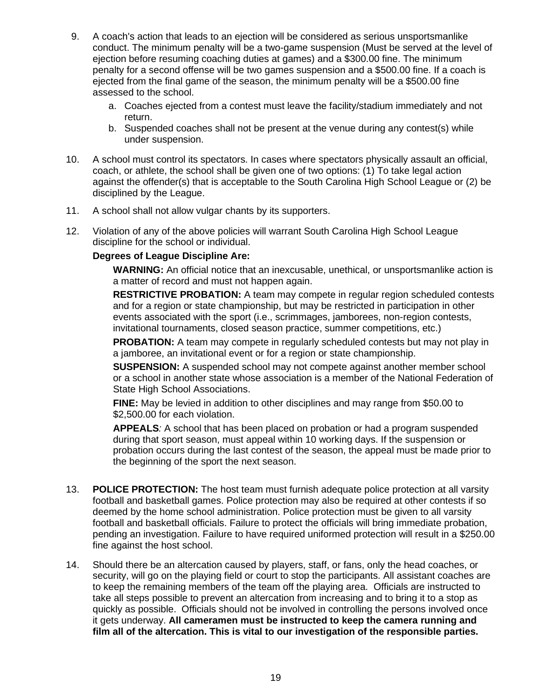- 9. A coach's action that leads to an ejection will be considered as serious unsportsmanlike conduct. The minimum penalty will be a two-game suspension (Must be served at the level of ejection before resuming coaching duties at games) and a \$300.00 fine. The minimum penalty for a second offense will be two games suspension and a \$500.00 fine. If a coach is ejected from the final game of the season, the minimum penalty will be a \$500.00 fine assessed to the school.
	- a. Coaches ejected from a contest must leave the facility/stadium immediately and not return.
	- b. Suspended coaches shall not be present at the venue during any contest(s) while under suspension.
- 10. A school must control its spectators. In cases where spectators physically assault an official, coach, or athlete, the school shall be given one of two options: (1) To take legal action against the offender(s) that is acceptable to the South Carolina High School League or (2) be disciplined by the League.
- 11. A school shall not allow vulgar chants by its supporters.
- 12. Violation of any of the above policies will warrant South Carolina High School League discipline for the school or individual.

#### **Degrees of League Discipline Are:**

**WARNING:** An official notice that an inexcusable, unethical, or unsportsmanlike action is a matter of record and must not happen again.

**RESTRICTIVE PROBATION:** A team may compete in regular region scheduled contests and for a region or state championship, but may be restricted in participation in other events associated with the sport (i.e., scrimmages, jamborees, non-region contests, invitational tournaments, closed season practice, summer competitions, etc.)

**PROBATION:** A team may compete in regularly scheduled contests but may not play in a jamboree, an invitational event or for a region or state championship.

**SUSPENSION:** A suspended school may not compete against another member school or a school in another state whose association is a member of the National Federation of State High School Associations.

**FINE:** May be levied in addition to other disciplines and may range from \$50.00 to \$2,500.00 for each violation.

**APPEALS***:* A school that has been placed on probation or had a program suspended during that sport season, must appeal within 10 working days. If the suspension or probation occurs during the last contest of the season, the appeal must be made prior to the beginning of the sport the next season.

- 13. **POLICE PROTECTION:** The host team must furnish adequate police protection at all varsity football and basketball games. Police protection may also be required at other contests if so deemed by the home school administration. Police protection must be given to all varsity football and basketball officials. Failure to protect the officials will bring immediate probation, pending an investigation. Failure to have required uniformed protection will result in a \$250.00 fine against the host school.
- 14. Should there be an altercation caused by players, staff, or fans, only the head coaches, or security, will go on the playing field or court to stop the participants. All assistant coaches are to keep the remaining members of the team off the playing area. Officials are instructed to take all steps possible to prevent an altercation from increasing and to bring it to a stop as quickly as possible. Officials should not be involved in controlling the persons involved once it gets underway. **All cameramen must be instructed to keep the camera running and film all of the altercation. This is vital to our investigation of the responsible parties.**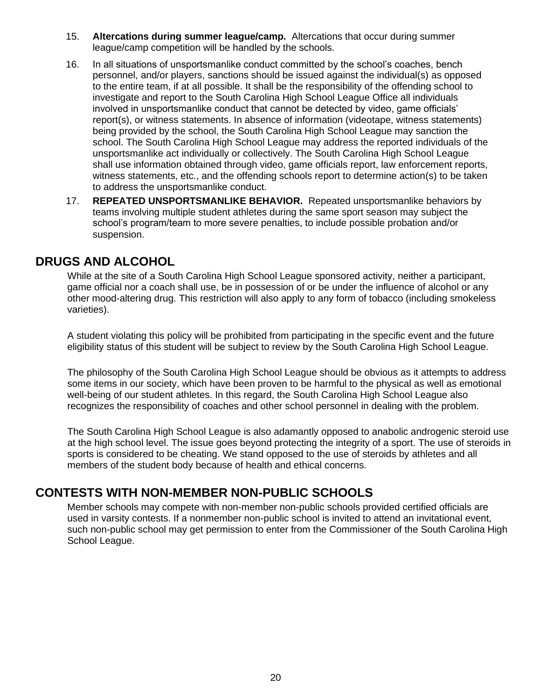- 15. **Altercations during summer league/camp.** Altercations that occur during summer league/camp competition will be handled by the schools.
- 16. In all situations of unsportsmanlike conduct committed by the school's coaches, bench personnel, and/or players, sanctions should be issued against the individual(s) as opposed to the entire team, if at all possible. It shall be the responsibility of the offending school to investigate and report to the South Carolina High School League Office all individuals involved in unsportsmanlike conduct that cannot be detected by video, game officials' report(s), or witness statements. In absence of information (videotape, witness statements) being provided by the school, the South Carolina High School League may sanction the school. The South Carolina High School League may address the reported individuals of the unsportsmanlike act individually or collectively. The South Carolina High School League shall use information obtained through video, game officials report, law enforcement reports, witness statements, etc., and the offending schools report to determine action(s) to be taken to address the unsportsmanlike conduct.
- 17. **REPEATED UNSPORTSMANLIKE BEHAVIOR.** Repeated unsportsmanlike behaviors by teams involving multiple student athletes during the same sport season may subject the school's program/team to more severe penalties, to include possible probation and/or suspension.

# **DRUGS AND ALCOHOL**

While at the site of a South Carolina High School League sponsored activity, neither a participant, game official nor a coach shall use, be in possession of or be under the influence of alcohol or any other mood-altering drug. This restriction will also apply to any form of tobacco (including smokeless varieties).

A student violating this policy will be prohibited from participating in the specific event and the future eligibility status of this student will be subject to review by the South Carolina High School League.

The philosophy of the South Carolina High School League should be obvious as it attempts to address some items in our society, which have been proven to be harmful to the physical as well as emotional well-being of our student athletes. In this regard, the South Carolina High School League also recognizes the responsibility of coaches and other school personnel in dealing with the problem.

The South Carolina High School League is also adamantly opposed to anabolic androgenic steroid use at the high school level. The issue goes beyond protecting the integrity of a sport. The use of steroids in sports is considered to be cheating. We stand opposed to the use of steroids by athletes and all members of the student body because of health and ethical concerns.

## **CONTESTS WITH NON-MEMBER NON-PUBLIC SCHOOLS**

Member schools may compete with non-member non-public schools provided certified officials are used in varsity contests. If a nonmember non-public school is invited to attend an invitational event, such non-public school may get permission to enter from the Commissioner of the South Carolina High School League.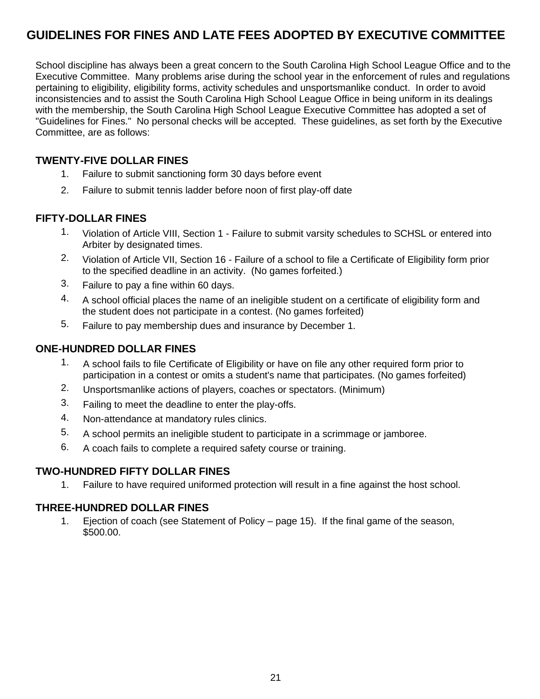# <span id="page-20-0"></span>**GUIDELINES FOR FINES AND LATE FEES ADOPTED BY EXECUTIVE COMMITTEE**

School discipline has always been a great concern to the South Carolina High School League Office and to the Executive Committee. Many problems arise during the school year in the enforcement of rules and regulations pertaining to eligibility, eligibility forms, activity schedules and unsportsmanlike conduct. In order to avoid inconsistencies and to assist the South Carolina High School League Office in being uniform in its dealings with the membership, the South Carolina High School League Executive Committee has adopted a set of "Guidelines for Fines." No personal checks will be accepted. These guidelines, as set forth by the Executive Committee, are as follows:

### **TWENTY-FIVE DOLLAR FINES**

- 1. Failure to submit sanctioning form 30 days before event
- 2. Failure to submit tennis ladder before noon of first play-off date

### **FIFTY-DOLLAR FINES**

- 1. Violation of Article VIII, Section 1 Failure to submit varsity schedules to SCHSL or entered into Arbiter by designated times.
- 2. Violation of Article VII, Section 16 Failure of a school to file a Certificate of Eligibility form prior to the specified deadline in an activity. (No games forfeited.)
- 3. Failure to pay a fine within 60 days.
- 4. A school official places the name of an ineligible student on a certificate of eligibility form and the student does not participate in a contest. (No games forfeited)
- 5. Failure to pay membership dues and insurance by December 1.

### **ONE-HUNDRED DOLLAR FINES**

- 1. A school fails to file Certificate of Eligibility or have on file any other required form prior to participation in a contest or omits a student's name that participates. (No games forfeited)
- 2. Unsportsmanlike actions of players, coaches or spectators. (Minimum)
- 3. Failing to meet the deadline to enter the play-offs.
- 4. Non-attendance at mandatory rules clinics.
- 5. A school permits an ineligible student to participate in a scrimmage or jamboree.
- 6. A coach fails to complete a required safety course or training.

### **TWO-HUNDRED FIFTY DOLLAR FINES**

1. Failure to have required uniformed protection will result in a fine against the host school.

### **THREE-HUNDRED DOLLAR FINES**

1. Ejection of coach (see Statement of Policy – page 15). If the final game of the season, \$500.00.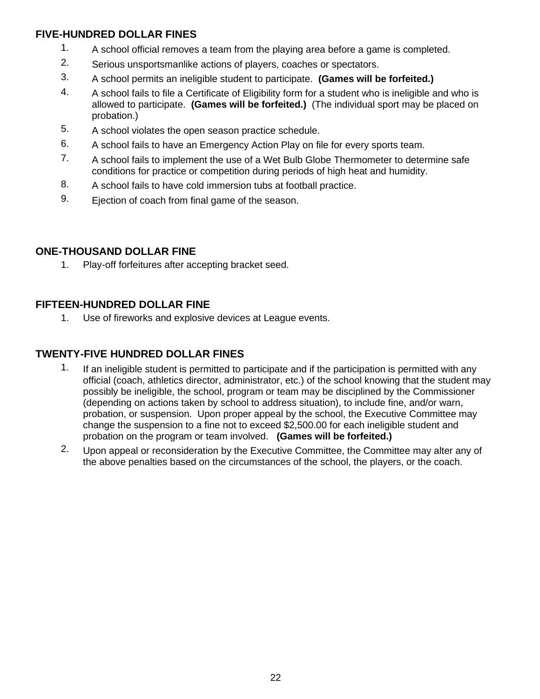### **FIVE-HUNDRED DOLLAR FINES**

- 1. A school official removes a team from the playing area before a game is completed.
- 2. Serious unsportsmanlike actions of players, coaches or spectators.
- 3. A school permits an ineligible student to participate. **(Games will be forfeited.)**
- 4. A school fails to file a Certificate of Eligibility form for a student who is ineligible and who is allowed to participate. **(Games will be forfeited.)** (The individual sport may be placed on probation.)
- 5. A school violates the open season practice schedule.
- 6. A school fails to have an Emergency Action Play on file for every sports team.
- 7. A school fails to implement the use of a Wet Bulb Globe Thermometer to determine safe conditions for practice or competition during periods of high heat and humidity.
- 8. A school fails to have cold immersion tubs at football practice.
- 9. Ejection of coach from final game of the season.

### **ONE-THOUSAND DOLLAR FINE**

1. Play-off forfeitures after accepting bracket seed.

### **FIFTEEN-HUNDRED DOLLAR FINE**

1. Use of fireworks and explosive devices at League events.

### **TWENTY-FIVE HUNDRED DOLLAR FINES**

- 1. If an ineligible student is permitted to participate and if the participation is permitted with any official (coach, athletics director, administrator, etc.) of the school knowing that the student may possibly be ineligible, the school, program or team may be disciplined by the Commissioner (depending on actions taken by school to address situation), to include fine, and/or warn, probation, or suspension. Upon proper appeal by the school, the Executive Committee may change the suspension to a fine not to exceed \$2,500.00 for each ineligible student and probation on the program or team involved. **(Games will be forfeited.)**
- 2. Upon appeal or reconsideration by the Executive Committee, the Committee may alter any of the above penalties based on the circumstances of the school, the players, or the coach.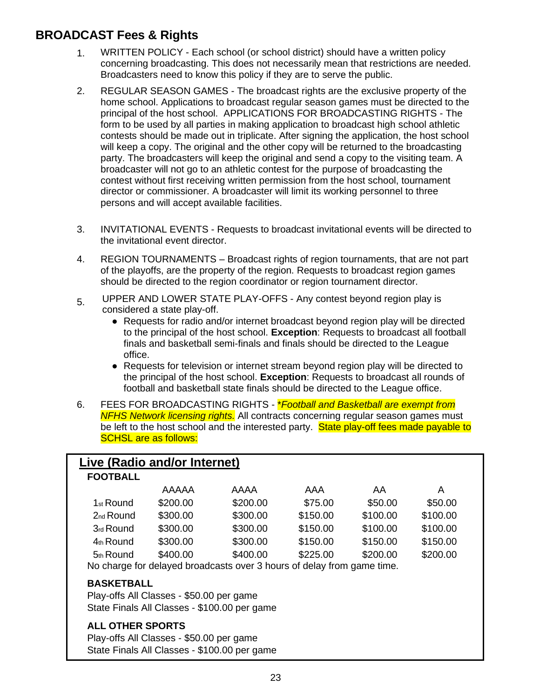# <span id="page-22-0"></span>**BROADCAST Fees & Rights**

- 1. WRITTEN POLICY Each school (or school district) should have a written policy concerning broadcasting. This does not necessarily mean that restrictions are needed. Broadcasters need to know this policy if they are to serve the public.
- 2. REGULAR SEASON GAMES The broadcast rights are the exclusive property of the home school. Applications to broadcast regular season games must be directed to the principal of the host school. APPLICATIONS FOR BROADCASTING RIGHTS - The form to be used by all parties in making application to broadcast high school athletic contests should be made out in triplicate. After signing the application, the host school will keep a copy. The original and the other copy will be returned to the broadcasting party. The broadcasters will keep the original and send a copy to the visiting team. A broadcaster will not go to an athletic contest for the purpose of broadcasting the contest without first receiving written permission from the host school, tournament director or commissioner. A broadcaster will limit its working personnel to three persons and will accept available facilities.
- 3. INVITATIONAL EVENTS Requests to broadcast invitational events will be directed to the invitational event director.
- 4. REGION TOURNAMENTS Broadcast rights of region tournaments, that are not part of the playoffs, are the property of the region. Requests to broadcast region games should be directed to the region coordinator or region tournament director.
- 5. UPPER AND LOWER STATE PLAY-OFFS Any contest beyond region play is considered a state play-off.
	- Requests for radio and/or internet broadcast beyond region play will be directed to the principal of the host school. **Exception**: Requests to broadcast all football finals and basketball semi-finals and finals should be directed to the League office.
	- Requests for television or internet stream beyond region play will be directed to the principal of the host school. **Exception**: Requests to broadcast all rounds of football and basketball state finals should be directed to the League office.
- 6. FEES FOR BROADCASTING RIGHTS \**Football and Basketball are exempt from NFHS Network licensing rights.* All contracts concerning regular season games must be left to the host school and the interested party. State play-off fees made payable to SCHSL are as follows:

| Live (Radio and/or Internet)                 |                                          |                                                                        |          |          |          |  |  |
|----------------------------------------------|------------------------------------------|------------------------------------------------------------------------|----------|----------|----------|--|--|
| <b>FOOTBALL</b>                              |                                          |                                                                        |          |          |          |  |  |
|                                              | AAAAA                                    | AAAA                                                                   | AAA      | AA.      | A        |  |  |
| 1 <sub>st</sub> Round                        | \$200.00                                 | \$200.00                                                               | \$75.00  | \$50.00  | \$50.00  |  |  |
| $2nd$ Round                                  | \$300.00                                 | \$300.00                                                               | \$150.00 | \$100.00 | \$100.00 |  |  |
| 3rd Round                                    | \$300.00                                 | \$300.00                                                               | \$150.00 | \$100.00 | \$100.00 |  |  |
| 4th Round                                    | \$300.00                                 | \$300.00                                                               | \$150.00 | \$150.00 | \$150.00 |  |  |
| 5 <sub>th</sub> Round                        | \$400.00                                 | \$400.00                                                               | \$225.00 | \$200.00 | \$200.00 |  |  |
|                                              |                                          | No charge for delayed broadcasts over 3 hours of delay from game time. |          |          |          |  |  |
| <b>BASKETBALL</b>                            |                                          |                                                                        |          |          |          |  |  |
|                                              | Play-offs All Classes - \$50.00 per game |                                                                        |          |          |          |  |  |
| State Finals All Classes - \$100.00 per game |                                          |                                                                        |          |          |          |  |  |
| <b>ALL OTHER SPORTS</b>                      |                                          |                                                                        |          |          |          |  |  |
| Play-offs All Classes - \$50.00 per game     |                                          |                                                                        |          |          |          |  |  |
| State Finals All Classes - \$100.00 per game |                                          |                                                                        |          |          |          |  |  |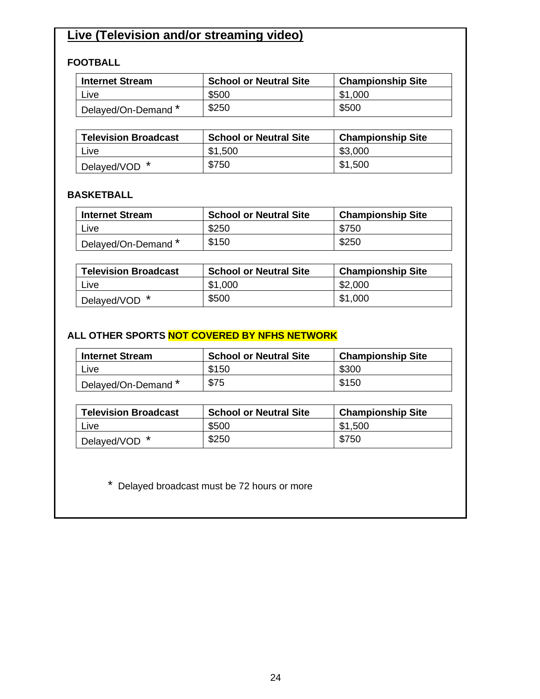# **Live (Television and/or streaming video)**

### **FOOTBALL**

| <b>Internet Stream</b>           | <b>School or Neutral Site</b> | <b>Championship Site</b> |  |  |
|----------------------------------|-------------------------------|--------------------------|--|--|
| Live                             | \$500                         | \$1,000                  |  |  |
| <sup>1</sup> Delayed/On-Demand * | \$250                         | \$500                    |  |  |

| <b>Television Broadcast</b> | <b>School or Neutral Site</b> | <b>Championship Site</b> |  |  |
|-----------------------------|-------------------------------|--------------------------|--|--|
| Live                        | \$1,500                       | \$3,000                  |  |  |
| Delayed/VOD *               | \$750                         | \$1,500                  |  |  |

### **BASKETBALL**

| <b>Internet Stream</b> | <b>School or Neutral Site</b> | <b>Championship Site</b> |  |  |
|------------------------|-------------------------------|--------------------------|--|--|
| Live                   | \$250                         | \$750                    |  |  |
| Delayed/On-Demand *    | \$150                         | \$250                    |  |  |

| <b>Television Broadcast</b> | <b>School or Neutral Site</b> | <b>Championship Site</b> |  |  |
|-----------------------------|-------------------------------|--------------------------|--|--|
| l Live                      | \$1,000                       | \$2,000                  |  |  |
| Delayed/VOD *               | \$500                         | \$1,000                  |  |  |

### **ALL OTHER SPORTS NOT COVERED BY NFHS NETWORK**

| <b>Internet Stream</b> | <b>School or Neutral Site</b> | <b>Championship Site</b> |  |  |
|------------------------|-------------------------------|--------------------------|--|--|
| ∟ive                   | \$150                         | \$300                    |  |  |
| Delayed/On-Demand *    | \$75                          | \$150                    |  |  |

| <b>Television Broadcast</b> | <b>School or Neutral Site</b> | <b>Championship Site</b> |  |
|-----------------------------|-------------------------------|--------------------------|--|
| ∟ive⊦                       | \$500                         | \$1,500                  |  |
| Delayed/VOD <sup>*</sup>    | \$250                         | \$750                    |  |

\* Delayed broadcast must be 72 hours or more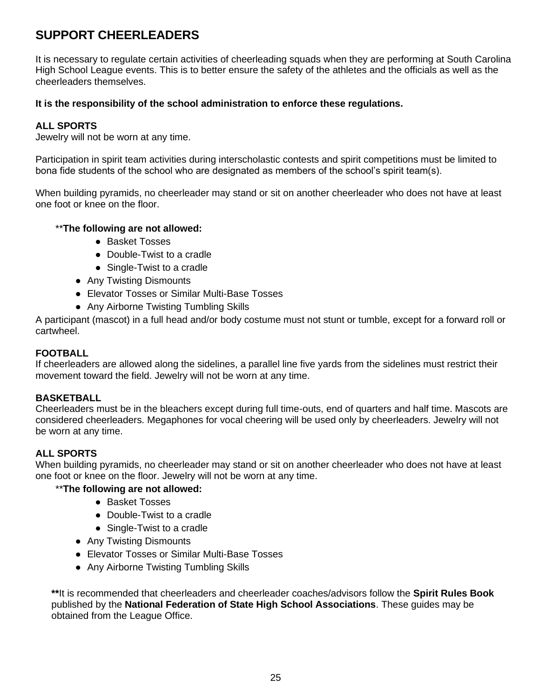# <span id="page-24-0"></span>**SUPPORT CHEERLEADERS**

It is necessary to regulate certain activities of cheerleading squads when they are performing at South Carolina High School League events. This is to better ensure the safety of the athletes and the officials as well as the cheerleaders themselves.

#### **It is the responsibility of the school administration to enforce these regulations.**

#### **ALL SPORTS**

Jewelry will not be worn at any time.

Participation in spirit team activities during interscholastic contests and spirit competitions must be limited to bona fide students of the school who are designated as members of the school's spirit team(s).

When building pyramids, no cheerleader may stand or sit on another cheerleader who does not have at least one foot or knee on the floor.

#### \*\***The following are not allowed:**

- Basket Tosses
- Double-Twist to a cradle
- Single-Twist to a cradle
- Any Twisting Dismounts
- Elevator Tosses or Similar Multi-Base Tosses
- Any Airborne Twisting Tumbling Skills

A participant (mascot) in a full head and/or body costume must not stunt or tumble, except for a forward roll or cartwheel.

#### **FOOTBALL**

If cheerleaders are allowed along the sidelines, a parallel line five yards from the sidelines must restrict their movement toward the field. Jewelry will not be worn at any time.

#### **BASKETBALL**

Cheerleaders must be in the bleachers except during full time-outs, end of quarters and half time. Mascots are considered cheerleaders. Megaphones for vocal cheering will be used only by cheerleaders. Jewelry will not be worn at any time.

#### **ALL SPORTS**

When building pyramids, no cheerleader may stand or sit on another cheerleader who does not have at least one foot or knee on the floor. Jewelry will not be worn at any time.

#### \*\***The following are not allowed:**

- Basket Tosses
- Double-Twist to a cradle
- Single-Twist to a cradle
- Any Twisting Dismounts
- Elevator Tosses or Similar Multi-Base Tosses
- Any Airborne Twisting Tumbling Skills

**\*\***It is recommended that cheerleaders and cheerleader coaches/advisors follow the **Spirit Rules Book**  published by the **National Federation of State High School Associations**. These guides may be obtained from the League Office.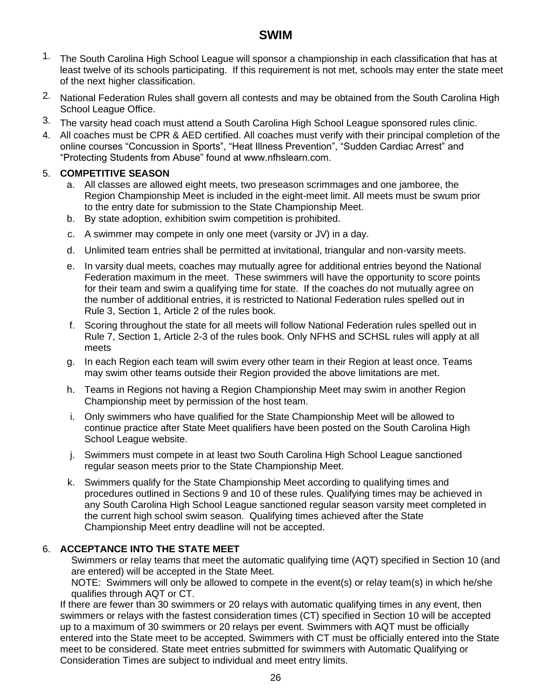## **SWIM**

- <span id="page-25-0"></span>1. The South Carolina High School League will sponsor a championship in each classification that has at least twelve of its schools participating. If this requirement is not met, schools may enter the state meet of the next higher classification.
- 2. National Federation Rules shall govern all contests and may be obtained from the South Carolina High School League Office.
- 3. The varsity head coach must attend a South Carolina High School League sponsored rules clinic.
- 4. All coaches must be CPR & AED certified. All coaches must verify with their principal completion of the online courses "Concussion in Sports", "Heat Illness Prevention", "Sudden Cardiac Arrest" and "Protecting Students from Abuse" found at www.nfhslearn.com.

#### 5. **COMPETITIVE SEASON**

- a. All classes are allowed eight meets, two preseason scrimmages and one jamboree, the Region Championship Meet is included in the eight-meet limit. All meets must be swum prior to the entry date for submission to the State Championship Meet.
- b. By state adoption, exhibition swim competition is prohibited.
- c. A swimmer may compete in only one meet (varsity or JV) in a day.
- d. Unlimited team entries shall be permitted at invitational, triangular and non-varsity meets.
- e. In varsity dual meets, coaches may mutually agree for additional entries beyond the National Federation maximum in the meet. These swimmers will have the opportunity to score points for their team and swim a qualifying time for state. If the coaches do not mutually agree on the number of additional entries, it is restricted to National Federation rules spelled out in Rule 3, Section 1, Article 2 of the rules book.
- f. Scoring throughout the state for all meets will follow National Federation rules spelled out in Rule 7, Section 1, Article 2-3 of the rules book. Only NFHS and SCHSL rules will apply at all meets
- g. In each Region each team will swim every other team in their Region at least once. Teams may swim other teams outside their Region provided the above limitations are met.
- h. Teams in Regions not having a Region Championship Meet may swim in another Region Championship meet by permission of the host team.
- i. Only swimmers who have qualified for the State Championship Meet will be allowed to continue practice after State Meet qualifiers have been posted on the South Carolina High School League website.
- j. Swimmers must compete in at least two South Carolina High School League sanctioned regular season meets prior to the State Championship Meet.
- k. Swimmers qualify for the State Championship Meet according to qualifying times and procedures outlined in Sections 9 and 10 of these rules. Qualifying times may be achieved in any South Carolina High School League sanctioned regular season varsity meet completed in the current high school swim season. Qualifying times achieved after the State Championship Meet entry deadline will not be accepted.

### 6. **ACCEPTANCE INTO THE STATE MEET**

Swimmers or relay teams that meet the automatic qualifying time (AQT) specified in Section 10 (and are entered) will be accepted in the State Meet.

NOTE: Swimmers will only be allowed to compete in the event(s) or relay team(s) in which he/she qualifies through AQT or CT.

If there are fewer than 30 swimmers or 20 relays with automatic qualifying times in any event, then swimmers or relays with the fastest consideration times (CT) specified in Section 10 will be accepted up to a maximum of 30 swimmers or 20 relays per event. Swimmers with AQT must be officially entered into the State meet to be accepted. Swimmers with CT must be officially entered into the State meet to be considered. State meet entries submitted for swimmers with Automatic Qualifying or Consideration Times are subject to individual and meet entry limits.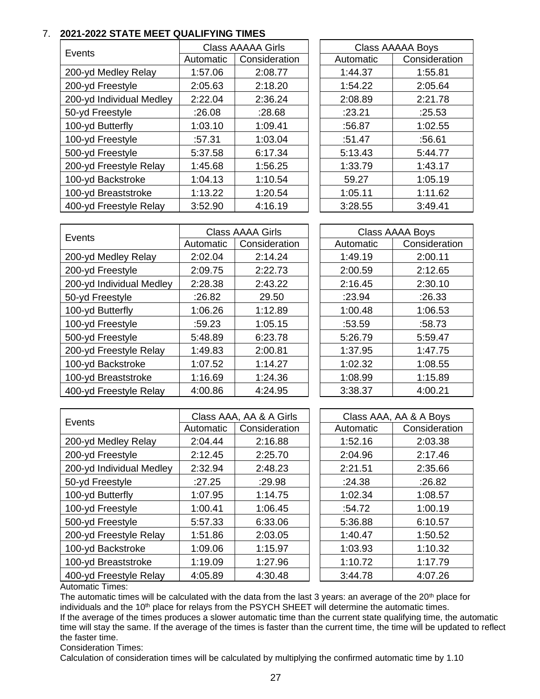#### 7. **2021-2022 STATE MEET QUALIFYING TIMES**

| Events                   | <b>Class AAAAA Girls</b> |               | <b>Class AAAAA Boys</b> |               |
|--------------------------|--------------------------|---------------|-------------------------|---------------|
|                          | Automatic                | Consideration | Automatic               | Consideration |
| 200-yd Medley Relay      | 1:57.06                  | 2:08.77       | 1:44.37                 | 1:55.81       |
| 200-yd Freestyle         | 2:05.63                  | 2:18.20       | 1:54.22                 | 2:05.64       |
| 200-yd Individual Medley | 2:22.04                  | 2:36.24       | 2:08.89                 | 2:21.78       |
| 50-yd Freestyle          | :26.08                   | :28.68        | :23.21                  | :25.53        |
| 100-yd Butterfly         | 1:03.10                  | 1:09.41       | :56.87                  | 1:02.55       |
| 100-yd Freestyle         | :57.31                   | 1:03.04       | :51.47                  | :56.61        |
| 500-yd Freestyle         | 5:37.58                  | 6:17.34       | 5:13.43                 | 5:44.77       |
| 200-yd Freestyle Relay   | 1:45.68                  | 1:56.25       | 1:33.79                 | 1:43.17       |
| 100-yd Backstroke        | 1:04.13                  | 1:10.54       | 59.27                   | 1:05.19       |
| 100-yd Breaststroke      | 1:13.22                  | 1:20.54       | 1:05.11                 | 1:11.62       |
| 400-yd Freestyle Relay   | 3:52.90                  | 4:16.19       | 3:28.55                 | 3:49.41       |

| <b>Class AAAAA Boys</b> |               |  |  |  |  |
|-------------------------|---------------|--|--|--|--|
| Automatic               | Consideration |  |  |  |  |
| 1:44.37                 | 1:55.81       |  |  |  |  |
| 1:54.22                 | 2:05.64       |  |  |  |  |
| 2:08.89                 | 2:21.78       |  |  |  |  |
| :23.21                  | :25.53        |  |  |  |  |
| :56.87                  | 1:02.55       |  |  |  |  |
| :51.47                  | :56.61        |  |  |  |  |
| 5:13.43                 | 5:44.77       |  |  |  |  |
| 1:33.79                 | 1:43.17       |  |  |  |  |
| 59.27                   | 1:05.19       |  |  |  |  |
| 1:05.11                 | 1:11.62       |  |  |  |  |
| 3:28.55                 | 3:49.41       |  |  |  |  |

| Events                   | <b>Class AAAA Girls</b> |               |           | <b>Class AAAA Boys</b> |
|--------------------------|-------------------------|---------------|-----------|------------------------|
|                          | Automatic               | Consideration | Automatic | Consideration          |
| 200-yd Medley Relay      | 2:02.04                 | 2:14.24       | 1:49.19   | 2:00.11                |
| 200-yd Freestyle         | 2:09.75                 | 2:22.73       | 2:00.59   | 2:12.65                |
| 200-yd Individual Medley | 2:28.38                 | 2:43.22       | 2:16.45   | 2:30.10                |
| 50-yd Freestyle          | :26.82                  | 29.50         | :23.94    | :26.33                 |
| 100-yd Butterfly         | 1:06.26                 | 1:12.89       | 1:00.48   | 1:06.53                |
| 100-yd Freestyle         | :59.23                  | 1:05.15       | :53.59    | :58.73                 |
| 500-yd Freestyle         | 5:48.89                 | 6:23.78       | 5:26.79   | 5:59.47                |
| 200-yd Freestyle Relay   | 1:49.83                 | 2:00.81       | 1:37.95   | 1:47.75                |
| 100-yd Backstroke        | 1:07.52                 | 1:14.27       | 1:02.32   | 1:08.55                |
| 100-yd Breaststroke      | 1:16.69                 | 1:24.36       | 1:08.99   | 1:15.89                |
| 400-yd Freestyle Relay   | 4:00.86                 | 4:24.95       | 3:38.37   | 4:00.21                |

| Events                   | Class AAA, AA & A Girls |               | Class AAA, AA & A Boys |           |               |
|--------------------------|-------------------------|---------------|------------------------|-----------|---------------|
|                          | Automatic               | Consideration |                        | Automatic | Consideration |
| 200-yd Medley Relay      | 2:04.44                 | 2:16.88       |                        | 1:52.16   | 2:03.38       |
| 200-yd Freestyle         | 2:12.45                 | 2:25.70       |                        | 2:04.96   | 2:17.46       |
| 200-yd Individual Medley | 2:32.94                 | 2:48.23       |                        | 2:21.51   | 2:35.66       |
| 50-yd Freestyle          | :27.25                  | :29.98        |                        | :24.38    | :26.82        |
| 100-yd Butterfly         | 1:07.95                 | 1:14.75       |                        | 1:02.34   | 1:08.57       |
| 100-yd Freestyle         | 1:00.41                 | 1:06.45       |                        | :54.72    | 1:00.19       |
| 500-yd Freestyle         | 5:57.33                 | 6:33.06       |                        | 5:36.88   | 6:10.57       |
| 200-yd Freestyle Relay   | 1:51.86                 | 2:03.05       |                        | 1:40.47   | 1:50.52       |
| 100-yd Backstroke        | 1:09.06                 | 1:15.97       |                        | 1:03.93   | 1:10.32       |
| 100-yd Breaststroke      | 1:19.09                 | 1:27.96       |                        | 1:10.72   | 1:17.79       |
| 400-yd Freestyle Relay   | 4:05.89                 | 4:30.48       |                        | 3:44.78   | 4:07.26       |

Automatic Times:

The automatic times will be calculated with the data from the last 3 years: an average of the 20<sup>th</sup> place for individuals and the 10<sup>th</sup> place for relays from the PSYCH SHEET will determine the automatic times. If the average of the times produces a slower automatic time than the current state qualifying time, the automatic time will stay the same. If the average of the times is faster than the current time, the time will be updated to reflect the faster time.

Consideration Times:

Calculation of consideration times will be calculated by multiplying the confirmed automatic time by 1.10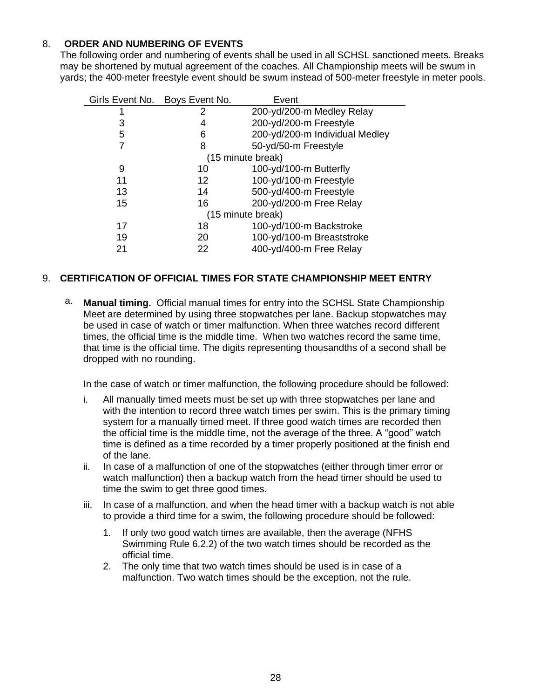### 8. **ORDER AND NUMBERING OF EVENTS**

The following order and numbering of events shall be used in all SCHSL sanctioned meets. Breaks may be shortened by mutual agreement of the coaches. All Championship meets will be swum in yards; the 400-meter freestyle event should be swum instead of 500-meter freestyle in meter pools.

| Girls Event No. | Boys Event No.    | Event                          |
|-----------------|-------------------|--------------------------------|
|                 | 2                 | 200-yd/200-m Medley Relay      |
| 3               | 4                 | 200-yd/200-m Freestyle         |
| 5               | 6                 | 200-yd/200-m Individual Medley |
|                 | 8                 | 50-yd/50-m Freestyle           |
|                 |                   | (15 minute break)              |
| 9               | 10                | 100-yd/100-m Butterfly         |
| 11              | $12 \overline{ }$ | 100-yd/100-m Freestyle         |
| 13              | 14                | 500-yd/400-m Freestyle         |
| 15              | 16                | 200-yd/200-m Free Relay        |
|                 |                   | (15 minute break)              |
| 17              | 18                | 100-yd/100-m Backstroke        |
| 19              | 20                | 100-yd/100-m Breaststroke      |
| 21              | 22                | 400-yd/400-m Free Relay        |

#### 9. **CERTIFICATION OF OFFICIAL TIMES FOR STATE CHAMPIONSHIP MEET ENTRY**

a. **Manual timing.** Official manual times for entry into the SCHSL State Championship Meet are determined by using three stopwatches per lane. Backup stopwatches may be used in case of watch or timer malfunction. When three watches record different times, the official time is the middle time. When two watches record the same time, that time is the official time. The digits representing thousandths of a second shall be dropped with no rounding.

In the case of watch or timer malfunction, the following procedure should be followed:

- i. All manually timed meets must be set up with three stopwatches per lane and with the intention to record three watch times per swim. This is the primary timing system for a manually timed meet. If three good watch times are recorded then the official time is the middle time, not the average of the three. A "good" watch time is defined as a time recorded by a timer properly positioned at the finish end of the lane.
- ii. In case of a malfunction of one of the stopwatches (either through timer error or watch malfunction) then a backup watch from the head timer should be used to time the swim to get three good times.
- iii. In case of a malfunction, and when the head timer with a backup watch is not able to provide a third time for a swim, the following procedure should be followed:
	- 1. If only two good watch times are available, then the average (NFHS Swimming Rule 6.2.2) of the two watch times should be recorded as the official time.
	- 2. The only time that two watch times should be used is in case of a malfunction. Two watch times should be the exception, not the rule.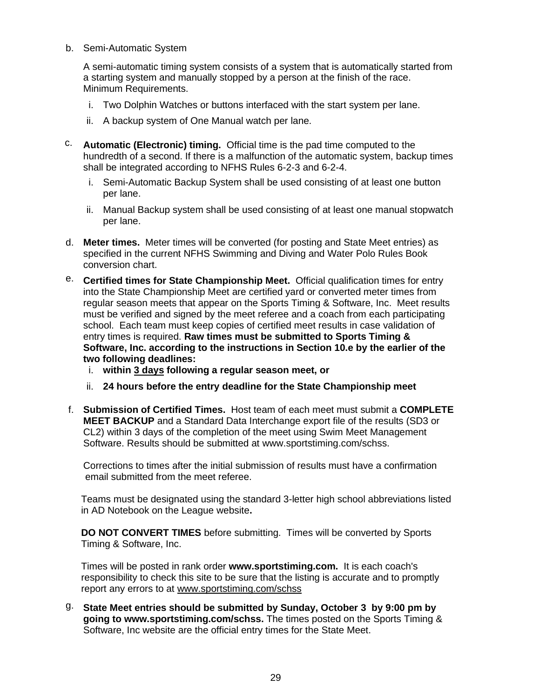#### b. Semi-Automatic System

A semi-automatic timing system consists of a system that is automatically started from a starting system and manually stopped by a person at the finish of the race. Minimum Requirements.

- i. Two Dolphin Watches or buttons interfaced with the start system per lane.
- ii. A backup system of One Manual watch per lane.
- c. **Automatic (Electronic) timing.** Official time is the pad time computed to the hundredth of a second. If there is a malfunction of the automatic system, backup times shall be integrated according to NFHS Rules 6-2-3 and 6-2-4.
	- i. Semi-Automatic Backup System shall be used consisting of at least one button per lane.
	- ii. Manual Backup system shall be used consisting of at least one manual stopwatch per lane.
- d. **Meter times.** Meter times will be converted (for posting and State Meet entries) as specified in the current NFHS Swimming and Diving and Water Polo Rules Book conversion chart.
- e. **Certified times for State Championship Meet.** Official qualification times for entry into the State Championship Meet are certified yard or converted meter times from regular season meets that appear on the Sports Timing & Software, Inc. Meet results must be verified and signed by the meet referee and a coach from each participating school. Each team must keep copies of certified meet results in case validation of entry times is required. **Raw times must be submitted to Sports Timing & Software, Inc. according to the instructions in Section 10.e by the earlier of the two following deadlines:**
	- i. **within 3 days following a regular season meet, or**
	- ii. **24 hours before the entry deadline for the State Championship meet**
- f. **Submission of Certified Times.** Host team of each meet must submit a **COMPLETE MEET BACKUP** and a Standard Data Interchange export file of the results (SD3 or CL2) within 3 days of the completion of the meet using Swim Meet Management Software. Results should be submitted at [www.sportstiming.com/schss.](http://www.sportstiming.com/schss)

Corrections to times after the initial submission of results must have a confirmation email submitted from the meet referee.

Teams must be designated using the standard 3-letter high school abbreviations listed in AD Notebook on the League website**.**

**DO NOT CONVERT TIMES** before submitting. Times will be converted by Sports Timing & Software, Inc.

Times will be posted in rank order **www.sportstiming.com.** It is each coach's responsibility to check this site to be sure that the listing is accurate and to promptly report any errors to at www.sportstiming.com/schss

g. **State Meet entries should be submitted by Sunday, October 3 by 9:00 pm by going to [www.sportstiming.com/schss.](http://www.sportstiming.com/schss)** The times posted on the Sports Timing & Software, Inc website are the official entry times for the State Meet.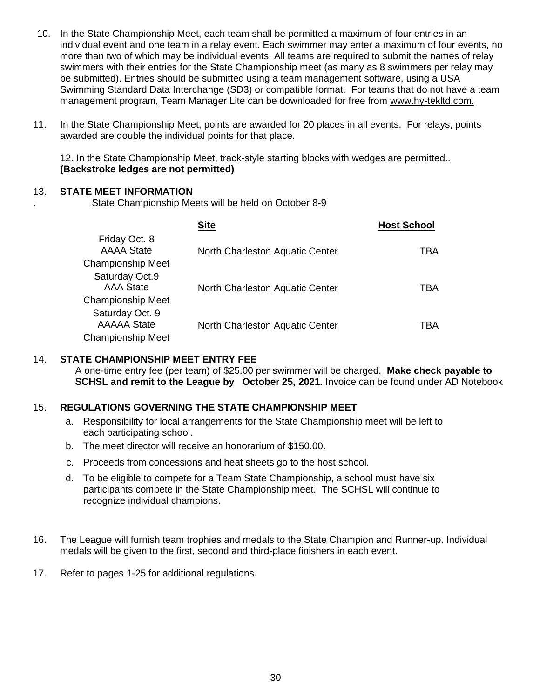- 10. In the State Championship Meet, each team shall be permitted a maximum of four entries in an individual event and one team in a relay event. Each swimmer may enter a maximum of four events, no more than two of which may be individual events. All teams are required to submit the names of relay swimmers with their entries for the State Championship meet (as many as 8 swimmers per relay may be submitted). Entries should be submitted using a team management software, using a USA Swimming Standard Data Interchange (SD3) or compatible format. For teams that do not have a team management program, Team Manager Lite can be downloaded for free from [www.hy-tekltd.com.](http://www.hy-tekltd.com/)
- 11. In the State Championship Meet, points are awarded for 20 places in all events. For relays, points awarded are double the individual points for that place.

12. In the State Championship Meet, track-style starting blocks with wedges are permitted.. **(Backstroke ledges are not permitted)**

#### 13. **STATE MEET INFORMATION**

.

State Championship Meets will be held on October 8-9

|                                       | <b>Site</b>                     | <b>Host School</b> |
|---------------------------------------|---------------------------------|--------------------|
| Friday Oct. 8<br><b>AAAA State</b>    | North Charleston Aquatic Center | TBA                |
| <b>Championship Meet</b>              |                                 |                    |
| Saturday Oct.9<br><b>AAA State</b>    | North Charleston Aquatic Center | TBA                |
| <b>Championship Meet</b>              |                                 |                    |
| Saturday Oct. 9<br><b>AAAAA</b> State | North Charleston Aquatic Center | TBA                |
| <b>Championship Meet</b>              |                                 |                    |

#### 14. **STATE CHAMPIONSHIP MEET ENTRY FEE**

A one-time entry fee (per team) of \$25.00 per swimmer will be charged. **Make check payable to SCHSL and remit to the League by October 25, 2021.** Invoice can be found under AD Notebook

#### 15. **REGULATIONS GOVERNING THE STATE CHAMPIONSHIP MEET**

- a. Responsibility for local arrangements for the State Championship meet will be left to each participating school.
- b. The meet director will receive an honorarium of \$150.00.
- c. Proceeds from concessions and heat sheets go to the host school.
- d. To be eligible to compete for a Team State Championship, a school must have six participants compete in the State Championship meet. The SCHSL will continue to recognize individual champions.
- 16. The League will furnish team trophies and medals to the State Champion and Runner-up. Individual medals will be given to the first, second and third-place finishers in each event.
- 17. Refer to pages 1-25 for additional regulations.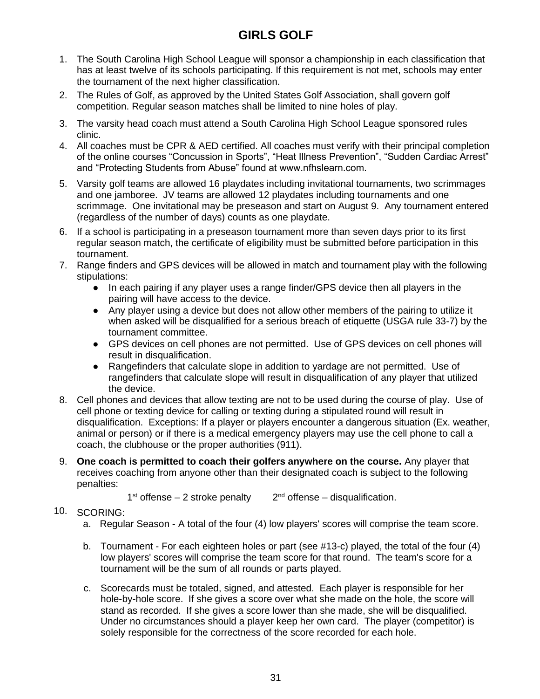# **GIRLS GOLF**

- <span id="page-30-0"></span>1. The South Carolina High School League will sponsor a championship in each classification that has at least twelve of its schools participating. If this requirement is not met, schools may enter the tournament of the next higher classification.
- 2. The Rules of Golf, as approved by the United States Golf Association, shall govern golf competition. Regular season matches shall be limited to nine holes of play.
- 3. The varsity head coach must attend a South Carolina High School League sponsored rules clinic.
- 4. All coaches must be CPR & AED certified. All coaches must verify with their principal completion of the online courses "Concussion in Sports", "Heat Illness Prevention", "Sudden Cardiac Arrest" and "Protecting Students from Abuse" found at www.nfhslearn.com.
- 5. Varsity golf teams are allowed 16 playdates including invitational tournaments, two scrimmages and one jamboree. JV teams are allowed 12 playdates including tournaments and one scrimmage. One invitational may be preseason and start on August 9. Any tournament entered (regardless of the number of days) counts as one playdate.
- 6. If a school is participating in a preseason tournament more than seven days prior to its first regular season match, the certificate of eligibility must be submitted before participation in this tournament.
- 7. Range finders and GPS devices will be allowed in match and tournament play with the following stipulations:
	- In each pairing if any player uses a range finder/GPS device then all players in the pairing will have access to the device.
	- Any player using a device but does not allow other members of the pairing to utilize it when asked will be disqualified for a serious breach of etiquette (USGA rule 33-7) by the tournament committee.
	- GPS devices on cell phones are not permitted. Use of GPS devices on cell phones will result in disqualification.
	- Rangefinders that calculate slope in addition to yardage are not permitted. Use of rangefinders that calculate slope will result in disqualification of any player that utilized the device.
- 8. Cell phones and devices that allow texting are not to be used during the course of play. Use of cell phone or texting device for calling or texting during a stipulated round will result in disqualification. Exceptions: If a player or players encounter a dangerous situation (Ex. weather, animal or person) or if there is a medical emergency players may use the cell phone to call a coach, the clubhouse or the proper authorities (911).
- 9. **One coach is permitted to coach their golfers anywhere on the course.** Any player that receives coaching from anyone other than their designated coach is subject to the following penalties:

 $1<sup>st</sup>$  offense – 2 stroke penalty  $2<sup>nd</sup>$  offense – disqualification.

### 10. SCORING:

- a. Regular Season A total of the four (4) low players' scores will comprise the team score.
- b. Tournament For each eighteen holes or part (see #13-c) played, the total of the four (4) low players' scores will comprise the team score for that round. The team's score for a tournament will be the sum of all rounds or parts played.
- c. Scorecards must be totaled, signed, and attested. Each player is responsible for her hole-by-hole score. If she gives a score over what she made on the hole, the score will stand as recorded. If she gives a score lower than she made, she will be disqualified. Under no circumstances should a player keep her own card. The player (competitor) is solely responsible for the correctness of the score recorded for each hole.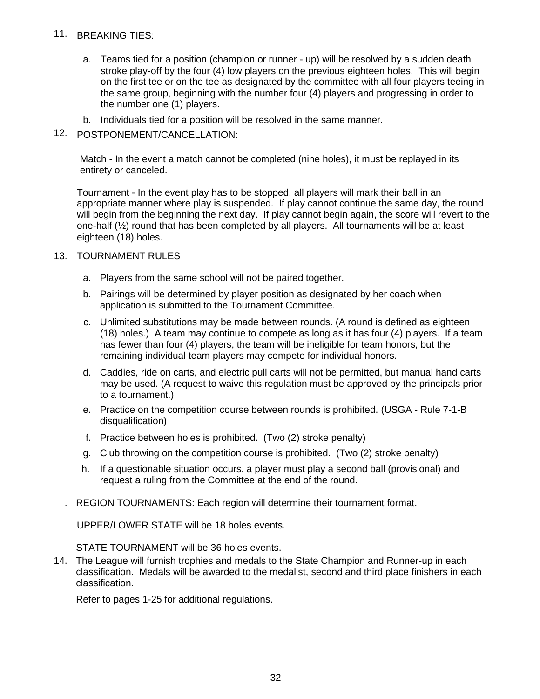#### 11. BREAKING TIES:

- a. Teams tied for a position (champion or runner up) will be resolved by a sudden death stroke play-off by the four (4) low players on the previous eighteen holes. This will begin on the first tee or on the tee as designated by the committee with all four players teeing in the same group, beginning with the number four (4) players and progressing in order to the number one (1) players.
- b. Individuals tied for a position will be resolved in the same manner.

### 12. POSTPONEMENT/CANCELLATION:

Match - In the event a match cannot be completed (nine holes), it must be replayed in its entirety or canceled.

Tournament - In the event play has to be stopped, all players will mark their ball in an appropriate manner where play is suspended. If play cannot continue the same day, the round will begin from the beginning the next day. If play cannot begin again, the score will revert to the one-half (½) round that has been completed by all players. All tournaments will be at least eighteen (18) holes.

#### 13. TOURNAMENT RULES

- a. Players from the same school will not be paired together.
- b. Pairings will be determined by player position as designated by her coach when application is submitted to the Tournament Committee.
- c. Unlimited substitutions may be made between rounds. (A round is defined as eighteen (18) holes.) A team may continue to compete as long as it has four (4) players. If a team has fewer than four (4) players, the team will be ineligible for team honors, but the remaining individual team players may compete for individual honors.
- d. Caddies, ride on carts, and electric pull carts will not be permitted, but manual hand carts may be used. (A request to waive this regulation must be approved by the principals prior to a tournament.)
- e. Practice on the competition course between rounds is prohibited. (USGA Rule 7-1-B disqualification)
- f. Practice between holes is prohibited. (Two (2) stroke penalty)
- g. Club throwing on the competition course is prohibited. (Two (2) stroke penalty)
- h. If a questionable situation occurs, a player must play a second ball (provisional) and request a ruling from the Committee at the end of the round.
- . REGION TOURNAMENTS: Each region will determine their tournament format.

UPPER/LOWER STATE will be 18 holes events.

STATE TOURNAMENT will be 36 holes events.

14. The League will furnish trophies and medals to the State Champion and Runner-up in each classification. Medals will be awarded to the medalist, second and third place finishers in each classification.

Refer to pages 1-25 for additional regulations.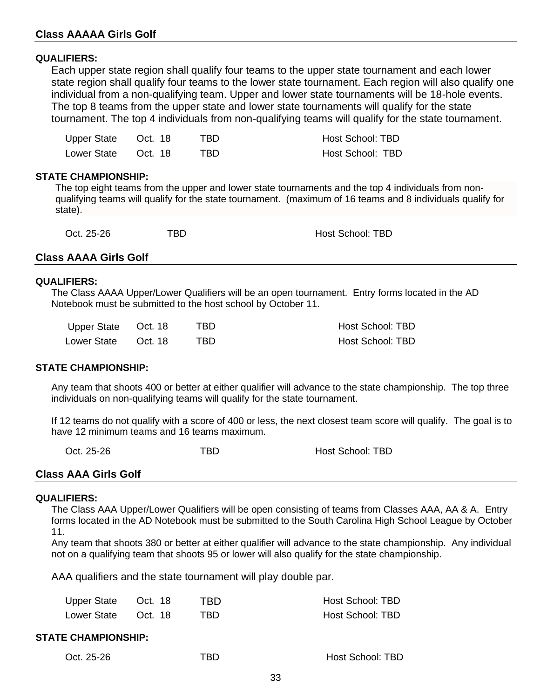#### **Class AAAAA Girls Golf**

#### **QUALIFIERS:**

Each upper state region shall qualify four teams to the upper state tournament and each lower state region shall qualify four teams to the lower state tournament. Each region will also qualify one individual from a non-qualifying team. Upper and lower state tournaments will be 18-hole events. The top 8 teams from the upper state and lower state tournaments will qualify for the state tournament. The top 4 individuals from non-qualifying teams will qualify for the state tournament.

| Upper State Oct. 18 | TRD. | Host School: TBD |
|---------------------|------|------------------|
| Lower State Oct. 18 | TBD. | Host School: TBD |

#### **STATE CHAMPIONSHIP:**

The top eight teams from the upper and lower state tournaments and the top 4 individuals from nonqualifying teams will qualify for the state tournament. (maximum of 16 teams and 8 individuals qualify for state).

| Oct. 25-26 | TBD | <b>Host School: TBD</b> |
|------------|-----|-------------------------|
|            |     |                         |

#### **Class AAAA Girls Golf**

#### **QUALIFIERS:**

The Class AAAA Upper/Lower Qualifiers will be an open tournament. Entry forms located in the AD Notebook must be submitted to the host school by October 11.

| Upper State | Oct. 18 | TBD. | Host School: TBD |
|-------------|---------|------|------------------|
| Lower State | Oct. 18 | TBD. | Host School: TBD |

#### **STATE CHAMPIONSHIP:**

Any team that shoots 400 or better at either qualifier will advance to the state championship. The top three individuals on non-qualifying teams will qualify for the state tournament.

If 12 teams do not qualify with a score of 400 or less, the next closest team score will qualify. The goal is to have 12 minimum teams and 16 teams maximum.

Oct. 25-26 TBD Host School: TBD Host School: TBD

#### **Class AAA Girls Golf**

#### **QUALIFIERS:**

The Class AAA Upper/Lower Qualifiers will be open consisting of teams from Classes AAA, AA & A. Entry forms located in the AD Notebook must be submitted to the South Carolina High School League by October 11.

Any team that shoots 380 or better at either qualifier will advance to the state championship. Any individual not on a qualifying team that shoots 95 or lower will also qualify for the state championship.

AAA qualifiers and the state tournament will play double par.

| Upper State Oct. 18 | TBD. | Host School: TBD |
|---------------------|------|------------------|
| Lower State Oct. 18 | TBD. | Host School: TBD |

### **STATE CHAMPIONSHIP:**

|  | Oct. 25-26 |
|--|------------|
|--|------------|

**TBD** Host School: TBD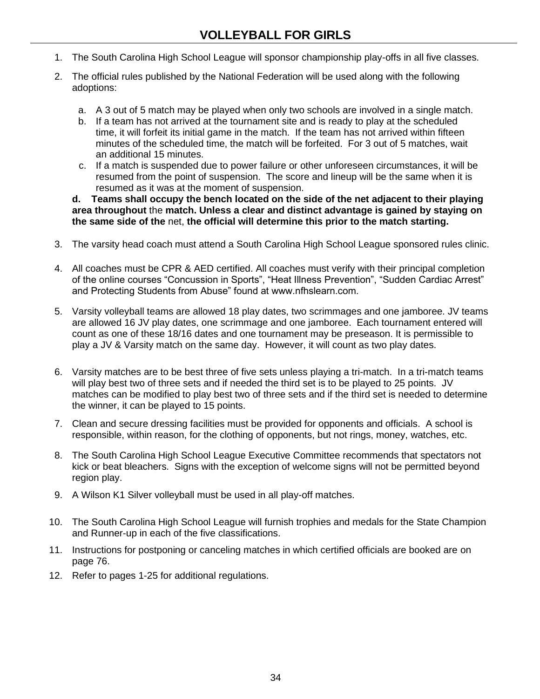- <span id="page-33-0"></span>1. The South Carolina High School League will sponsor championship play-offs in all five classes.
- 2. The official rules published by the National Federation will be used along with the following adoptions:
	- a. A 3 out of 5 match may be played when only two schools are involved in a single match.
	- b. If a team has not arrived at the tournament site and is ready to play at the scheduled time, it will forfeit its initial game in the match. If the team has not arrived within fifteen minutes of the scheduled time, the match will be forfeited. For 3 out of 5 matches, wait an additional 15 minutes.
	- c. If a match is suspended due to power failure or other unforeseen circumstances, it will be resumed from the point of suspension. The score and lineup will be the same when it is resumed as it was at the moment of suspension.

**d. Teams shall occupy the bench located on the side of the net adjacent to their playing area throughout** the **match. Unless a clear and distinct advantage is gained by staying on the same side of the** net, **the official will determine this prior to the match starting.**

- 3. The varsity head coach must attend a South Carolina High School League sponsored rules clinic.
- 4. All coaches must be CPR & AED certified. All coaches must verify with their principal completion of the online courses "Concussion in Sports", "Heat Illness Prevention", "Sudden Cardiac Arrest" and Protecting Students from Abuse" found at www.nfhslearn.com.
- 5. Varsity volleyball teams are allowed 18 play dates, two scrimmages and one jamboree. JV teams are allowed 16 JV play dates, one scrimmage and one jamboree. Each tournament entered will count as one of these 18/16 dates and one tournament may be preseason. It is permissible to play a JV & Varsity match on the same day. However, it will count as two play dates.
- 6. Varsity matches are to be best three of five sets unless playing a tri-match. In a tri-match teams will play best two of three sets and if needed the third set is to be played to 25 points. JV matches can be modified to play best two of three sets and if the third set is needed to determine the winner, it can be played to 15 points.
- 7. Clean and secure dressing facilities must be provided for opponents and officials. A school is responsible, within reason, for the clothing of opponents, but not rings, money, watches, etc.
- 8. The South Carolina High School League Executive Committee recommends that spectators not kick or beat bleachers. Signs with the exception of welcome signs will not be permitted beyond region play.
- 9. A Wilson K1 Silver volleyball must be used in all play-off matches.
- 10. The South Carolina High School League will furnish trophies and medals for the State Champion and Runner-up in each of the five classifications.
- 11. Instructions for postponing or canceling matches in which certified officials are booked are on page 76.
- 12. Refer to pages 1-25 for additional regulations.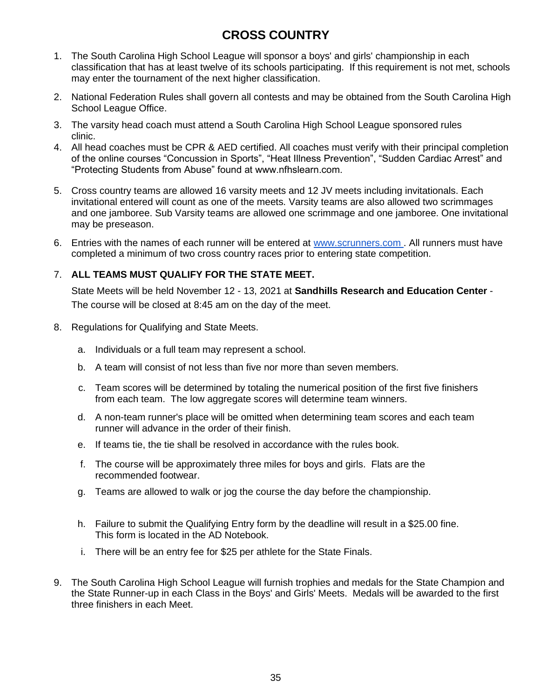# **CROSS COUNTRY**

- <span id="page-34-0"></span>1. The South Carolina High School League will sponsor a boys' and girls' championship in each classification that has at least twelve of its schools participating. If this requirement is not met, schools may enter the tournament of the next higher classification.
- 2. National Federation Rules shall govern all contests and may be obtained from the South Carolina High School League Office.
- 3. The varsity head coach must attend a South Carolina High School League sponsored rules clinic.
- 4. All head coaches must be CPR & AED certified. All coaches must verify with their principal completion of the online courses "Concussion in Sports", "Heat Illness Prevention", "Sudden Cardiac Arrest" and "Protecting Students from Abuse" found at www.nfhslearn.com.
- 5. Cross country teams are allowed 16 varsity meets and 12 JV meets including invitationals. Each invitational entered will count as one of the meets. Varsity teams are also allowed two scrimmages and one jamboree. Sub Varsity teams are allowed one scrimmage and one jamboree. One invitational may be preseason.
- 6. Entries with the names of each runner will be entered at [www.scrunners.c](http://www.scrunners.com/)om. All runners must have completed a minimum of two cross country races prior to entering state competition.

### 7. **ALL TEAMS MUST QUALIFY FOR THE STATE MEET.**

State Meets will be held November 12 - 13, 2021 at **Sandhills Research and Education Center** - The course will be closed at 8:45 am on the day of the meet.

- 8. Regulations for Qualifying and State Meets.
	- a. Individuals or a full team may represent a school.
	- b. A team will consist of not less than five nor more than seven members.
	- c. Team scores will be determined by totaling the numerical position of the first five finishers from each team. The low aggregate scores will determine team winners.
	- d. A non-team runner's place will be omitted when determining team scores and each team runner will advance in the order of their finish.
	- e. If teams tie, the tie shall be resolved in accordance with the rules book.
	- f. The course will be approximately three miles for boys and girls. Flats are the recommended footwear.
	- g. Teams are allowed to walk or jog the course the day before the championship.
	- h. Failure to submit the Qualifying Entry form by the deadline will result in a \$25.00 fine. This form is located in the AD Notebook.
	- i. There will be an entry fee for \$25 per athlete for the State Finals.
- 9. The South Carolina High School League will furnish trophies and medals for the State Champion and the State Runner-up in each Class in the Boys' and Girls' Meets. Medals will be awarded to the first three finishers in each Meet.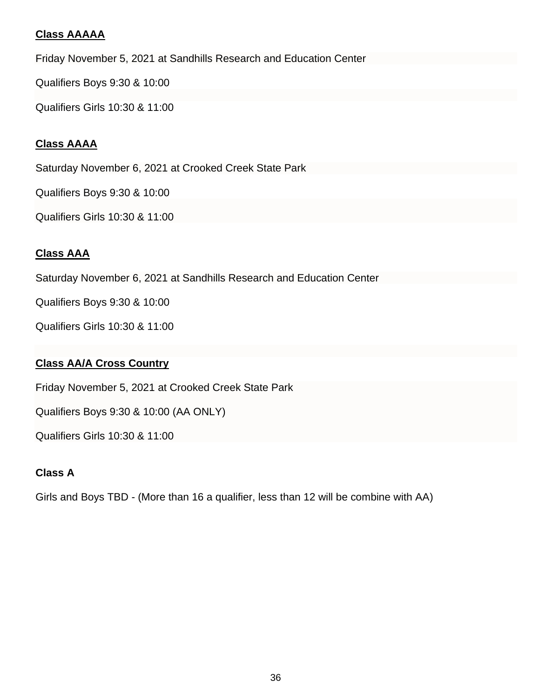### **Class AAAAA**

Friday November 5, 2021 at Sandhills Research and Education Center

Qualifiers Boys 9:30 & 10:00

Qualifiers Girls 10:30 & 11:00

### **Class AAAA**

Saturday November 6, 2021 at Crooked Creek State Park

Qualifiers Boys 9:30 & 10:00

Qualifiers Girls 10:30 & 11:00

### **Class AAA**

Saturday November 6, 2021 at Sandhills Research and Education Center

Qualifiers Boys 9:30 & 10:00

Qualifiers Girls 10:30 & 11:00

### **Class AA/A Cross Country**

Friday November 5, 2021 at Crooked Creek State Park

Qualifiers Boys 9:30 & 10:00 (AA ONLY)

Qualifiers Girls 10:30 & 11:00

## **Class A**

Girls and Boys TBD - (More than 16 a qualifier, less than 12 will be combine with AA)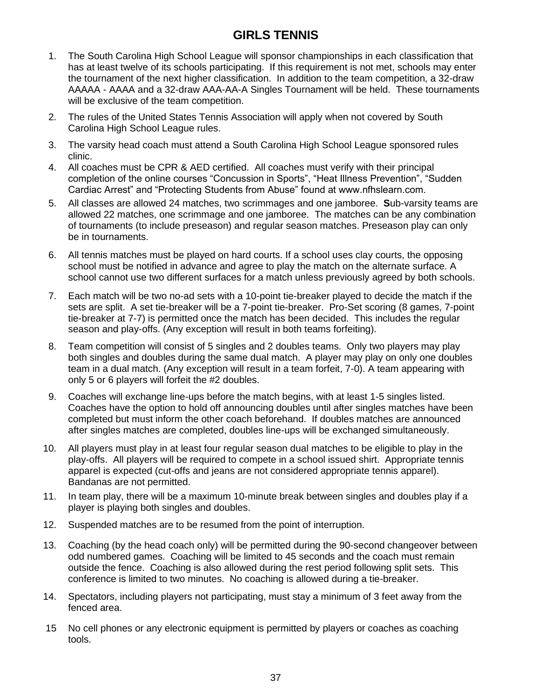# **GIRLS TENNIS**

- 1. The South Carolina High School League will sponsor championships in each classification that has at least twelve of its schools participating. If this requirement is not met, schools may enter the tournament of the next higher classification. In addition to the team competition, a 32-draw AAAAA - AAAA and a 32-draw AAA-AA-A Singles Tournament will be held. These tournaments will be exclusive of the team competition.
- 2. The rules of the United States Tennis Association will apply when not covered by South Carolina High School League rules.
- 3. The varsity head coach must attend a South Carolina High School League sponsored rules clinic.
- 4. All coaches must be CPR & AED certified. All coaches must verify with their principal completion of the online courses "Concussion in Sports", "Heat Illness Prevention", "Sudden Cardiac Arrest" and "Protecting Students from Abuse" found at www.nfhslearn.com.
- 5. All classes are allowed 24 matches, two scrimmages and one jamboree. **S**ub-varsity teams are allowed 22 matches, one scrimmage and one jamboree. The matches can be any combination of tournaments (to include preseason) and regular season matches. Preseason play can only be in tournaments.
- 6. All tennis matches must be played on hard courts. If a school uses clay courts, the opposing school must be notified in advance and agree to play the match on the alternate surface. A school cannot use two different surfaces for a match unless previously agreed by both schools.
- 7. Each match will be two no-ad sets with a 10-point tie-breaker played to decide the match if the sets are split. A set tie-breaker will be a 7-point tie-breaker. Pro-Set scoring (8 games, 7-point tie-breaker at 7-7) is permitted once the match has been decided. This includes the regular season and play-offs. (Any exception will result in both teams forfeiting).
- 8. Team competition will consist of 5 singles and 2 doubles teams. Only two players may play both singles and doubles during the same dual match. A player may play on only one doubles team in a dual match. (Any exception will result in a team forfeit, 7-0). A team appearing with only 5 or 6 players will forfeit the #2 doubles.
- 9. Coaches will exchange line-ups before the match begins, with at least 1-5 singles listed. Coaches have the option to hold off announcing doubles until after singles matches have been completed but must inform the other coach beforehand. If doubles matches are announced after singles matches are completed, doubles line-ups will be exchanged simultaneously.
- 10. All players must play in at least four regular season dual matches to be eligible to play in the play-offs. All players will be required to compete in a school issued shirt. Appropriate tennis apparel is expected (cut-offs and jeans are not considered appropriate tennis apparel). Bandanas are not permitted.
- 11. In team play, there will be a maximum 10-minute break between singles and doubles play if a player is playing both singles and doubles.
- 12. Suspended matches are to be resumed from the point of interruption.
- 13. Coaching (by the head coach only) will be permitted during the 90-second changeover between odd numbered games. Coaching will be limited to 45 seconds and the coach must remain outside the fence. Coaching is also allowed during the rest period following split sets. This conference is limited to two minutes. No coaching is allowed during a tie-breaker.
- 14. Spectators, including players not participating, must stay a minimum of 3 feet away from the fenced area.
- 15 No cell phones or any electronic equipment is permitted by players or coaches as coaching tools.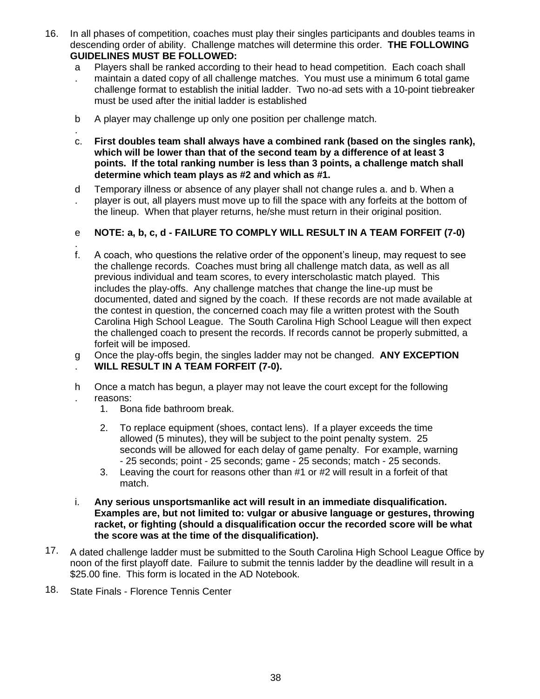- 16. In all phases of competition, coaches must play their singles participants and doubles teams in descending order of ability. Challenge matches will determine this order. **THE FOLLOWING GUIDELINES MUST BE FOLLOWED:**
	- a Players shall be ranked according to their head to head competition. Each coach shall
	- . maintain a dated copy of all challenge matches. You must use a minimum 6 total game challenge format to establish the initial ladder. Two no-ad sets with a 10-point tiebreaker must be used after the initial ladder is established
	- b A player may challenge up only one position per challenge match.
	- . c. **First doubles team shall always have a combined rank (based on the singles rank), which will be lower than that of the second team by a difference of at least 3 points. If the total ranking number is less than 3 points, a challenge match shall determine which team plays as #2 and which as #1.**
	- d . Temporary illness or absence of any player shall not change rules a. and b. When a player is out, all players must move up to fill the space with any forfeits at the bottom of the lineup. When that player returns, he/she must return in their original position.

#### e **NOTE: a, b, c, d - FAILURE TO COMPLY WILL RESULT IN A TEAM FORFEIT (7-0)**

- . f. A coach, who questions the relative order of the opponent's lineup, may request to see the challenge records. Coaches must bring all challenge match data, as well as all previous individual and team scores, to every interscholastic match played. This includes the play-offs. Any challenge matches that change the line-up must be documented, dated and signed by the coach. If these records are not made available at the contest in question, the concerned coach may file a written protest with the South Carolina High School League. The South Carolina High School League will then expect the challenged coach to present the records. If records cannot be properly submitted, a forfeit will be imposed.
- g . Once the play-offs begin, the singles ladder may not be changed. **ANY EXCEPTION WILL RESULT IN A TEAM FORFEIT (7-0).**
- h . Once a match has begun, a player may not leave the court except for the following reasons:
	- 1. Bona fide bathroom break.
	- 2. To replace equipment (shoes, contact lens). If a player exceeds the time allowed (5 minutes), they will be subject to the point penalty system. 25 seconds will be allowed for each delay of game penalty. For example, warning - 25 seconds; point - 25 seconds; game - 25 seconds; match - 25 seconds.
	- 3. Leaving the court for reasons other than #1 or #2 will result in a forfeit of that match.
- i. **Any serious unsportsmanlike act will result in an immediate disqualification. Examples are, but not limited to: vulgar or abusive language or gestures, throwing racket, or fighting (should a disqualification occur the recorded score will be what the score was at the time of the disqualification).**
- 17. A dated challenge ladder must be submitted to the South Carolina High School League Office by noon of the first playoff date. Failure to submit the tennis ladder by the deadline will result in a \$25.00 fine. This form is located in the AD Notebook.
- 18. State Finals Florence Tennis Center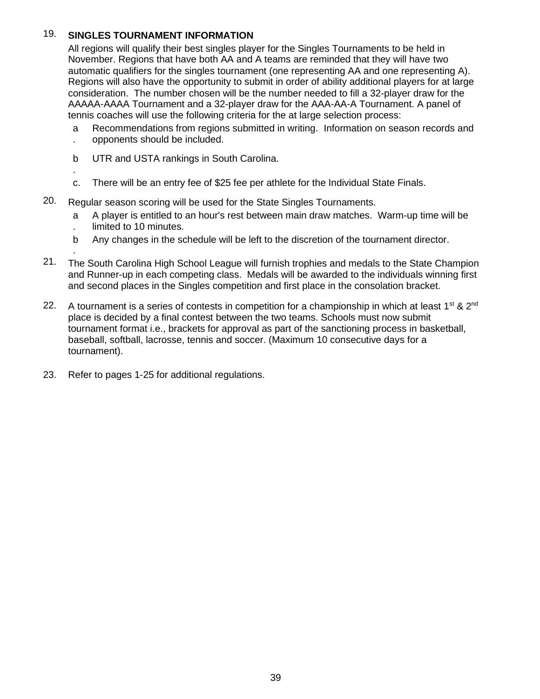# 19. **SINGLES TOURNAMENT INFORMATION**

All regions will qualify their best singles player for the Singles Tournaments to be held in November. Regions that have both AA and A teams are reminded that they will have two automatic qualifiers for the singles tournament (one representing AA and one representing A). Regions will also have the opportunity to submit in order of ability additional players for at large consideration. The number chosen will be the number needed to fill a 32-player draw for the AAAAA-AAAA Tournament and a 32-player draw for the AAA-AA-A Tournament. A panel of tennis coaches will use the following criteria for the at large selection process:

- a Recommendations from regions submitted in writing. Information on season records and
- . opponents should be included.

.

.

- b UTR and USTA rankings in South Carolina.
- c. There will be an entry fee of \$25 fee per athlete for the Individual State Finals.
- 20. Regular season scoring will be used for the State Singles Tournaments.
	- a . A player is entitled to an hour's rest between main draw matches. Warm-up time will be limited to 10 minutes.
	- b Any changes in the schedule will be left to the discretion of the tournament director.
- 21. The South Carolina High School League will furnish trophies and medals to the State Champion and Runner-up in each competing class. Medals will be awarded to the individuals winning first and second places in the Singles competition and first place in the consolation bracket.
- 22. A tournament is a series of contests in competition for a championship in which at least  $1^{st}$  &  $2^{nd}$ place is decided by a final contest between the two teams. Schools must now submit tournament format i.e., brackets for approval as part of the sanctioning process in basketball, baseball, softball, lacrosse, tennis and soccer. (Maximum 10 consecutive days for a tournament).
- 23. Refer to pages 1-25 for additional regulations.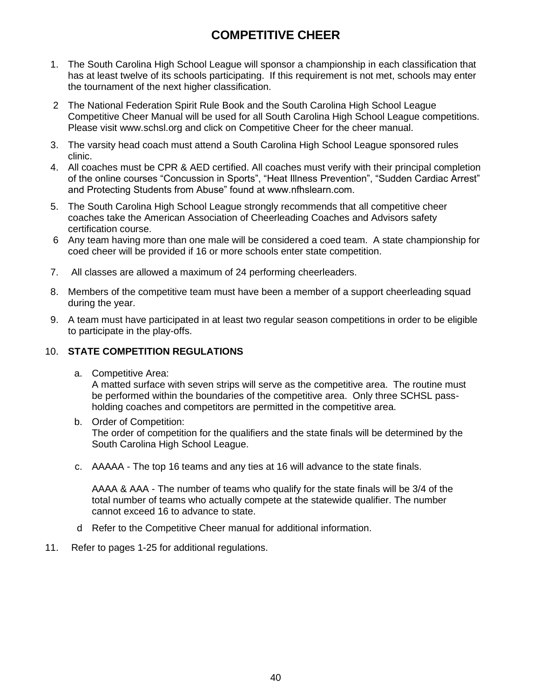# **COMPETITIVE CHEER**

- 1. The South Carolina High School League will sponsor a championship in each classification that has at least twelve of its schools participating. If this requirement is not met, schools may enter the tournament of the next higher classification.
- 2 The National Federation Spirit Rule Book and the South Carolina High School League Competitive Cheer Manual will be used for all South Carolina High School League competitions. Please visit www.schsl.org and click on Competitive Cheer for the cheer manual.
- 3. The varsity head coach must attend a South Carolina High School League sponsored rules clinic.
- 4. All coaches must be CPR & AED certified. All coaches must verify with their principal completion of the online courses "Concussion in Sports", "Heat Illness Prevention", "Sudden Cardiac Arrest" and Protecting Students from Abuse" found at www.nfhslearn.com.
- 5. The South Carolina High School League strongly recommends that all competitive cheer coaches take the American Association of Cheerleading Coaches and Advisors safety certification course.
- 6 Any team having more than one male will be considered a coed team. A state championship for coed cheer will be provided if 16 or more schools enter state competition.
- 7. All classes are allowed a maximum of 24 performing cheerleaders.
- 8. Members of the competitive team must have been a member of a support cheerleading squad during the year.
- 9. A team must have participated in at least two regular season competitions in order to be eligible to participate in the play-offs.

### 10. **STATE COMPETITION REGULATIONS**

a. Competitive Area:

A matted surface with seven strips will serve as the competitive area. The routine must be performed within the boundaries of the competitive area. Only three SCHSL passholding coaches and competitors are permitted in the competitive area.

- b. Order of Competition: The order of competition for the qualifiers and the state finals will be determined by the South Carolina High School League.
- c. AAAAA The top 16 teams and any ties at 16 will advance to the state finals.

AAAA & AAA - The number of teams who qualify for the state finals will be 3/4 of the total number of teams who actually compete at the statewide qualifier. The number cannot exceed 16 to advance to state.

- d Refer to the Competitive Cheer manual for additional information.
- 11. Refer to pages 1-25 for additional regulations.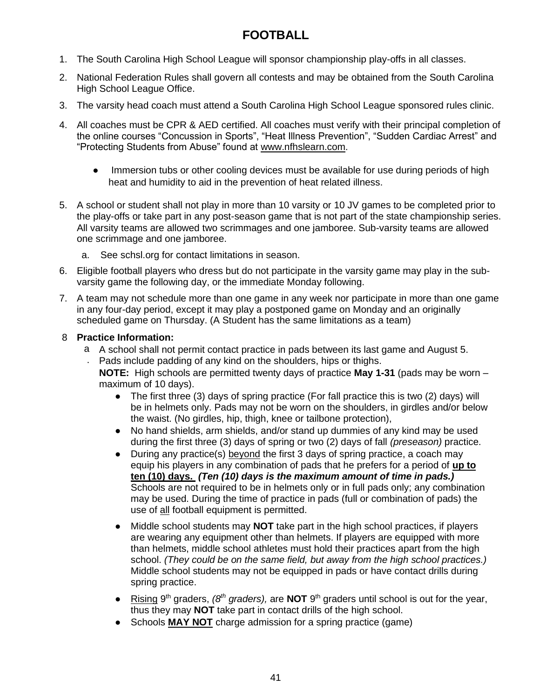# **FOOTBALL**

- 1. The South Carolina High School League will sponsor championship play-offs in all classes.
- 2. National Federation Rules shall govern all contests and may be obtained from the South Carolina High School League Office.
- 3. The varsity head coach must attend a South Carolina High School League sponsored rules clinic.
- 4. All coaches must be CPR & AED certified. All coaches must verify with their principal completion of the online courses "Concussion in Sports", "Heat Illness Prevention", "Sudden Cardiac Arrest" and "Protecting Students from Abuse" found at [www.nfhslearn.com.](http://www.nfhslearn.com/)
	- Immersion tubs or other cooling devices must be available for use during periods of high heat and humidity to aid in the prevention of heat related illness.
- 5. A school or student shall not play in more than 10 varsity or 10 JV games to be completed prior to the play-offs or take part in any post-season game that is not part of the state championship series. All varsity teams are allowed two scrimmages and one jamboree. Sub-varsity teams are allowed one scrimmage and one jamboree.
	- a. See schsl.org for contact limitations in season.
- 6. Eligible football players who dress but do not participate in the varsity game may play in the subvarsity game the following day, or the immediate Monday following.
- 7. A team may not schedule more than one game in any week nor participate in more than one game in any four-day period, except it may play a postponed game on Monday and an originally scheduled game on Thursday. (A Student has the same limitations as a team)

### 8 **Practice Information:**

- a A school shall not permit contact practice in pads between its last game and August 5. . Pads include padding of any kind on the shoulders, hips or thighs.
	- **NOTE:** High schools are permitted twenty days of practice **May 1-31** (pads may be worn maximum of 10 days).
		- The first three (3) days of spring practice (For fall practice this is two (2) days) will be in helmets only. Pads may not be worn on the shoulders, in girdles and/or below the waist. (No girdles, hip, thigh, knee or tailbone protection),
		- No hand shields, arm shields, and/or stand up dummies of any kind may be used during the first three (3) days of spring or two (2) days of fall *(preseason)* practice.
		- During any practice(s) beyond the first 3 days of spring practice, a coach may equip his players in any combination of pads that he prefers for a period of **up to ten (10) days.** *(Ten (10) days is the maximum amount of time in pads.)* Schools are not required to be in helmets only or in full pads only; any combination may be used. During the time of practice in pads (full or combination of pads) the use of all football equipment is permitted.
		- Middle school students may **NOT** take part in the high school practices, if players are wearing any equipment other than helmets. If players are equipped with more than helmets, middle school athletes must hold their practices apart from the high school. *(They could be on the same field, but away from the high school practices.)* Middle school students may not be equipped in pads or have contact drills during spring practice.
		- Rising 9<sup>th</sup> graders, (8<sup>th</sup> graders), are **NOT** 9<sup>th</sup> graders until school is out for the year, thus they may **NOT** take part in contact drills of the high school.
		- Schools **MAY NOT** charge admission for a spring practice (game)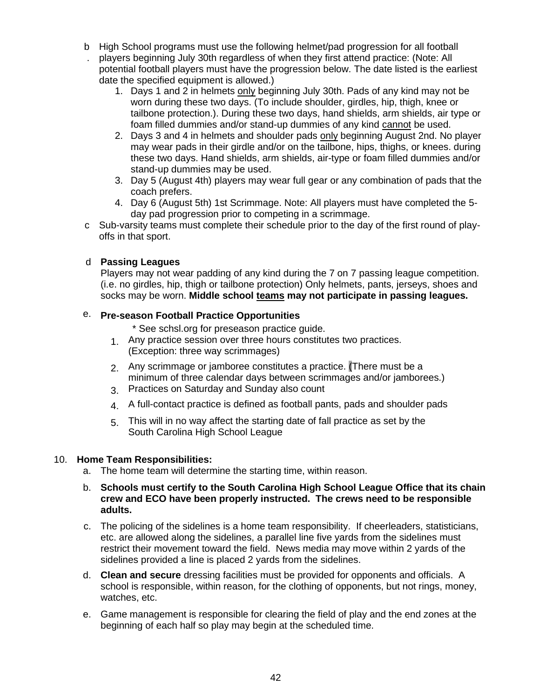- b High School programs must use the following helmet/pad progression for all football . players beginning July 30th regardless of when they first attend practice: (Note: All
- potential football players must have the progression below. The date listed is the earliest date the specified equipment is allowed.)
	- 1. Days 1 and 2 in helmets only beginning July 30th. Pads of any kind may not be worn during these two days. (To include shoulder, girdles, hip, thigh, knee or tailbone protection.). During these two days, hand shields, arm shields, air type or foam filled dummies and/or stand-up dummies of any kind cannot be used.
	- 2. Days 3 and 4 in helmets and shoulder pads only beginning August 2nd. No player may wear pads in their girdle and/or on the tailbone, hips, thighs, or knees. during these two days. Hand shields, arm shields, air-type or foam filled dummies and/or stand-up dummies may be used.
	- 3. Day 5 (August 4th) players may wear full gear or any combination of pads that the coach prefers.
	- 4. Day 6 (August 5th) 1st Scrimmage. Note: All players must have completed the 5 day pad progression prior to competing in a scrimmage.
- c Sub-varsity teams must complete their schedule prior to the day of the first round of playoffs in that sport.

# d **Passing Leagues**

Players may not wear padding of any kind during the 7 on 7 passing league competition. (i.e. no girdles, hip, thigh or tailbone protection) Only helmets, pants, jerseys, shoes and socks may be worn. **Middle school teams may not participate in passing leagues.**

# e. **Pre-season Football Practice Opportunities**

\* See schsl.org for preseason practice guide.

- 1. Any practice session over three hours constitutes two practices. (Exception: three way scrimmages)
- 2. Any scrimmage or jamboree constitutes a practice. (There must be a minimum of three calendar days between scrimmages and/or jamborees.)
- 3. Practices on Saturday and Sunday also count
- 4. A full-contact practice is defined as football pants, pads and shoulder pads
- 5. This will in no way affect the starting date of fall practice as set by the South Carolina High School League

### 10. **Home Team Responsibilities:**

- a. The home team will determine the starting time, within reason.
- b. **Schools must certify to the South Carolina High School League Office that its chain crew and ECO have been properly instructed. The crews need to be responsible adults.**
- c. The policing of the sidelines is a home team responsibility. If cheerleaders, statisticians, etc. are allowed along the sidelines, a parallel line five yards from the sidelines must restrict their movement toward the field. News media may move within 2 yards of the sidelines provided a line is placed 2 yards from the sidelines.
- d. **Clean and secure** dressing facilities must be provided for opponents and officials. A school is responsible, within reason, for the clothing of opponents, but not rings, money, watches, etc.
- e. Game management is responsible for clearing the field of play and the end zones at the beginning of each half so play may begin at the scheduled time.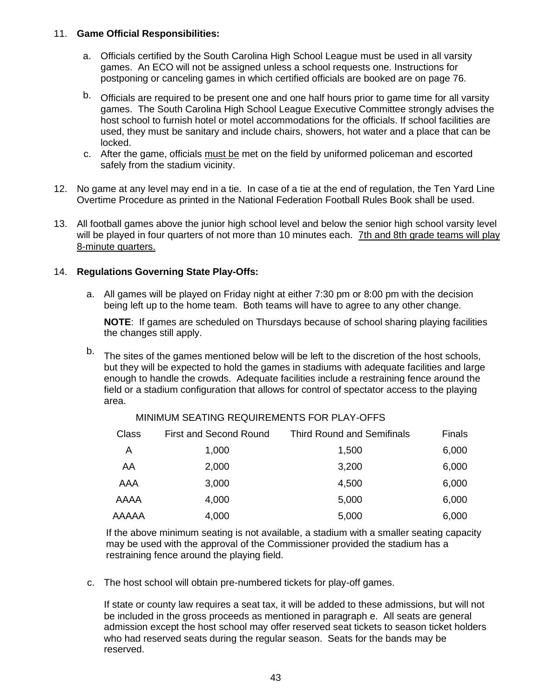#### 11. **Game Official Responsibilities:**

- a. Officials certified by the South Carolina High School League must be used in all varsity games. An ECO will not be assigned unless a school requests one. Instructions for postponing or canceling games in which certified officials are booked are on page 76.
- b. Officials are required to be present one and one half hours prior to game time for all varsity games. The South Carolina High School League Executive Committee strongly advises the host school to furnish hotel or motel accommodations for the officials. If school facilities are used, they must be sanitary and include chairs, showers, hot water and a place that can be locked.
- c. After the game, officials must be met on the field by uniformed policeman and escorted safely from the stadium vicinity.
- 12. No game at any level may end in a tie. In case of a tie at the end of regulation, the Ten Yard Line Overtime Procedure as printed in the National Federation Football Rules Book shall be used.
- 13. All football games above the junior high school level and below the senior high school varsity level will be played in four quarters of not more than 10 minutes each. 7th and 8th grade teams will play 8-minute quarters.

# 14. **Regulations Governing State Play-Offs:**

a. All games will be played on Friday night at either 7:30 pm or 8:00 pm with the decision being left up to the home team. Both teams will have to agree to any other change.

**NOTE**: If games are scheduled on Thursdays because of school sharing playing facilities the changes still apply.

b. The sites of the games mentioned below will be left to the discretion of the host schools, but they will be expected to hold the games in stadiums with adequate facilities and large enough to handle the crowds. Adequate facilities include a restraining fence around the field or a stadium configuration that allows for control of spectator access to the playing area.

| Class | <b>First and Second Round</b> | <b>Third Round and Semifinals</b> | Finals |
|-------|-------------------------------|-----------------------------------|--------|
| A     | 1,000                         | 1,500                             | 6,000  |
| AA    | 2,000                         | 3,200                             | 6,000  |
| AAA   | 3,000                         | 4,500                             | 6,000  |
| AAAA  | 4,000                         | 5,000                             | 6,000  |
| AAAAA | 4,000                         | 5,000                             | 6,000  |
|       |                               |                                   |        |

MINIMUM SEATING REQUIREMENTS FOR PLAY-OFFS

If the above minimum seating is not available, a stadium with a smaller seating capacity may be used with the approval of the Commissioner provided the stadium has a restraining fence around the playing field.

c. The host school will obtain pre-numbered tickets for play-off games.

If state or county law requires a seat tax, it will be added to these admissions, but will not be included in the gross proceeds as mentioned in paragraph e. All seats are general admission except the host school may offer reserved seat tickets to season ticket holders who had reserved seats during the regular season. Seats for the bands may be reserved.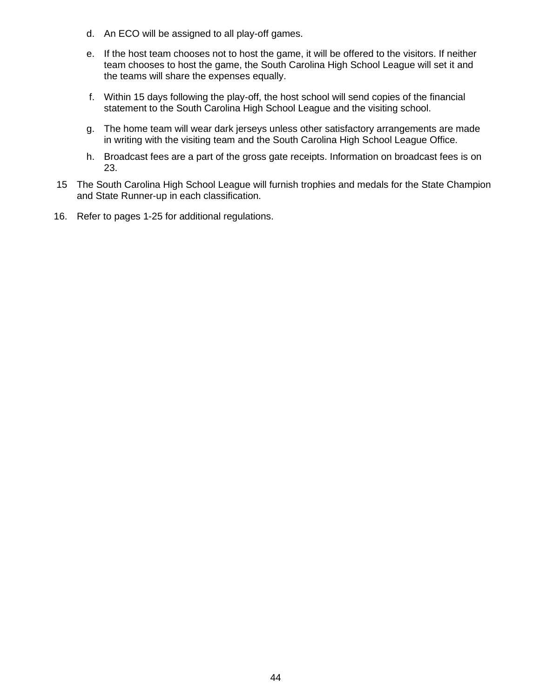- d. An ECO will be assigned to all play-off games.
- e. If the host team chooses not to host the game, it will be offered to the visitors. If neither team chooses to host the game, the South Carolina High School League will set it and the teams will share the expenses equally.
- f. Within 15 days following the play-off, the host school will send copies of the financial statement to the South Carolina High School League and the visiting school.
- g. The home team will wear dark jerseys unless other satisfactory arrangements are made in writing with the visiting team and the South Carolina High School League Office.
- h. Broadcast fees are a part of the gross gate receipts. Information on broadcast fees is on 23.
- 15 The South Carolina High School League will furnish trophies and medals for the State Champion and State Runner-up in each classification.
- 16. Refer to pages 1-25 for additional regulations.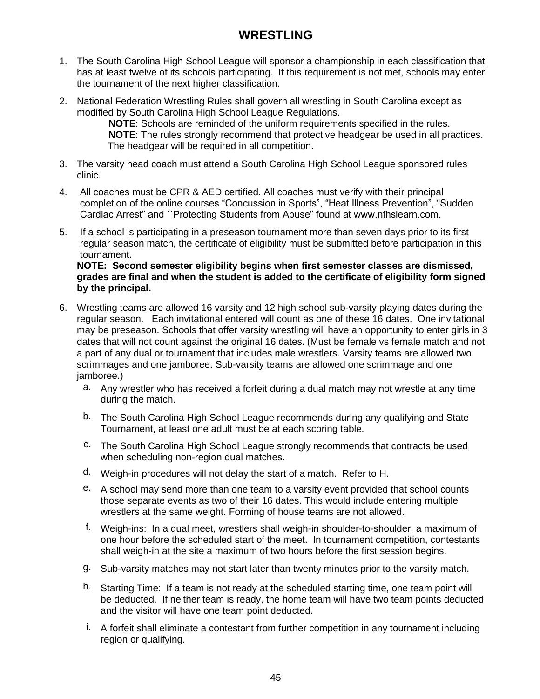# **WRESTLING**

- 1. The South Carolina High School League will sponsor a championship in each classification that has at least twelve of its schools participating. If this requirement is not met, schools may enter the tournament of the next higher classification.
- 2. National Federation Wrestling Rules shall govern all wrestling in South Carolina except as modified by South Carolina High School League Regulations.

**NOTE**: Schools are reminded of the uniform requirements specified in the rules. **NOTE**: The rules strongly recommend that protective headgear be used in all practices. The headgear will be required in all competition.

- 3. The varsity head coach must attend a South Carolina High School League sponsored rules clinic.
- 4. All coaches must be CPR & AED certified. All coaches must verify with their principal completion of the online courses "Concussion in Sports", "Heat Illness Prevention", "Sudden Cardiac Arrest" and ``Protecting Students from Abuse" found at www.nfhslearn.com.
- 5. If a school is participating in a preseason tournament more than seven days prior to its first regular season match, the certificate of eligibility must be submitted before participation in this tournament.

**NOTE: Second semester eligibility begins when first semester classes are dismissed, grades are final and when the student is added to the certificate of eligibility form signed by the principal.**

- 6. Wrestling teams are allowed 16 varsity and 12 high school sub-varsity playing dates during the regular season. Each invitational entered will count as one of these 16 dates. One invitational may be preseason. Schools that offer varsity wrestling will have an opportunity to enter girls in 3 dates that will not count against the original 16 dates. (Must be female vs female match and not a part of any dual or tournament that includes male wrestlers. Varsity teams are allowed two scrimmages and one jamboree. Sub-varsity teams are allowed one scrimmage and one jamboree.)
	- a. Any wrestler who has received a forfeit during a dual match may not wrestle at any time during the match.
	- b. The South Carolina High School League recommends during any qualifying and State Tournament, at least one adult must be at each scoring table.
	- c. The South Carolina High School League strongly recommends that contracts be used when scheduling non-region dual matches.
	- d. Weigh-in procedures will not delay the start of a match. Refer to H.
	- e. A school may send more than one team to a varsity event provided that school counts those separate events as two of their 16 dates. This would include entering multiple wrestlers at the same weight. Forming of house teams are not allowed.
	- f. Weigh-ins: In a dual meet, wrestlers shall weigh-in shoulder-to-shoulder, a maximum of one hour before the scheduled start of the meet. In tournament competition, contestants shall weigh-in at the site a maximum of two hours before the first session begins.
	- g. Sub-varsity matches may not start later than twenty minutes prior to the varsity match.
	- h. Starting Time: If a team is not ready at the scheduled starting time, one team point will be deducted. If neither team is ready, the home team will have two team points deducted and the visitor will have one team point deducted.
	- i. A forfeit shall eliminate a contestant from further competition in any tournament including region or qualifying.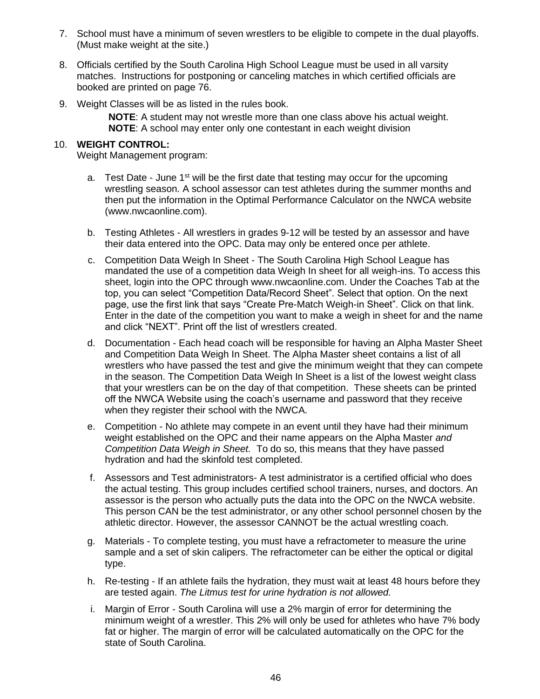- 7. School must have a minimum of seven wrestlers to be eligible to compete in the dual playoffs. (Must make weight at the site.)
- 8. Officials certified by the South Carolina High School League must be used in all varsity matches. Instructions for postponing or canceling matches in which certified officials are booked are printed on page 76.
- 9. Weight Classes will be as listed in the rules book.

**NOTE**: A student may not wrestle more than one class above his actual weight. **NOTE**: A school may enter only one contestant in each weight division

# 10. **WEIGHT CONTROL:**

Weight Management program:

- a. Test Date June  $1<sup>st</sup>$  will be the first date that testing may occur for the upcoming wrestling season. A school assessor can test athletes during the summer months and then put the information in the Optimal Performance Calculator on the NWCA website (www.nwcaonline.com).
- b. Testing Athletes All wrestlers in grades 9-12 will be tested by an assessor and have their data entered into the OPC. Data may only be entered once per athlete.
- c. Competition Data Weigh In Sheet The South Carolina High School League has mandated the use of a competition data Weigh In sheet for all weigh-ins. To access this sheet, login into the OPC through www.nwcaonline.com. Under the Coaches Tab at the top, you can select "Competition Data/Record Sheet". Select that option. On the next page, use the first link that says "Create Pre-Match Weigh-in Sheet". Click on that link. Enter in the date of the competition you want to make a weigh in sheet for and the name and click "NEXT". Print off the list of wrestlers created.
- d. Documentation Each head coach will be responsible for having an Alpha Master Sheet and Competition Data Weigh In Sheet. The Alpha Master sheet contains a list of all wrestlers who have passed the test and give the minimum weight that they can compete in the season. The Competition Data Weigh In Sheet is a list of the lowest weight class that your wrestlers can be on the day of that competition. These sheets can be printed off the NWCA Website using the coach's username and password that they receive when they register their school with the NWCA.
- e. Competition No athlete may compete in an event until they have had their minimum weight established on the OPC and their name appears on the Alpha Master *and Competition Data Weigh in Sheet.* To do so, this means that they have passed hydration and had the skinfold test completed.
- f. Assessors and Test administrators- A test administrator is a certified official who does the actual testing. This group includes certified school trainers, nurses, and doctors. An assessor is the person who actually puts the data into the OPC on the NWCA website. This person CAN be the test administrator, or any other school personnel chosen by the athletic director. However, the assessor CANNOT be the actual wrestling coach.
- g. Materials To complete testing, you must have a refractometer to measure the urine sample and a set of skin calipers. The refractometer can be either the optical or digital type.
- h. Re-testing If an athlete fails the hydration, they must wait at least 48 hours before they are tested again. *The Litmus test for urine hydration is not allowed.*
- i. Margin of Error South Carolina will use a 2% margin of error for determining the minimum weight of a wrestler. This 2% will only be used for athletes who have 7% body fat or higher. The margin of error will be calculated automatically on the OPC for the state of South Carolina.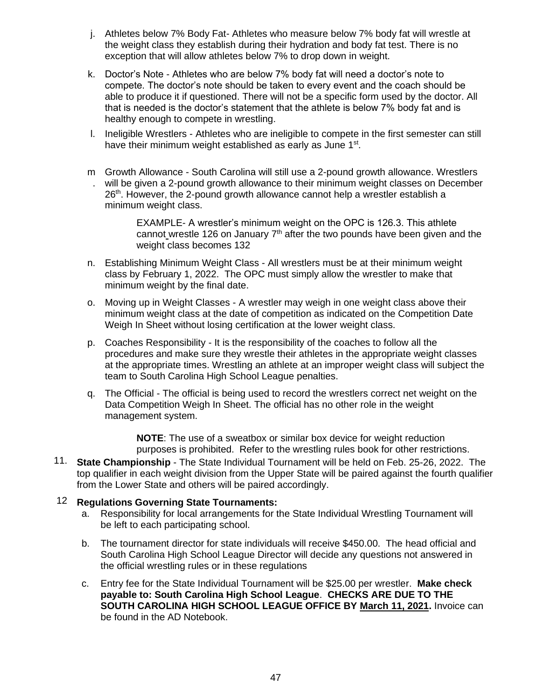- j. Athletes below 7% Body Fat- Athletes who measure below 7% body fat will wrestle at the weight class they establish during their hydration and body fat test. There is no exception that will allow athletes below 7% to drop down in weight.
- k. Doctor's Note Athletes who are below 7% body fat will need a doctor's note to compete. The doctor's note should be taken to every event and the coach should be able to produce it if questioned. There will not be a specific form used by the doctor. All that is needed is the doctor's statement that the athlete is below 7% body fat and is healthy enough to compete in wrestling.
- l. Ineligible Wrestlers Athletes who are ineligible to compete in the first semester can still have their minimum weight established as early as June 1<sup>st</sup>.
- m Growth Allowance South Carolina will still use a 2-pound growth allowance. Wrestlers . will be given a 2-pound growth allowance to their minimum weight classes on December 26<sup>th</sup>. However, the 2-pound growth allowance cannot help a wrestler establish a minimum weight class.

EXAMPLE- A wrestler's minimum weight on the OPC is 126.3. This athlete cannot wrestle 126 on January  $7<sup>th</sup>$  after the two pounds have been given and the weight class becomes 132

- n. Establishing Minimum Weight Class All wrestlers must be at their minimum weight class by February 1, 2022. The OPC must simply allow the wrestler to make that minimum weight by the final date.
- o. Moving up in Weight Classes A wrestler may weigh in one weight class above their minimum weight class at the date of competition as indicated on the Competition Date Weigh In Sheet without losing certification at the lower weight class.
- p. Coaches Responsibility It is the responsibility of the coaches to follow all the procedures and make sure they wrestle their athletes in the appropriate weight classes at the appropriate times. Wrestling an athlete at an improper weight class will subject the team to South Carolina High School League penalties.
- q. The Official The official is being used to record the wrestlers correct net weight on the Data Competition Weigh In Sheet. The official has no other role in the weight management system.

**NOTE**: The use of a sweatbox or similar box device for weight reduction purposes is prohibited. Refer to the wrestling rules book for other restrictions.

11. **State Championship** - The State Individual Tournament will be held on Feb. 25-26, 2022. The top qualifier in each weight division from the Upper State will be paired against the fourth qualifier from the Lower State and others will be paired accordingly.

### 12 **Regulations Governing State Tournaments:**

- a. Responsibility for local arrangements for the State Individual Wrestling Tournament will be left to each participating school.
- b. The tournament director for state individuals will receive \$450.00. The head official and South Carolina High School League Director will decide any questions not answered in the official wrestling rules or in these regulations
- c. Entry fee for the State Individual Tournament will be \$25.00 per wrestler. **Make check payable to: South Carolina High School League**. **CHECKS ARE DUE TO THE SOUTH CAROLINA HIGH SCHOOL LEAGUE OFFICE BY March 11, 2021.** Invoice can be found in the AD Notebook.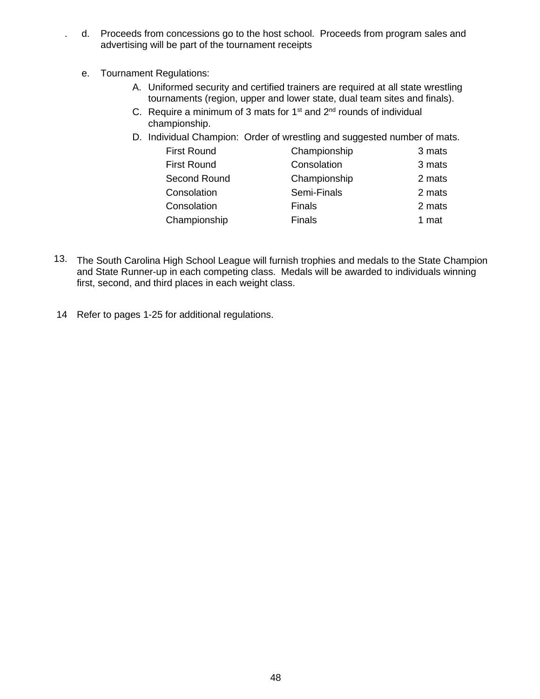- . d. Proceeds from concessions go to the host school. Proceeds from program sales and advertising will be part of the tournament receipts
	- e. Tournament Regulations:
		- A. Uniformed security and certified trainers are required at all state wrestling tournaments (region, upper and lower state, dual team sites and finals).
		- C. Require a minimum of 3 mats for  $1<sup>st</sup>$  and  $2<sup>nd</sup>$  rounds of individual championship.
		- D. Individual Champion: Order of wrestling and suggested number of mats.

| <b>First Round</b> | Championship  | 3 mats |
|--------------------|---------------|--------|
| <b>First Round</b> | Consolation   | 3 mats |
| Second Round       | Championship  | 2 mats |
| Consolation        | Semi-Finals   | 2 mats |
| Consolation        | <b>Finals</b> | 2 mats |
| Championship       | <b>Finals</b> | 1 mat  |

- 13. The South Carolina High School League will furnish trophies and medals to the State Champion and State Runner-up in each competing class. Medals will be awarded to individuals winning first, second, and third places in each weight class.
- 14 Refer to pages 1-25 for additional regulations.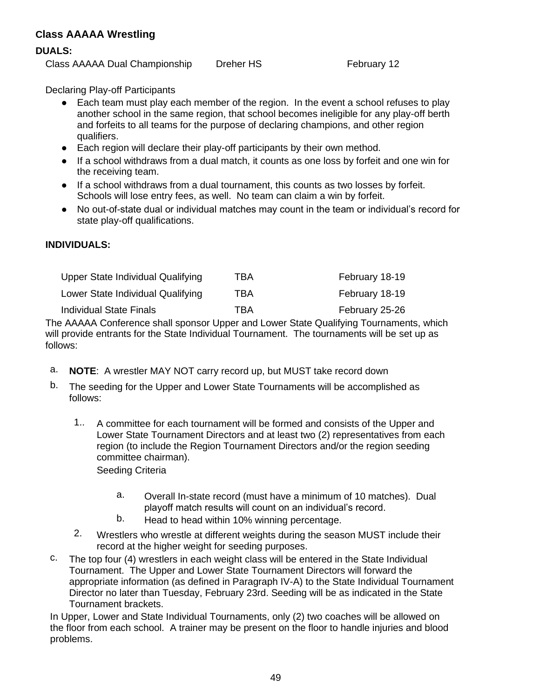# **Class AAAAA Wrestling**

#### **DUALS:**

Class AAAAA Dual Championship Dreher HS February 12

Declaring Play-off Participants

- Each team must play each member of the region. In the event a school refuses to play another school in the same region, that school becomes ineligible for any play-off berth and forfeits to all teams for the purpose of declaring champions, and other region qualifiers.
- Each region will declare their play-off participants by their own method.
- If a school withdraws from a dual match, it counts as one loss by forfeit and one win for the receiving team.
- If a school withdraws from a dual tournament, this counts as two losses by forfeit. Schools will lose entry fees, as well. No team can claim a win by forfeit.
- No out-of-state dual or individual matches may count in the team or individual's record for state play-off qualifications.

# **INDIVIDUALS:**

| Upper State Individual Qualifying | TBA | February 18-19 |
|-----------------------------------|-----|----------------|
| Lower State Individual Qualifying | TBA | February 18-19 |
| <b>Individual State Finals</b>    | TBA | February 25-26 |

The AAAAA Conference shall sponsor Upper and Lower State Qualifying Tournaments, which will provide entrants for the State Individual Tournament. The tournaments will be set up as follows:

- a. **NOTE**: A wrestler MAY NOT carry record up, but MUST take record down
- b. The seeding for the Upper and Lower State Tournaments will be accomplished as follows:
	- 1.. A committee for each tournament will be formed and consists of the Upper and Lower State Tournament Directors and at least two (2) representatives from each region (to include the Region Tournament Directors and/or the region seeding committee chairman).

Seeding Criteria

- a. Overall In-state record (must have a minimum of 10 matches). Dual playoff match results will count on an individual's record.
- b. Head to head within 10% winning percentage.
- 2. Wrestlers who wrestle at different weights during the season MUST include their record at the higher weight for seeding purposes.
- c. The top four (4) wrestlers in each weight class will be entered in the State Individual Tournament. The Upper and Lower State Tournament Directors will forward the appropriate information (as defined in Paragraph IV-A) to the State Individual Tournament Director no later than Tuesday, February 23rd. Seeding will be as indicated in the State Tournament brackets.

In Upper, Lower and State Individual Tournaments, only (2) two coaches will be allowed on the floor from each school. A trainer may be present on the floor to handle injuries and blood problems.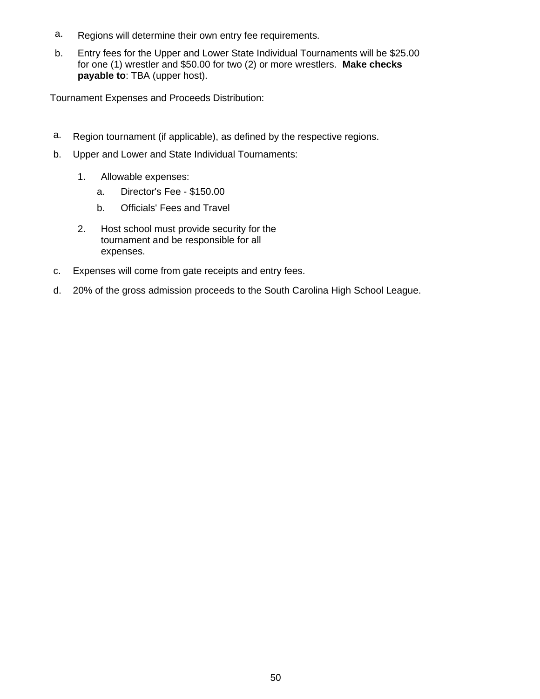- a. Regions will determine their own entry fee requirements.
- b. Entry fees for the Upper and Lower State Individual Tournaments will be \$25.00 for one (1) wrestler and \$50.00 for two (2) or more wrestlers. **Make checks payable to**: TBA (upper host).

Tournament Expenses and Proceeds Distribution:

- a. Region tournament (if applicable), as defined by the respective regions.
- b. Upper and Lower and State Individual Tournaments:
	- 1. Allowable expenses:
		- a. Director's Fee \$150.00
		- b. Officials' Fees and Travel
	- 2. Host school must provide security for the tournament and be responsible for all expenses.
- c. Expenses will come from gate receipts and entry fees.
- d. 20% of the gross admission proceeds to the South Carolina High School League.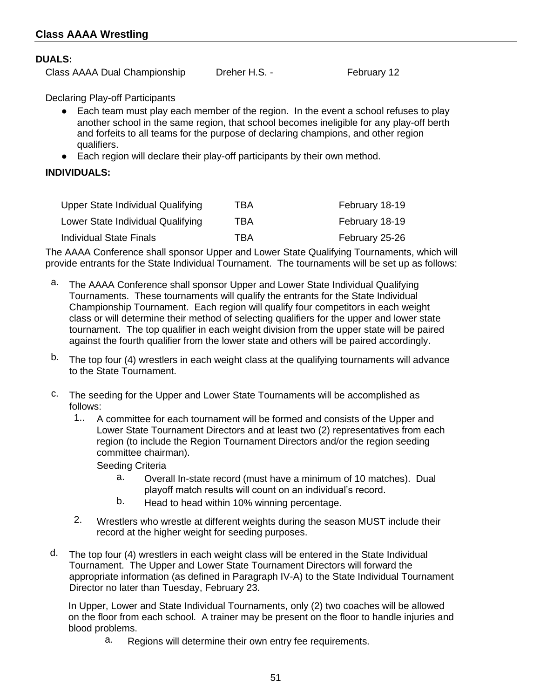### **DUALS:**

Class AAAA Dual Championship Dreher H.S. - February 12

Declaring Play-off Participants

- Each team must play each member of the region. In the event a school refuses to play another school in the same region, that school becomes ineligible for any play-off berth and forfeits to all teams for the purpose of declaring champions, and other region qualifiers.
- Each region will declare their play-off participants by their own method.

# **INDIVIDUALS:**

| Upper State Individual Qualifying | TBA | February 18-19 |
|-----------------------------------|-----|----------------|
| Lower State Individual Qualifying | TBA | February 18-19 |
| <b>Individual State Finals</b>    | TBA | February 25-26 |

The AAAA Conference shall sponsor Upper and Lower State Qualifying Tournaments, which will provide entrants for the State Individual Tournament. The tournaments will be set up as follows:

- a. The AAAA Conference shall sponsor Upper and Lower State Individual Qualifying Tournaments. These tournaments will qualify the entrants for the State Individual Championship Tournament. Each region will qualify four competitors in each weight class or will determine their method of selecting qualifiers for the upper and lower state tournament. The top qualifier in each weight division from the upper state will be paired against the fourth qualifier from the lower state and others will be paired accordingly.
- b. The top four (4) wrestlers in each weight class at the qualifying tournaments will advance to the State Tournament.
- c. The seeding for the Upper and Lower State Tournaments will be accomplished as follows:
	- 1.. A committee for each tournament will be formed and consists of the Upper and Lower State Tournament Directors and at least two (2) representatives from each region (to include the Region Tournament Directors and/or the region seeding committee chairman).

Seeding Criteria

- a. Overall In-state record (must have a minimum of 10 matches). Dual playoff match results will count on an individual's record.
- b. Head to head within 10% winning percentage.
- 2. Wrestlers who wrestle at different weights during the season MUST include their record at the higher weight for seeding purposes.
- d. The top four (4) wrestlers in each weight class will be entered in the State Individual Tournament. The Upper and Lower State Tournament Directors will forward the appropriate information (as defined in Paragraph IV-A) to the State Individual Tournament Director no later than Tuesday, February 23.

In Upper, Lower and State Individual Tournaments, only (2) two coaches will be allowed on the floor from each school. A trainer may be present on the floor to handle injuries and blood problems.

a. Regions will determine their own entry fee requirements.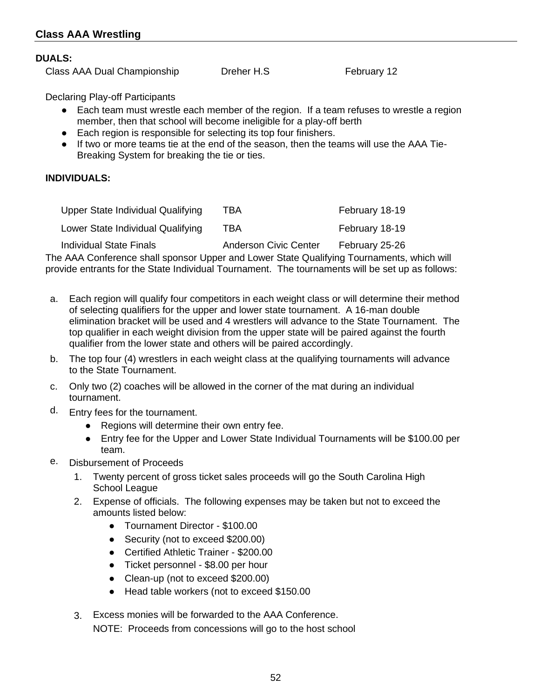# **Class AAA Wrestling**

#### **DUALS:**

Class AAA Dual Championship Dreher H.S February 12

Declaring Play-off Participants

- Each team must wrestle each member of the region. If a team refuses to wrestle a region member, then that school will become ineligible for a play-off berth
- Each region is responsible for selecting its top four finishers.
- If two or more teams tie at the end of the season, then the teams will use the AAA Tie-Breaking System for breaking the tie or ties.

### **INDIVIDUALS:**

| Upper State Individual Qualifying | TBA                   | February 18-19 |
|-----------------------------------|-----------------------|----------------|
| Lower State Individual Qualifying | TBA                   | February 18-19 |
| <b>Individual State Finals</b>    | Anderson Civic Center | February 25-26 |

The AAA Conference shall sponsor Upper and Lower State Qualifying Tournaments, which will provide entrants for the State Individual Tournament. The tournaments will be set up as follows:

- a. Each region will qualify four competitors in each weight class or will determine their method of selecting qualifiers for the upper and lower state tournament. A 16-man double elimination bracket will be used and 4 wrestlers will advance to the State Tournament. The top qualifier in each weight division from the upper state will be paired against the fourth qualifier from the lower state and others will be paired accordingly.
- b. The top four (4) wrestlers in each weight class at the qualifying tournaments will advance to the State Tournament.
- c. Only two (2) coaches will be allowed in the corner of the mat during an individual tournament.
- d. Entry fees for the tournament.
	- Regions will determine their own entry fee.
	- Entry fee for the Upper and Lower State Individual Tournaments will be \$100.00 per team.
- e. Disbursement of Proceeds
	- 1. Twenty percent of gross ticket sales proceeds will go the South Carolina High School League
	- 2. Expense of officials. The following expenses may be taken but not to exceed the amounts listed below:
		- Tournament Director \$100.00
		- Security (not to exceed \$200.00)
		- Certified Athletic Trainer \$200.00
		- Ticket personnel \$8.00 per hour
		- Clean-up (not to exceed \$200.00)
		- Head table workers (not to exceed \$150.00
	- 3. Excess monies will be forwarded to the AAA Conference. NOTE: Proceeds from concessions will go to the host school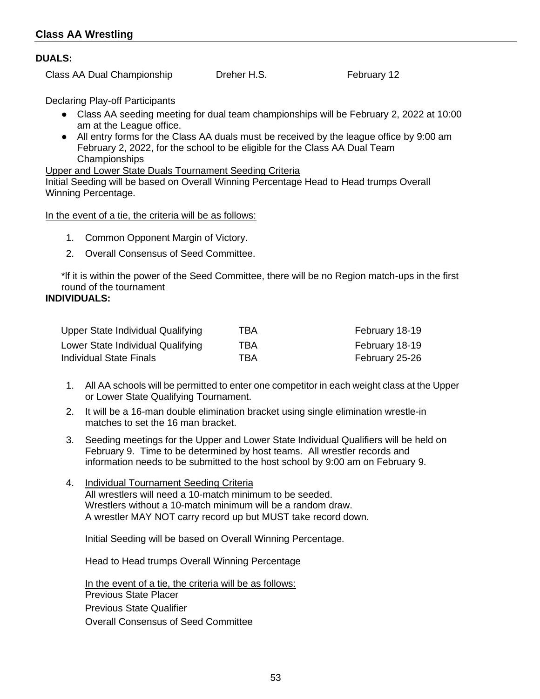# **DUALS:**

Class AA Dual Championship Dreher H.S. The Rebruary 12

Declaring Play-off Participants

- Class AA seeding meeting for dual team championships will be February 2, 2022 at 10:00 am at the League office.
- All entry forms for the Class AA duals must be received by the league office by 9:00 am February 2, 2022, for the school to be eligible for the Class AA Dual Team Championships

#### Upper and Lower State Duals Tournament Seeding Criteria

Initial Seeding will be based on Overall Winning Percentage Head to Head trumps Overall Winning Percentage.

In the event of a tie, the criteria will be as follows:

- 1. Common Opponent Margin of Victory.
- 2. Overall Consensus of Seed Committee.

\*lf it is within the power of the Seed Committee, there will be no Region match-ups in the first round of the tournament

# **INDIVIDUALS:**

| Upper State Individual Qualifying | TBA | February 18-19 |
|-----------------------------------|-----|----------------|
| Lower State Individual Qualifying | TBA | February 18-19 |
| Individual State Finals           | TBA | February 25-26 |

- 1. All AA schools will be permitted to enter one competitor in each weight class at the Upper or Lower State Qualifying Tournament.
- 2. It will be a 16-man double elimination bracket using single elimination wrestle-in matches to set the 16 man bracket.
- 3. Seeding meetings for the Upper and Lower State Individual Qualifiers will be held on February 9. Time to be determined by host teams. All wrestler records and information needs to be submitted to the host school by 9:00 am on February 9.
- 4. Individual Tournament Seeding Criteria All wrestlers will need a 10-match minimum to be seeded. Wrestlers without a 10-match minimum will be a random draw. A wrestler MAY NOT carry record up but MUST take record down.

Initial Seeding will be based on Overall Winning Percentage.

Head to Head trumps Overall Winning Percentage

In the event of a tie, the criteria will be as follows: Previous State Placer Previous State Qualifier Overall Consensus of Seed Committee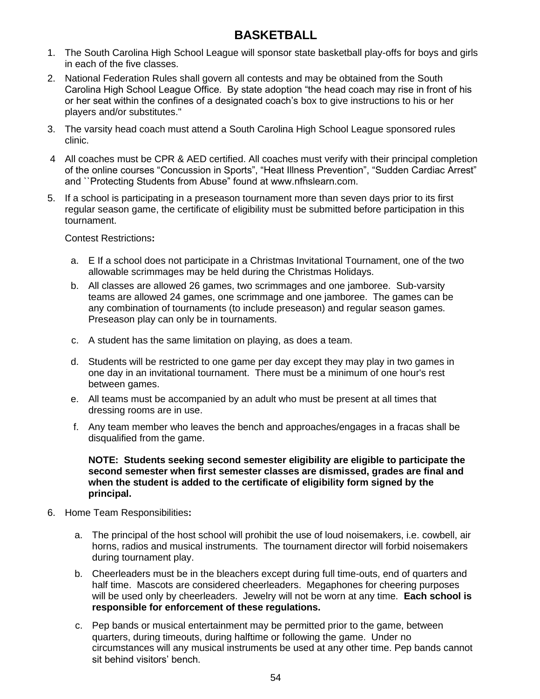# **BASKETBALL**

- 1. The South Carolina High School League will sponsor state basketball play-offs for boys and girls in each of the five classes.
- 2. National Federation Rules shall govern all contests and may be obtained from the South Carolina High School League Office. By state adoption "the head coach may rise in front of his or her seat within the confines of a designated coach's box to give instructions to his or her players and/or substitutes."
- 3. The varsity head coach must attend a South Carolina High School League sponsored rules clinic.
- 4 All coaches must be CPR & AED certified. All coaches must verify with their principal completion of the online courses "Concussion in Sports", "Heat Illness Prevention", "Sudden Cardiac Arrest" and ``Protecting Students from Abuse" found at www.nfhslearn.com.
- 5. If a school is participating in a preseason tournament more than seven days prior to its first regular season game, the certificate of eligibility must be submitted before participation in this tournament.

Contest Restrictions**:**

- a. E If a school does not participate in a Christmas Invitational Tournament, one of the two allowable scrimmages may be held during the Christmas Holidays.
- b. All classes are allowed 26 games, two scrimmages and one jamboree.Sub-varsity teams are allowed 24 games, one scrimmage and one jamboree. The games can be any combination of tournaments (to include preseason) and regular season games. Preseason play can only be in tournaments.
- c. A student has the same limitation on playing, as does a team.
- d. Students will be restricted to one game per day except they may play in two games in one day in an invitational tournament. There must be a minimum of one hour's rest between games.
- e. All teams must be accompanied by an adult who must be present at all times that dressing rooms are in use.
- f. Any team member who leaves the bench and approaches/engages in a fracas shall be disqualified from the game.

#### **NOTE: Students seeking second semester eligibility are eligible to participate the second semester when first semester classes are dismissed, grades are final and when the student is added to the certificate of eligibility form signed by the principal.**

- 6. Home Team Responsibilities**:**
	- a. The principal of the host school will prohibit the use of loud noisemakers, i.e. cowbell, air horns, radios and musical instruments. The tournament director will forbid noisemakers during tournament play.
	- b. Cheerleaders must be in the bleachers except during full time-outs, end of quarters and half time. Mascots are considered cheerleaders. Megaphones for cheering purposes will be used only by cheerleaders. Jewelry will not be worn at any time. **Each school is responsible for enforcement of these regulations.**
	- c. Pep bands or musical entertainment may be permitted prior to the game, between quarters, during timeouts, during halftime or following the game. Under no circumstances will any musical instruments be used at any other time. Pep bands cannot sit behind visitors' bench.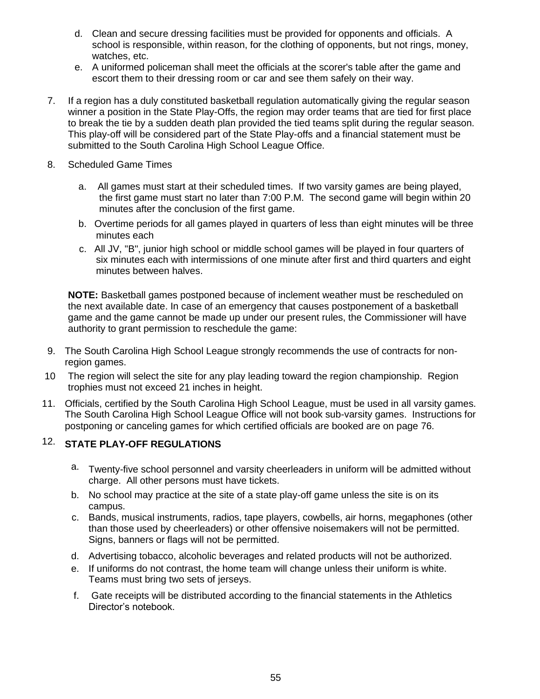- d. Clean and secure dressing facilities must be provided for opponents and officials. A school is responsible, within reason, for the clothing of opponents, but not rings, money, watches, etc.
- e. A uniformed policeman shall meet the officials at the scorer's table after the game and escort them to their dressing room or car and see them safely on their way.
- 7. If a region has a duly constituted basketball regulation automatically giving the regular season winner a position in the State Play-Offs, the region may order teams that are tied for first place to break the tie by a sudden death plan provided the tied teams split during the regular season. This play-off will be considered part of the State Play-offs and a financial statement must be submitted to the South Carolina High School League Office.
- 8. Scheduled Game Times
	- a. All games must start at their scheduled times. If two varsity games are being played, the first game must start no later than 7:00 P.M. The second game will begin within 20 minutes after the conclusion of the first game.
	- b. Overtime periods for all games played in quarters of less than eight minutes will be three minutes each
	- c. All JV, "B", junior high school or middle school games will be played in four quarters of six minutes each with intermissions of one minute after first and third quarters and eight minutes between halves.

**NOTE:** Basketball games postponed because of inclement weather must be rescheduled on the next available date. In case of an emergency that causes postponement of a basketball game and the game cannot be made up under our present rules, the Commissioner will have authority to grant permission to reschedule the game:

- 9. The South Carolina High School League strongly recommends the use of contracts for nonregion games.
- 10 The region will select the site for any play leading toward the region championship. Region trophies must not exceed 21 inches in height.
- 11. Officials, certified by the South Carolina High School League, must be used in all varsity games. The South Carolina High School League Office will not book sub-varsity games. Instructions for postponing or canceling games for which certified officials are booked are on page 76.

# 12. **STATE PLAY-OFF REGULATIONS**

- a. Twenty-five school personnel and varsity cheerleaders in uniform will be admitted without charge. All other persons must have tickets.
- b. No school may practice at the site of a state play-off game unless the site is on its campus.
- c. Bands, musical instruments, radios, tape players, cowbells, air horns, megaphones (other than those used by cheerleaders) or other offensive noisemakers will not be permitted. Signs, banners or flags will not be permitted.
- d. Advertising tobacco, alcoholic beverages and related products will not be authorized.
- e. If uniforms do not contrast, the home team will change unless their uniform is white. Teams must bring two sets of jerseys.
- f. Gate receipts will be distributed according to the financial statements in the Athletics Director's notebook.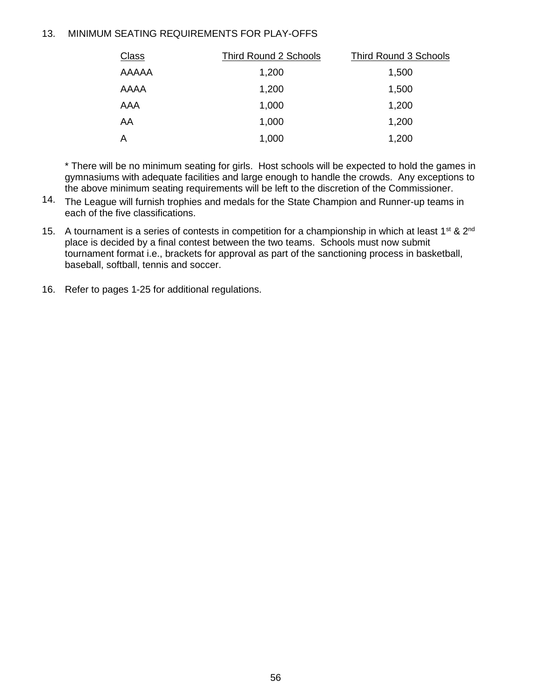### 13. MINIMUM SEATING REQUIREMENTS FOR PLAY-OFFS

| <b>Class</b> | <b>Third Round 2 Schools</b> | <b>Third Round 3 Schools</b> |
|--------------|------------------------------|------------------------------|
| AAAAA        | 1,200                        | 1,500                        |
| AAAA         | 1,200                        | 1,500                        |
| AAA          | 1,000                        | 1,200                        |
| AA           | 1,000                        | 1,200                        |
| A            | 1,000                        | 1,200                        |

\* There will be no minimum seating for girls. Host schools will be expected to hold the games in gymnasiums with adequate facilities and large enough to handle the crowds. Any exceptions to the above minimum seating requirements will be left to the discretion of the Commissioner.

- 14. The League will furnish trophies and medals for the State Champion and Runner-up teams in each of the five classifications.
- 15. A tournament is a series of contests in competition for a championship in which at least 1<sup>st</sup> & 2<sup>nd</sup> place is decided by a final contest between the two teams. Schools must now submit tournament format i.e., brackets for approval as part of the sanctioning process in basketball, baseball, softball, tennis and soccer.
- 16. Refer to pages 1-25 for additional regulations.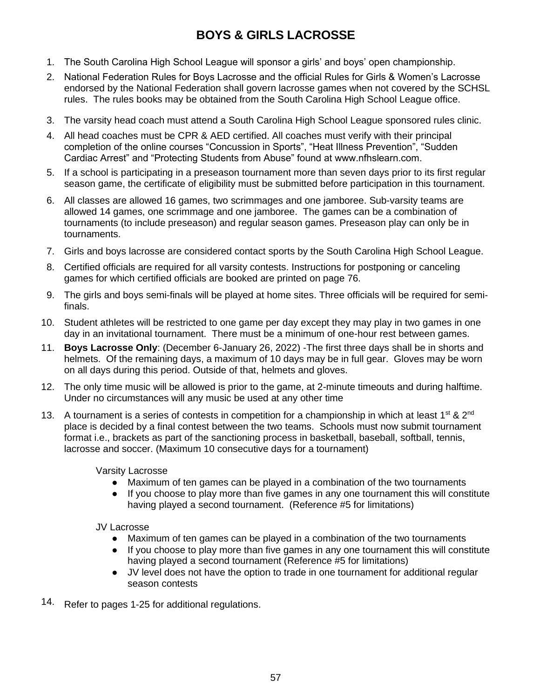# **BOYS & GIRLS LACROSSE**

- 1. The South Carolina High School League will sponsor a girls' and boys' open championship.
- 2. National Federation Rules for Boys Lacrosse and the official Rules for Girls & Women's Lacrosse endorsed by the National Federation shall govern lacrosse games when not covered by the SCHSL rules. The rules books may be obtained from the South Carolina High School League office.
- 3. The varsity head coach must attend a South Carolina High School League sponsored rules clinic.
- 4. All head coaches must be CPR & AED certified. All coaches must verify with their principal completion of the online courses "Concussion in Sports", "Heat Illness Prevention", "Sudden Cardiac Arrest" and "Protecting Students from Abuse" found at www.nfhslearn.com.
- 5. If a school is participating in a preseason tournament more than seven days prior to its first regular season game, the certificate of eligibility must be submitted before participation in this tournament.
- 6. All classes are allowed 16 games, two scrimmages and one jamboree. Sub-varsity teams are allowed 14 games, one scrimmage and one jamboree. The games can be a combination of tournaments (to include preseason) and regular season games. Preseason play can only be in tournaments.
- 7. Girls and boys lacrosse are considered contact sports by the South Carolina High School League.
- 8. Certified officials are required for all varsity contests. Instructions for postponing or canceling games for which certified officials are booked are printed on page 76.
- 9. The girls and boys semi-finals will be played at home sites. Three officials will be required for semifinals.
- 10. Student athletes will be restricted to one game per day except they may play in two games in one day in an invitational tournament. There must be a minimum of one-hour rest between games.
- 11. **Boys Lacrosse Only**: (December 6-January 26, 2022) -The first three days shall be in shorts and helmets. Of the remaining days, a maximum of 10 days may be in full gear. Gloves may be worn on all days during this period. Outside of that, helmets and gloves.
- 12. The only time music will be allowed is prior to the game, at 2-minute timeouts and during halftime. Under no circumstances will any music be used at any other time
- 13. A tournament is a series of contests in competition for a championship in which at least 1<sup>st</sup> & 2<sup>nd</sup> place is decided by a final contest between the two teams. Schools must now submit tournament format i.e., brackets as part of the sanctioning process in basketball, baseball, softball, tennis, lacrosse and soccer. (Maximum 10 consecutive days for a tournament)

Varsity Lacrosse

- Maximum of ten games can be played in a combination of the two tournaments
- If you choose to play more than five games in any one tournament this will constitute having played a second tournament. (Reference #5 for limitations)

JV Lacrosse

- Maximum of ten games can be played in a combination of the two tournaments
- If you choose to play more than five games in any one tournament this will constitute having played a second tournament (Reference #5 for limitations)
- JV level does not have the option to trade in one tournament for additional regular season contests
- 14. Refer to pages 1-25 for additional regulations.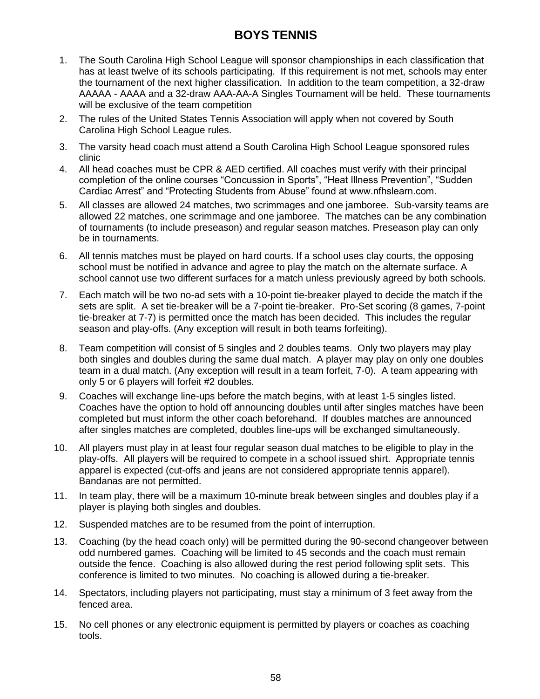# **BOYS TENNIS**

- 1. The South Carolina High School League will sponsor championships in each classification that has at least twelve of its schools participating. If this requirement is not met, schools may enter the tournament of the next higher classification. In addition to the team competition, a 32-draw AAAAA - AAAA and a 32-draw AAA-AA-A Singles Tournament will be held. These tournaments will be exclusive of the team competition
- 2. The rules of the United States Tennis Association will apply when not covered by South Carolina High School League rules.
- 3. The varsity head coach must attend a South Carolina High School League sponsored rules clinic
- 4. All head coaches must be CPR & AED certified. All coaches must verify with their principal completion of the online courses "Concussion in Sports", "Heat Illness Prevention", "Sudden Cardiac Arrest" and "Protecting Students from Abuse" found at www.nfhslearn.com.
- 5. All classes are allowed 24 matches, two scrimmages and one jamboree.Sub-varsity teams are allowed 22 matches, one scrimmage and one jamboree. The matches can be any combination of tournaments (to include preseason) and regular season matches. Preseason play can only be in tournaments.
- 6. All tennis matches must be played on hard courts. If a school uses clay courts, the opposing school must be notified in advance and agree to play the match on the alternate surface. A school cannot use two different surfaces for a match unless previously agreed by both schools.
- 7. Each match will be two no-ad sets with a 10-point tie-breaker played to decide the match if the sets are split. A set tie-breaker will be a 7-point tie-breaker. Pro-Set scoring (8 games, 7-point tie-breaker at 7-7) is permitted once the match has been decided. This includes the regular season and play-offs. (Any exception will result in both teams forfeiting).
- 8. Team competition will consist of 5 singles and 2 doubles teams. Only two players may play both singles and doubles during the same dual match. A player may play on only one doubles team in a dual match. (Any exception will result in a team forfeit, 7-0). A team appearing with only 5 or 6 players will forfeit #2 doubles.
- 9. Coaches will exchange line-ups before the match begins, with at least 1-5 singles listed. Coaches have the option to hold off announcing doubles until after singles matches have been completed but must inform the other coach beforehand. If doubles matches are announced after singles matches are completed, doubles line-ups will be exchanged simultaneously.
- 10. All players must play in at least four regular season dual matches to be eligible to play in the play-offs. All players will be required to compete in a school issued shirt. Appropriate tennis apparel is expected (cut-offs and jeans are not considered appropriate tennis apparel). Bandanas are not permitted.
- 11. In team play, there will be a maximum 10-minute break between singles and doubles play if a player is playing both singles and doubles.
- 12. Suspended matches are to be resumed from the point of interruption.
- 13. Coaching (by the head coach only) will be permitted during the 90-second changeover between odd numbered games. Coaching will be limited to 45 seconds and the coach must remain outside the fence. Coaching is also allowed during the rest period following split sets. This conference is limited to two minutes. No coaching is allowed during a tie-breaker.
- 14. Spectators, including players not participating, must stay a minimum of 3 feet away from the fenced area.
- 15. No cell phones or any electronic equipment is permitted by players or coaches as coaching tools.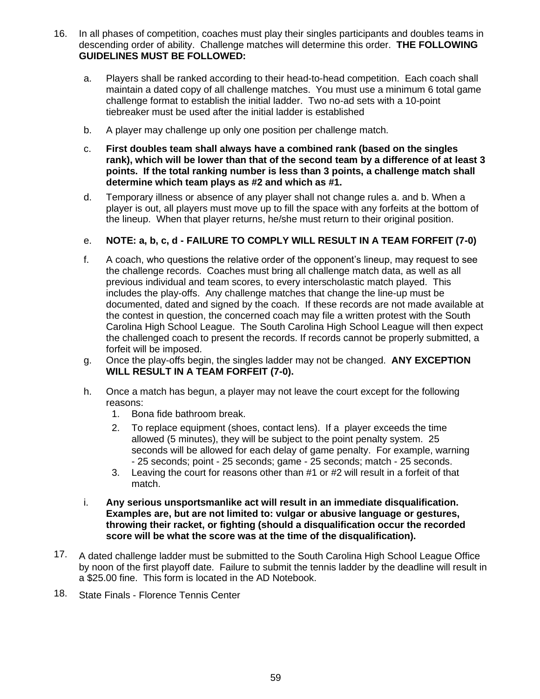- 16. In all phases of competition, coaches must play their singles participants and doubles teams in descending order of ability. Challenge matches will determine this order. **THE FOLLOWING GUIDELINES MUST BE FOLLOWED:**
	- a. Players shall be ranked according to their head-to-head competition. Each coach shall maintain a dated copy of all challenge matches. You must use a minimum 6 total game challenge format to establish the initial ladder. Two no-ad sets with a 10-point tiebreaker must be used after the initial ladder is established
	- b. A player may challenge up only one position per challenge match.
	- c. **First doubles team shall always have a combined rank (based on the singles rank), which will be lower than that of the second team by a difference of at least 3 points. If the total ranking number is less than 3 points, a challenge match shall determine which team plays as #2 and which as #1.**
	- d. Temporary illness or absence of any player shall not change rules a. and b. When a player is out, all players must move up to fill the space with any forfeits at the bottom of the lineup. When that player returns, he/she must return to their original position.

# e. **NOTE: a, b, c, d - FAILURE TO COMPLY WILL RESULT IN A TEAM FORFEIT (7-0)**

- f. A coach, who questions the relative order of the opponent's lineup, may request to see the challenge records. Coaches must bring all challenge match data, as well as all previous individual and team scores, to every interscholastic match played. This includes the play-offs. Any challenge matches that change the line-up must be documented, dated and signed by the coach. If these records are not made available at the contest in question, the concerned coach may file a written protest with the South Carolina High School League. The South Carolina High School League will then expect the challenged coach to present the records. If records cannot be properly submitted, a forfeit will be imposed.
- g. Once the play-offs begin, the singles ladder may not be changed. **ANY EXCEPTION WILL RESULT IN A TEAM FORFEIT (7-0).**
- h. Once a match has begun, a player may not leave the court except for the following reasons:
	- 1. Bona fide bathroom break.
	- 2. To replace equipment (shoes, contact lens). If a player exceeds the time allowed (5 minutes), they will be subject to the point penalty system. 25 seconds will be allowed for each delay of game penalty. For example, warning - 25 seconds; point - 25 seconds; game - 25 seconds; match - 25 seconds.
	- 3. Leaving the court for reasons other than #1 or #2 will result in a forfeit of that match.
- i. **Any serious unsportsmanlike act will result in an immediate disqualification. Examples are, but are not limited to: vulgar or abusive language or gestures, throwing their racket, or fighting (should a disqualification occur the recorded score will be what the score was at the time of the disqualification).**
- 17. A dated challenge ladder must be submitted to the South Carolina High School League Office by noon of the first playoff date. Failure to submit the tennis ladder by the deadline will result in a \$25.00 fine. This form is located in the AD Notebook.
- 18. State Finals Florence Tennis Center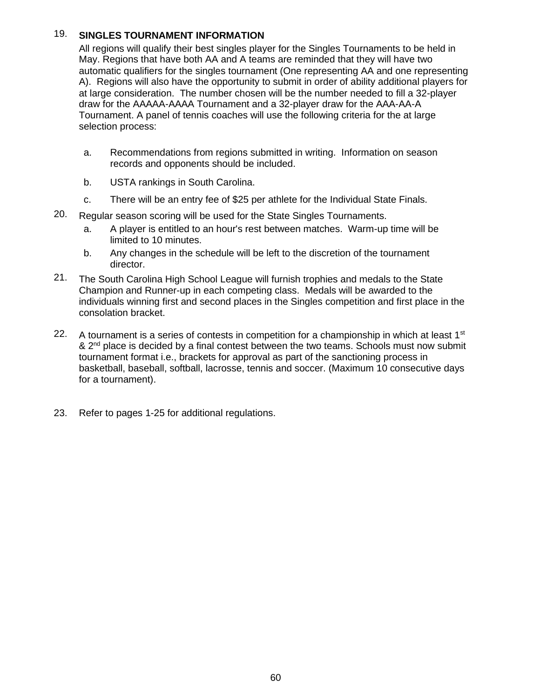# 19. **SINGLES TOURNAMENT INFORMATION**

All regions will qualify their best singles player for the Singles Tournaments to be held in May. Regions that have both AA and A teams are reminded that they will have two automatic qualifiers for the singles tournament (One representing AA and one representing A). Regions will also have the opportunity to submit in order of ability additional players for at large consideration. The number chosen will be the number needed to fill a 32-player draw for the AAAAA-AAAA Tournament and a 32-player draw for the AAA-AA-A Tournament. A panel of tennis coaches will use the following criteria for the at large selection process:

- a. Recommendations from regions submitted in writing. Information on season records and opponents should be included.
- b. USTA rankings in South Carolina.
- c. There will be an entry fee of \$25 per athlete for the Individual State Finals.
- 20. Regular season scoring will be used for the State Singles Tournaments.
	- a. A player is entitled to an hour's rest between matches. Warm-up time will be limited to 10 minutes.
	- b. Any changes in the schedule will be left to the discretion of the tournament director.
- 21. The South Carolina High School League will furnish trophies and medals to the State Champion and Runner-up in each competing class. Medals will be awarded to the individuals winning first and second places in the Singles competition and first place in the consolation bracket.
- 22. A tournament is a series of contests in competition for a championship in which at least  $1<sup>st</sup>$  $\&$  2<sup>nd</sup> place is decided by a final contest between the two teams. Schools must now submit tournament format i.e., brackets for approval as part of the sanctioning process in basketball, baseball, softball, lacrosse, tennis and soccer. (Maximum 10 consecutive days for a tournament).
- 23. Refer to pages 1-25 for additional regulations.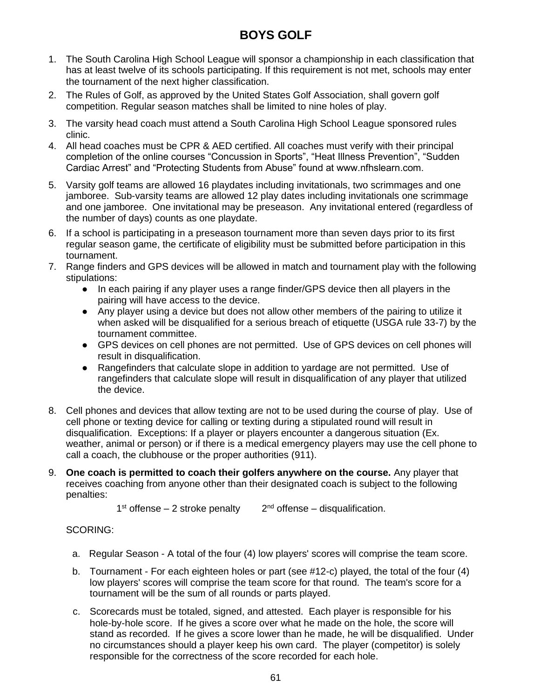# **BOYS GOLF**

- 1. The South Carolina High School League will sponsor a championship in each classification that has at least twelve of its schools participating. If this requirement is not met, schools may enter the tournament of the next higher classification.
- 2. The Rules of Golf, as approved by the United States Golf Association, shall govern golf competition. Regular season matches shall be limited to nine holes of play.
- 3. The varsity head coach must attend a South Carolina High School League sponsored rules clinic.
- 4. All head coaches must be CPR & AED certified. All coaches must verify with their principal completion of the online courses "Concussion in Sports", "Heat Illness Prevention", "Sudden Cardiac Arrest" and "Protecting Students from Abuse" found at www.nfhslearn.com.
- 5. Varsity golf teams are allowed 16 playdates including invitationals, two scrimmages and one jamboree. Sub-varsity teams are allowed 12 play dates including invitationals one scrimmage and one jamboree. One invitational may be preseason. Any invitational entered (regardless of the number of days) counts as one playdate.
- 6. If a school is participating in a preseason tournament more than seven days prior to its first regular season game, the certificate of eligibility must be submitted before participation in this tournament.
- 7. Range finders and GPS devices will be allowed in match and tournament play with the following stipulations:
	- In each pairing if any player uses a range finder/GPS device then all players in the pairing will have access to the device.
	- Any player using a device but does not allow other members of the pairing to utilize it when asked will be disqualified for a serious breach of etiquette (USGA rule 33-7) by the tournament committee.
	- GPS devices on cell phones are not permitted. Use of GPS devices on cell phones will result in disqualification.
	- Rangefinders that calculate slope in addition to yardage are not permitted. Use of rangefinders that calculate slope will result in disqualification of any player that utilized the device.
- 8. Cell phones and devices that allow texting are not to be used during the course of play. Use of cell phone or texting device for calling or texting during a stipulated round will result in disqualification. Exceptions: If a player or players encounter a dangerous situation (Ex. weather, animal or person) or if there is a medical emergency players may use the cell phone to call a coach, the clubhouse or the proper authorities (911).
- 9. **One coach is permitted to coach their golfers anywhere on the course.** Any player that receives coaching from anyone other than their designated coach is subject to the following penalties:

 $1<sup>st</sup>$  offense – 2 stroke penalty  $2<sup>nd</sup>$  offense – disqualification.

### SCORING:

- a. Regular Season A total of the four (4) low players' scores will comprise the team score.
- b. Tournament For each eighteen holes or part (see #12-c) played, the total of the four (4) low players' scores will comprise the team score for that round. The team's score for a tournament will be the sum of all rounds or parts played.
- c. Scorecards must be totaled, signed, and attested. Each player is responsible for his hole-by-hole score. If he gives a score over what he made on the hole, the score will stand as recorded. If he gives a score lower than he made, he will be disqualified. Under no circumstances should a player keep his own card. The player (competitor) is solely responsible for the correctness of the score recorded for each hole.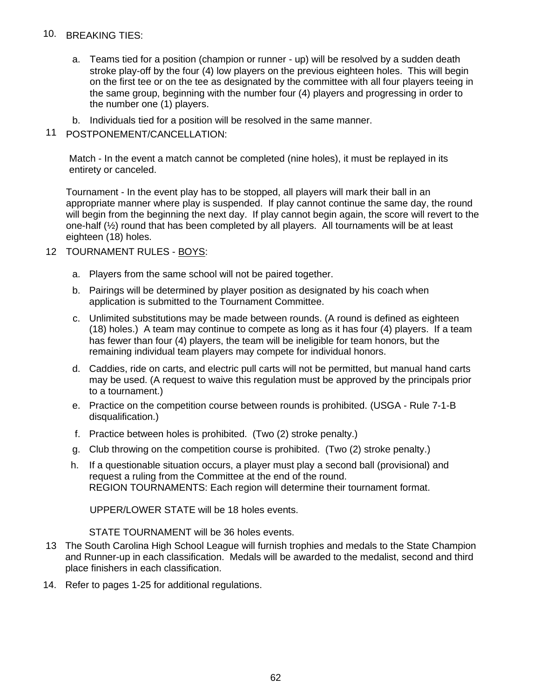### 10. BREAKING TIES:

- a. Teams tied for a position (champion or runner up) will be resolved by a sudden death stroke play-off by the four (4) low players on the previous eighteen holes. This will begin on the first tee or on the tee as designated by the committee with all four players teeing in the same group, beginning with the number four (4) players and progressing in order to the number one (1) players.
- b. Individuals tied for a position will be resolved in the same manner.
- 11 POSTPONEMENT/CANCELLATION:

Match - In the event a match cannot be completed (nine holes), it must be replayed in its entirety or canceled.

Tournament - In the event play has to be stopped, all players will mark their ball in an appropriate manner where play is suspended. If play cannot continue the same day, the round will begin from the beginning the next day. If play cannot begin again, the score will revert to the one-half (½) round that has been completed by all players. All tournaments will be at least eighteen (18) holes.

- 12 TOURNAMENT RULES BOYS:
	- a. Players from the same school will not be paired together.
	- b. Pairings will be determined by player position as designated by his coach when application is submitted to the Tournament Committee.
	- c. Unlimited substitutions may be made between rounds. (A round is defined as eighteen (18) holes.) A team may continue to compete as long as it has four (4) players. If a team has fewer than four (4) players, the team will be ineligible for team honors, but the remaining individual team players may compete for individual honors.
	- d. Caddies, ride on carts, and electric pull carts will not be permitted, but manual hand carts may be used. (A request to waive this regulation must be approved by the principals prior to a tournament.)
	- e. Practice on the competition course between rounds is prohibited. (USGA Rule 7-1-B disqualification.)
	- f. Practice between holes is prohibited. (Two (2) stroke penalty.)
	- g. Club throwing on the competition course is prohibited. (Two (2) stroke penalty.)
	- h. If a questionable situation occurs, a player must play a second ball (provisional) and request a ruling from the Committee at the end of the round. REGION TOURNAMENTS: Each region will determine their tournament format.

UPPER/LOWER STATE will be 18 holes events.

STATE TOURNAMENT will be 36 holes events.

- 13 The South Carolina High School League will furnish trophies and medals to the State Champion and Runner-up in each classification. Medals will be awarded to the medalist, second and third place finishers in each classification.
- 14. Refer to pages 1-25 for additional regulations.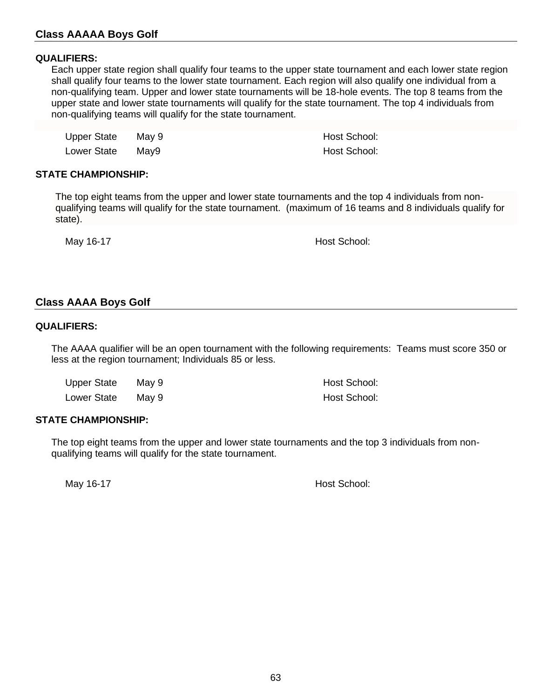# **Class AAAAA Boys Golf**

#### **QUALIFIERS:**

Each upper state region shall qualify four teams to the upper state tournament and each lower state region shall qualify four teams to the lower state tournament. Each region will also qualify one individual from a non-qualifying team. Upper and lower state tournaments will be 18-hole events. The top 8 teams from the upper state and lower state tournaments will qualify for the state tournament. The top 4 individuals from non-qualifying teams will qualify for the state tournament.

| Upper State | Mav 9 | Host School: |
|-------------|-------|--------------|
| Lower State | Mav9  | Host School: |

#### **STATE CHAMPIONSHIP:**

The top eight teams from the upper and lower state tournaments and the top 4 individuals from nonqualifying teams will qualify for the state tournament. (maximum of 16 teams and 8 individuals qualify for state).

May 16-17 **May 16-17 May 16-17 May 16-17 May 16-17 May 16-17 May 16-17 May 16-17** 

#### **Class AAAA Boys Golf**

#### **QUALIFIERS:**

The AAAA qualifier will be an open tournament with the following requirements: Teams must score 350 or less at the region tournament; Individuals 85 or less.

| <b>Upper State</b> | May 9 |  |
|--------------------|-------|--|
| <b>Lower State</b> | May 9 |  |

Host School: Host School:

#### **STATE CHAMPIONSHIP:**

The top eight teams from the upper and lower state tournaments and the top 3 individuals from nonqualifying teams will qualify for the state tournament.

May 16-17 **May 16-17 May 16-17 May 16-17 Host School:**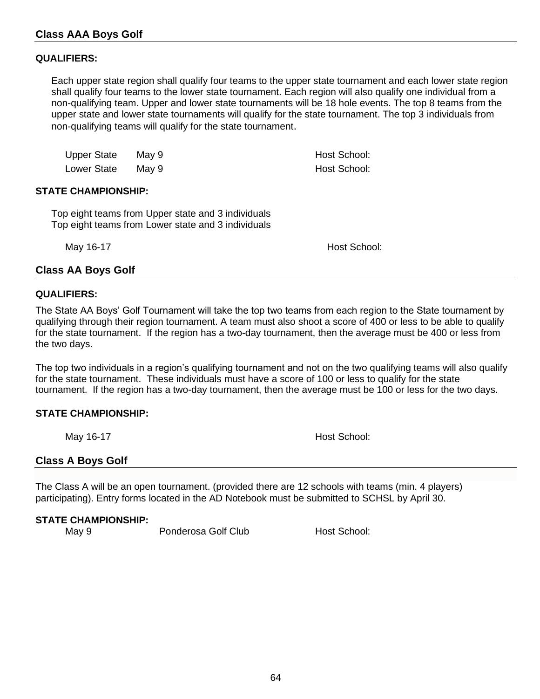#### **QUALIFIERS:**

Each upper state region shall qualify four teams to the upper state tournament and each lower state region shall qualify four teams to the lower state tournament. Each region will also qualify one individual from a non-qualifying team. Upper and lower state tournaments will be 18 hole events. The top 8 teams from the upper state and lower state tournaments will qualify for the state tournament. The top 3 individuals from non-qualifying teams will qualify for the state tournament.

| <b>Upper State</b> | May 9 |
|--------------------|-------|
| Lower State        | May 9 |

Host School: Host School:

#### **STATE CHAMPIONSHIP:**

Top eight teams from Upper state and 3 individuals Top eight teams from Lower state and 3 individuals

May 16-17 **May 16-17 May 16-17 May 16-17 May 16-17 Host School:** 

# **Class AA Boys Golf**

#### **QUALIFIERS:**

The State AA Boys' Golf Tournament will take the top two teams from each region to the State tournament by qualifying through their region tournament. A team must also shoot a score of 400 or less to be able to qualify for the state tournament. If the region has a two-day tournament, then the average must be 400 or less from the two days.

The top two individuals in a region's qualifying tournament and not on the two qualifying teams will also qualify for the state tournament. These individuals must have a score of 100 or less to qualify for the state tournament. If the region has a two-day tournament, then the average must be 100 or less for the two days.

### **STATE CHAMPIONSHIP:**

May 16-17 **May 16-17 May 16-17 May 16-17 May 16-17 May 16-17 May 16-17 May 16-17** 

# **Class A Boys Golf**

The Class A will be an open tournament. (provided there are 12 schools with teams (min. 4 players) participating). Entry forms located in the AD Notebook must be submitted to SCHSL by April 30.

#### **STATE CHAMPIONSHIP:**

May 9 **Ponderosa Golf Club** Host School: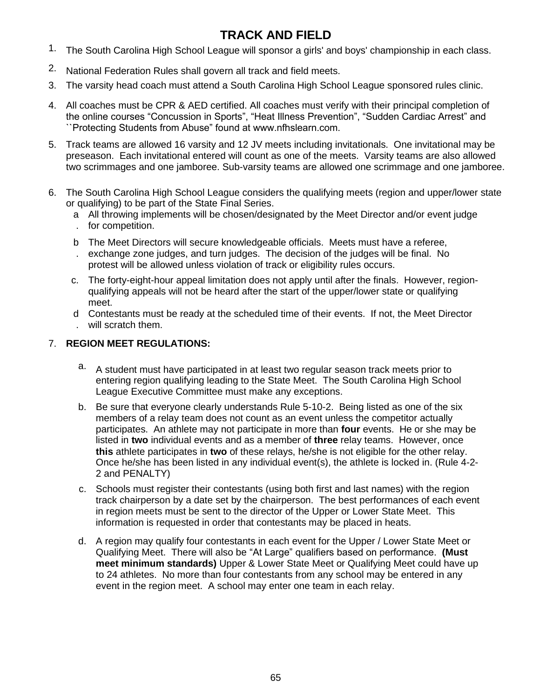# **TRACK AND FIELD**

- 1. The South Carolina High School League will sponsor a girls' and boys' championship in each class.
- 2. National Federation Rules shall govern all track and field meets.
- 3. The varsity head coach must attend a South Carolina High School League sponsored rules clinic.
- 4. All coaches must be CPR & AED certified. All coaches must verify with their principal completion of the online courses "Concussion in Sports", "Heat Illness Prevention", "Sudden Cardiac Arrest" and ``Protecting Students from Abuse" found at www.nfhslearn.com.
- 5. Track teams are allowed 16 varsity and 12 JV meets including invitationals. One invitational may be preseason. Each invitational entered will count as one of the meets. Varsity teams are also allowed two scrimmages and one jamboree. Sub-varsity teams are allowed one scrimmage and one jamboree.
- 6. The South Carolina High School League considers the qualifying meets (region and upper/lower state or qualifying) to be part of the State Final Series.
	- a All throwing implements will be chosen/designated by the Meet Director and/or event judge
	- . for competition.
	- b The Meet Directors will secure knowledgeable officials. Meets must have a referee,
	- . exchange zone judges, and turn judges. The decision of the judges will be final. No protest will be allowed unless violation of track or eligibility rules occurs.
	- c. The forty-eight-hour appeal limitation does not apply until after the finals. However, regionqualifying appeals will not be heard after the start of the upper/lower state or qualifying meet.
	- d Contestants must be ready at the scheduled time of their events. If not, the Meet Director . will scratch them.

# 7. **REGION MEET REGULATIONS:**

- a. A student must have participated in at least two regular season track meets prior to entering region qualifying leading to the State Meet. The South Carolina High School League Executive Committee must make any exceptions.
- b. Be sure that everyone clearly understands Rule 5-10-2. Being listed as one of the six members of a relay team does not count as an event unless the competitor actually participates. An athlete may not participate in more than **four** events. He or she may be listed in **two** individual events and as a member of **three** relay teams. However, once **this** athlete participates in **two** of these relays, he/she is not eligible for the other relay. Once he/she has been listed in any individual event(s), the athlete is locked in. (Rule 4-2- 2 and PENALTY)
- c. Schools must register their contestants (using both first and last names) with the region track chairperson by a date set by the chairperson. The best performances of each event in region meets must be sent to the director of the Upper or Lower State Meet. This information is requested in order that contestants may be placed in heats.
- d. A region may qualify four contestants in each event for the Upper / Lower State Meet or Qualifying Meet. There will also be "At Large" qualifiers based on performance. **(Must meet minimum standards)** Upper & Lower State Meet or Qualifying Meet could have up to 24 athletes. No more than four contestants from any school may be entered in any event in the region meet. A school may enter one team in each relay.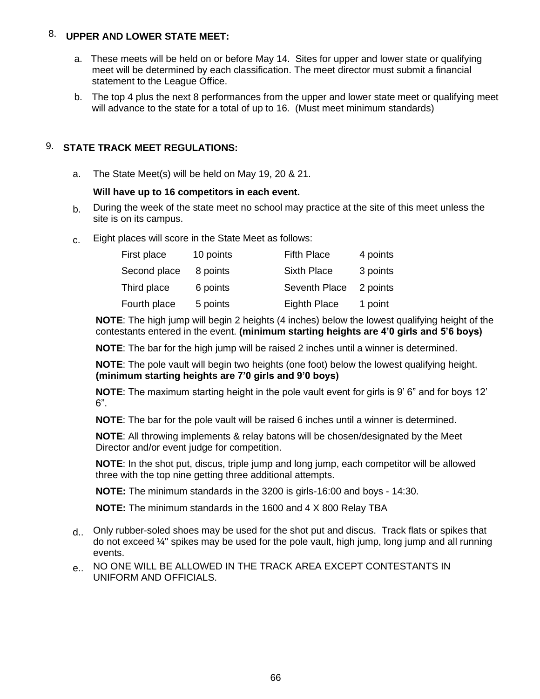# 8. **UPPER AND LOWER STATE MEET:**

- a. These meets will be held on or before May 14. Sites for upper and lower state or qualifying meet will be determined by each classification. The meet director must submit a financial statement to the League Office.
- b. The top 4 plus the next 8 performances from the upper and lower state meet or qualifying meet will advance to the state for a total of up to 16. (Must meet minimum standards)

# 9. **STATE TRACK MEET REGULATIONS:**

a. The State Meet(s) will be held on May 19, 20 & 21.

# **Will have up to 16 competitors in each event.**

- $b<sub>l</sub>$  During the week of the state meet no school may practice at the site of this meet unless the site is on its campus.
- c. Eight places will score in the State Meet as follows:

| First place  | 10 points | <b>Fifth Place</b>  | 4 points |
|--------------|-----------|---------------------|----------|
| Second place | 8 points  | <b>Sixth Place</b>  | 3 points |
| Third place  | 6 points  | Seventh Place       | 2 points |
| Fourth place | 5 points  | <b>Eighth Place</b> | 1 point  |

**NOTE**: The high jump will begin 2 heights (4 inches) below the lowest qualifying height of the contestants entered in the event. **(minimum starting heights are 4'0 girls and 5'6 boys)**

**NOTE**: The bar for the high jump will be raised 2 inches until a winner is determined.

**NOTE**: The pole vault will begin two heights (one foot) below the lowest qualifying height. **(minimum starting heights are 7'0 girls and 9'0 boys)**

**NOTE**: The maximum starting height in the pole vault event for girls is 9' 6" and for boys 12'  $6"$ .

**NOTE**: The bar for the pole vault will be raised 6 inches until a winner is determined.

**NOTE**: All throwing implements & relay batons will be chosen/designated by the Meet Director and/or event judge for competition.

**NOTE**: In the shot put, discus, triple jump and long jump, each competitor will be allowed three with the top nine getting three additional attempts.

**NOTE:** The minimum standards in the 3200 is girls-16:00 and boys - 14:30.

**NOTE:** The minimum standards in the 1600 and 4 X 800 Relay TBA

- d.. Only rubber-soled shoes may be used for the shot put and discus. Track flats or spikes that do not exceed  $\frac{1}{4}$ " spikes may be used for the pole vault, high jump, long jump and all running events.
- e.. NO ONE WILL BE ALLOWED IN THE TRACK AREA EXCEPT CONTESTANTS IN UNIFORM AND OFFICIALS.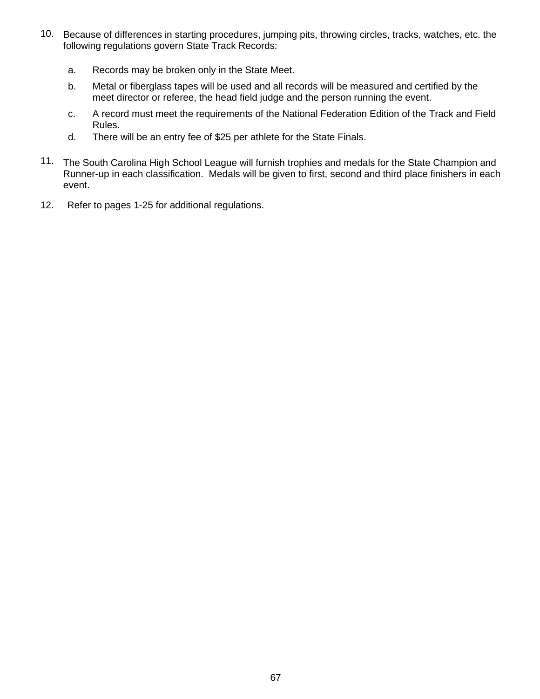- 10. Because of differences in starting procedures, jumping pits, throwing circles, tracks, watches, etc. the following regulations govern State Track Records:
	- a. Records may be broken only in the State Meet.
	- b. Metal or fiberglass tapes will be used and all records will be measured and certified by the meet director or referee, the head field judge and the person running the event.
	- c. A record must meet the requirements of the National Federation Edition of the Track and Field Rules.
	- d. There will be an entry fee of \$25 per athlete for the State Finals.
- 11. The South Carolina High School League will furnish trophies and medals for the State Champion and Runner-up in each classification. Medals will be given to first, second and third place finishers in each event.
- 12. Refer to pages 1-25 for additional regulations.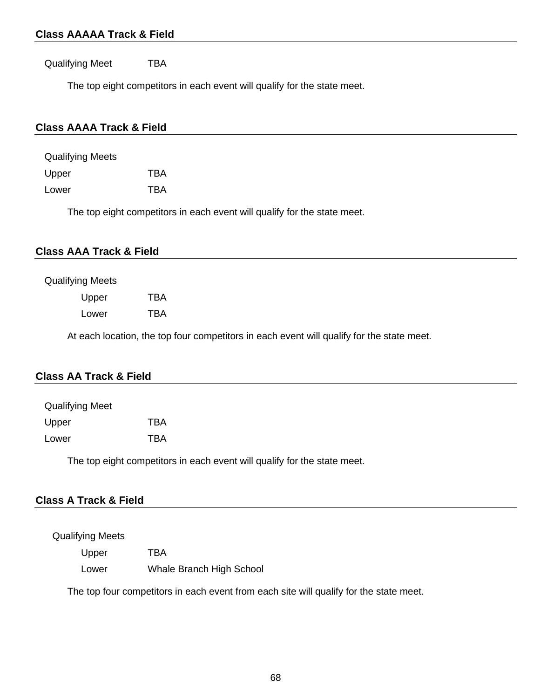# **Class AAAAA Track & Field**

Qualifying Meet TBA

The top eight competitors in each event will qualify for the state meet.

# **Class AAAA Track & Field**

| Qualifying Meets |            |
|------------------|------------|
| Upper            | TRA        |
| Lower            | <b>TBA</b> |

The top eight competitors in each event will qualify for the state meet.

### **Class AAA Track & Field**

#### Qualifying Meets

| Upper | TBA |
|-------|-----|
| Lower | TBA |

At each location, the top four competitors in each event will qualify for the state meet.

### **Class AA Track & Field**

| <b>Qualifying Meet</b> |            |
|------------------------|------------|
| Upper                  | TBA        |
| Lower                  | <b>TBA</b> |

The top eight competitors in each event will qualify for the state meet.

# **Class A Track & Field**

#### Qualifying Meets

Upper TBA

Lower Whale Branch High School

The top four competitors in each event from each site will qualify for the state meet.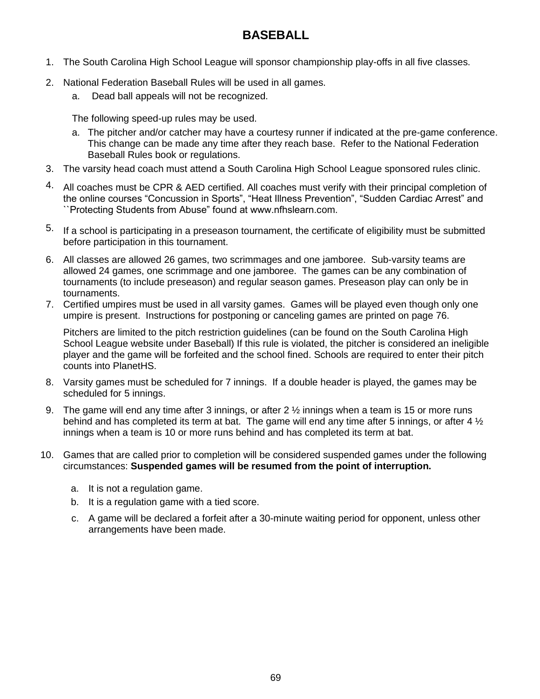# **BASEBALL**

- 1. The South Carolina High School League will sponsor championship play-offs in all five classes.
- 2. National Federation Baseball Rules will be used in all games.
	- a. Dead ball appeals will not be recognized.

The following speed-up rules may be used.

- a. The pitcher and/or catcher may have a courtesy runner if indicated at the pre-game conference. This change can be made any time after they reach base. Refer to the National Federation Baseball Rules book or regulations.
- 3. The varsity head coach must attend a South Carolina High School League sponsored rules clinic.
- 4. All coaches must be CPR & AED certified. All coaches must verify with their principal completion of the online courses "Concussion in Sports", "Heat Illness Prevention", "Sudden Cardiac Arrest" and ``Protecting Students from Abuse" found at www.nfhslearn.com.
- 5. If a school is participating in a preseason tournament, the certificate of eligibility must be submitted before participation in this tournament.
- 6. All classes are allowed 26 games, two scrimmages and one jamboree.Sub-varsity teams are allowed 24 games, one scrimmage and one jamboree. The games can be any combination of tournaments (to include preseason) and regular season games. Preseason play can only be in tournaments.
- 7. Certified umpires must be used in all varsity games. Games will be played even though only one umpire is present. Instructions for postponing or canceling games are printed on page 76.

Pitchers are limited to the pitch restriction guidelines (can be found on the South Carolina High School League website under Baseball) If this rule is violated, the pitcher is considered an ineligible player and the game will be forfeited and the school fined. Schools are required to enter their pitch counts into PlanetHS.

- 8. Varsity games must be scheduled for 7 innings. If a double header is played, the games may be scheduled for 5 innings.
- 9. The game will end any time after 3 innings, or after 2 ½ innings when a team is 15 or more runs behind and has completed its term at bat. The game will end any time after 5 innings, or after 4  $\frac{1}{2}$ innings when a team is 10 or more runs behind and has completed its term at bat.
- 10. Games that are called prior to completion will be considered suspended games under the following circumstances: **Suspended games will be resumed from the point of interruption.**
	- a. It is not a regulation game.
	- b. It is a regulation game with a tied score.
	- c. A game will be declared a forfeit after a 30-minute waiting period for opponent, unless other arrangements have been made.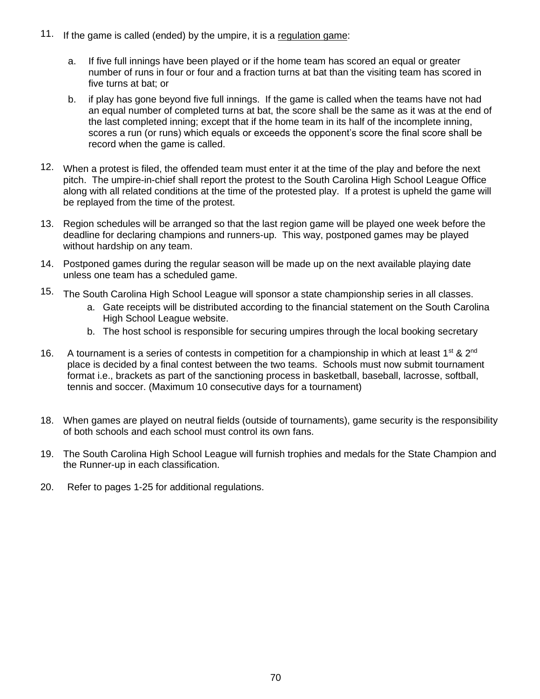- 11. If the game is called (ended) by the umpire, it is a regulation game:
	- a. If five full innings have been played or if the home team has scored an equal or greater number of runs in four or four and a fraction turns at bat than the visiting team has scored in five turns at bat; or
	- b. if play has gone beyond five full innings. If the game is called when the teams have not had an equal number of completed turns at bat, the score shall be the same as it was at the end of the last completed inning; except that if the home team in its half of the incomplete inning, scores a run (or runs) which equals or exceeds the opponent's score the final score shall be record when the game is called.
- 12. When a protest is filed, the offended team must enter it at the time of the play and before the next pitch. The umpire-in-chief shall report the protest to the South Carolina High School League Office along with all related conditions at the time of the protested play. If a protest is upheld the game will be replayed from the time of the protest.
- 13. Region schedules will be arranged so that the last region game will be played one week before the deadline for declaring champions and runners-up. This way, postponed games may be played without hardship on any team.
- 14. Postponed games during the regular season will be made up on the next available playing date unless one team has a scheduled game.
- 15. The South Carolina High School League will sponsor a state championship series in all classes.
	- a. Gate receipts will be distributed according to the financial statement on the South Carolina High School League website.
	- b. The host school is responsible for securing umpires through the local booking secretary
- 16. A tournament is a series of contests in competition for a championship in which at least 1<sup>st</sup> & 2<sup>nd</sup> place is decided by a final contest between the two teams. Schools must now submit tournament format i.e., brackets as part of the sanctioning process in basketball, baseball, lacrosse, softball, tennis and soccer. (Maximum 10 consecutive days for a tournament)
- 18. When games are played on neutral fields (outside of tournaments), game security is the responsibility of both schools and each school must control its own fans.
- 19. The South Carolina High School League will furnish trophies and medals for the State Champion and the Runner-up in each classification.
- 20. Refer to pages 1-25 for additional regulations.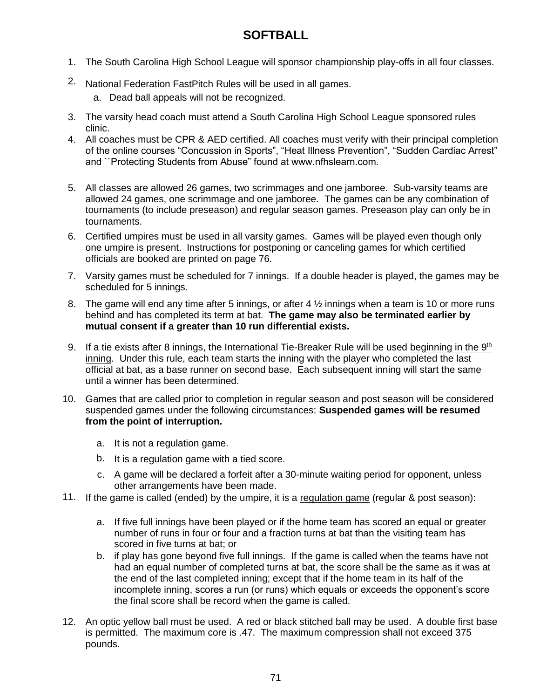# **SOFTBALL**

- 1. The South Carolina High School League will sponsor championship play-offs in all four classes.
- 2. National Federation FastPitch Rules will be used in all games.
	- a. Dead ball appeals will not be recognized.
- 3. The varsity head coach must attend a South Carolina High School League sponsored rules clinic.
- 4. All coaches must be CPR & AED certified. All coaches must verify with their principal completion of the online courses "Concussion in Sports", "Heat Illness Prevention", "Sudden Cardiac Arrest" and ``Protecting Students from Abuse" found at www.nfhslearn.com.
- 5. All classes are allowed 26 games, two scrimmages and one jamboree.Sub-varsity teams are allowed 24 games, one scrimmage and one jamboree. The games can be any combination of tournaments (to include preseason) and regular season games. Preseason play can only be in tournaments.
- 6. Certified umpires must be used in all varsity games. Games will be played even though only one umpire is present. Instructions for postponing or canceling games for which certified officials are booked are printed on page 76.
- 7. Varsity games must be scheduled for 7 innings. If a double header is played, the games may be scheduled for 5 innings.
- 8. The game will end any time after 5 innings, or after 4  $\frac{1}{2}$  innings when a team is 10 or more runs behind and has completed its term at bat. **The game may also be terminated earlier by mutual consent if a greater than 10 run differential exists.**
- 9. If a tie exists after 8 innings, the International Tie-Breaker Rule will be used beginning in the  $9<sup>th</sup>$ inning. Under this rule, each team starts the inning with the player who completed the last official at bat, as a base runner on second base. Each subsequent inning will start the same until a winner has been determined.
- 10. Games that are called prior to completion in regular season and post season will be considered suspended games under the following circumstances: **Suspended games will be resumed from the point of interruption.**
	- a. It is not a regulation game.
	- b. It is a regulation game with a tied score.
	- c. A game will be declared a forfeit after a 30-minute waiting period for opponent, unless other arrangements have been made.
- 11. If the game is called (ended) by the umpire, it is a regulation game (regular & post season):
	- a. If five full innings have been played or if the home team has scored an equal or greater number of runs in four or four and a fraction turns at bat than the visiting team has scored in five turns at bat; or
	- b. if play has gone beyond five full innings. If the game is called when the teams have not had an equal number of completed turns at bat, the score shall be the same as it was at the end of the last completed inning; except that if the home team in its half of the incomplete inning, scores a run (or runs) which equals or exceeds the opponent's score the final score shall be record when the game is called.
- 12. An optic yellow ball must be used. A red or black stitched ball may be used. A double first base is permitted. The maximum core is .47. The maximum compression shall not exceed 375 pounds.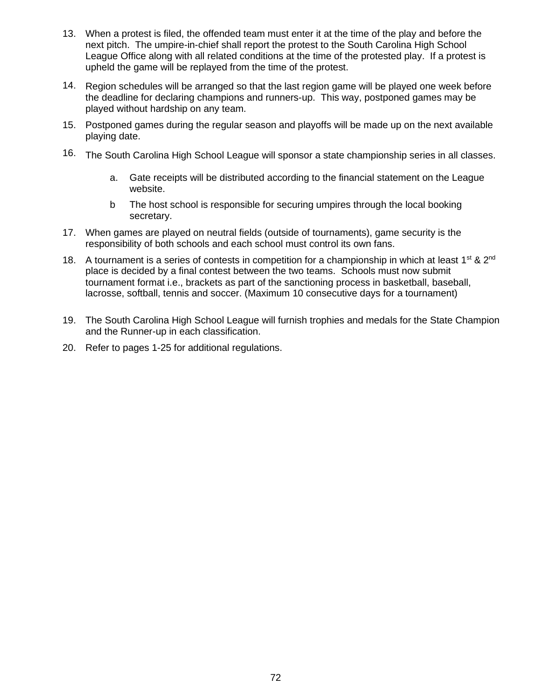- 13. When a protest is filed, the offended team must enter it at the time of the play and before the next pitch. The umpire-in-chief shall report the protest to the South Carolina High School League Office along with all related conditions at the time of the protested play. If a protest is upheld the game will be replayed from the time of the protest.
- 14. Region schedules will be arranged so that the last region game will be played one week before the deadline for declaring champions and runners-up. This way, postponed games may be played without hardship on any team.
- 15. Postponed games during the regular season and playoffs will be made up on the next available playing date.
- 16. The South Carolina High School League will sponsor a state championship series in all classes.
	- a. Gate receipts will be distributed according to the financial statement on the League website.
	- b The host school is responsible for securing umpires through the local booking secretary.
- 17. When games are played on neutral fields (outside of tournaments), game security is the responsibility of both schools and each school must control its own fans.
- 18. A tournament is a series of contests in competition for a championship in which at least 1<sup>st</sup> & 2<sup>nd</sup> place is decided by a final contest between the two teams. Schools must now submit tournament format i.e., brackets as part of the sanctioning process in basketball, baseball, lacrosse, softball, tennis and soccer. (Maximum 10 consecutive days for a tournament)
- 19. The South Carolina High School League will furnish trophies and medals for the State Champion and the Runner-up in each classification.
- 20. Refer to pages 1-25 for additional regulations.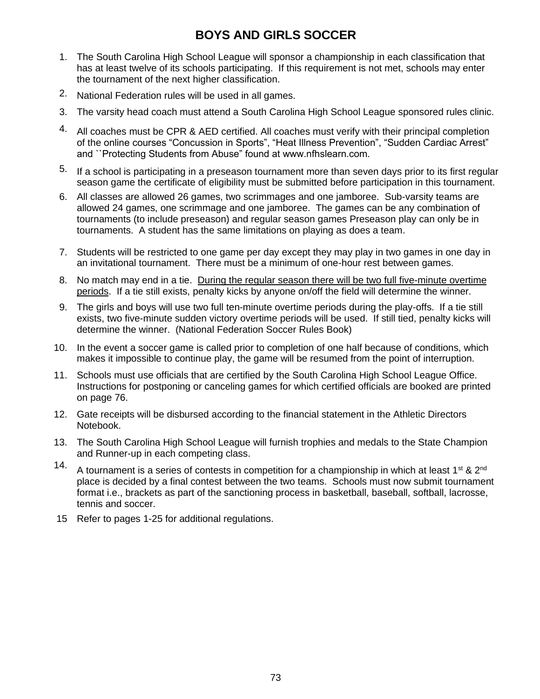## **BOYS AND GIRLS SOCCER**

- 1. The South Carolina High School League will sponsor a championship in each classification that has at least twelve of its schools participating. If this requirement is not met, schools may enter the tournament of the next higher classification.
- 2. National Federation rules will be used in all games.
- 3. The varsity head coach must attend a South Carolina High School League sponsored rules clinic.
- 4. All coaches must be CPR & AED certified. All coaches must verify with their principal completion of the online courses "Concussion in Sports", "Heat Illness Prevention", "Sudden Cardiac Arrest" and ``Protecting Students from Abuse" found at www.nfhslearn.com.
- 5. If a school is participating in a preseason tournament more than seven days prior to its first regular season game the certificate of eligibility must be submitted before participation in this tournament.
- 6. All classes are allowed 26 games, two scrimmages and one jamboree.Sub-varsity teams are allowed 24 games, one scrimmage and one jamboree. The games can be any combination of tournaments (to include preseason) and regular season games Preseason play can only be in tournaments. A student has the same limitations on playing as does a team.
- 7. Students will be restricted to one game per day except they may play in two games in one day in an invitational tournament. There must be a minimum of one-hour rest between games.
- 8. No match may end in a tie. During the regular season there will be two full five-minute overtime periods. If a tie still exists, penalty kicks by anyone on/off the field will determine the winner.
- 9. The girls and boys will use two full ten-minute overtime periods during the play-offs. If a tie still exists, two five-minute sudden victory overtime periods will be used. If still tied, penalty kicks will determine the winner. (National Federation Soccer Rules Book)
- 10. In the event a soccer game is called prior to completion of one half because of conditions, which makes it impossible to continue play, the game will be resumed from the point of interruption.
- 11. Schools must use officials that are certified by the South Carolina High School League Office. Instructions for postponing or canceling games for which certified officials are booked are printed on page 76.
- 12. Gate receipts will be disbursed according to the financial statement in the Athletic Directors Notebook.
- 13. The South Carolina High School League will furnish trophies and medals to the State Champion and Runner-up in each competing class.
- 14. A tournament is a series of contests in competition for a championship in which at least 1<sup>st</sup> & 2<sup>nd</sup> place is decided by a final contest between the two teams. Schools must now submit tournament format i.e., brackets as part of the sanctioning process in basketball, baseball, softball, lacrosse, tennis and soccer.
- 15 Refer to pages 1-25 for additional regulations.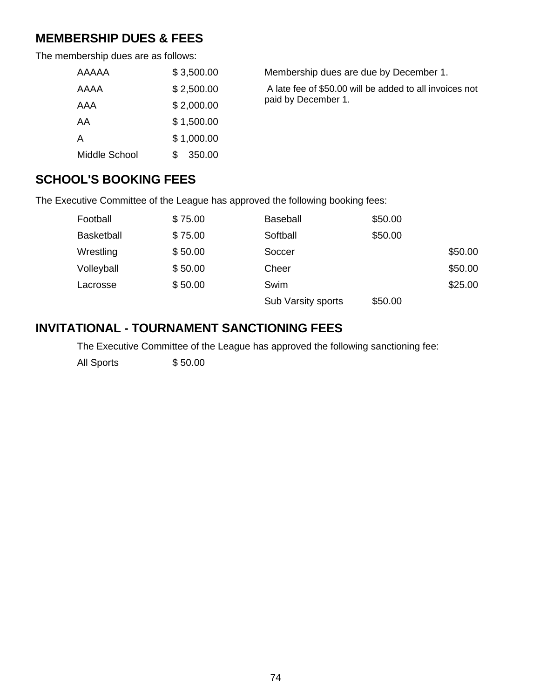## **MEMBERSHIP DUES & FEES**

The membership dues are as follows:

| AAAAA         | \$3,500.00 | Membership dues are due by December 1.                  |
|---------------|------------|---------------------------------------------------------|
| AAAA          | \$2,500.00 | A late fee of \$50.00 will be added to all invoices not |
| AAA           | \$2,000.00 | paid by December 1.                                     |
| AA            | \$1,500.00 |                                                         |
| Α             | \$1,000.00 |                                                         |
| Middle School | 350.00     |                                                         |

### **SCHOOL'S BOOKING FEES**

The Executive Committee of the League has approved the following booking fees:

| Football          | \$75.00 | <b>Baseball</b>    | \$50.00 |         |
|-------------------|---------|--------------------|---------|---------|
| <b>Basketball</b> | \$75.00 | Softball           | \$50.00 |         |
| Wrestling         | \$50.00 | Soccer             |         | \$50.00 |
| Volleyball        | \$50.00 | Cheer              |         | \$50.00 |
| Lacrosse          | \$50.00 | Swim               |         | \$25.00 |
|                   |         | Sub Varsity sports | \$50.00 |         |

## **INVITATIONAL - TOURNAMENT SANCTIONING FEES**

The Executive Committee of the League has approved the following sanctioning fee:

All Sports \$50.00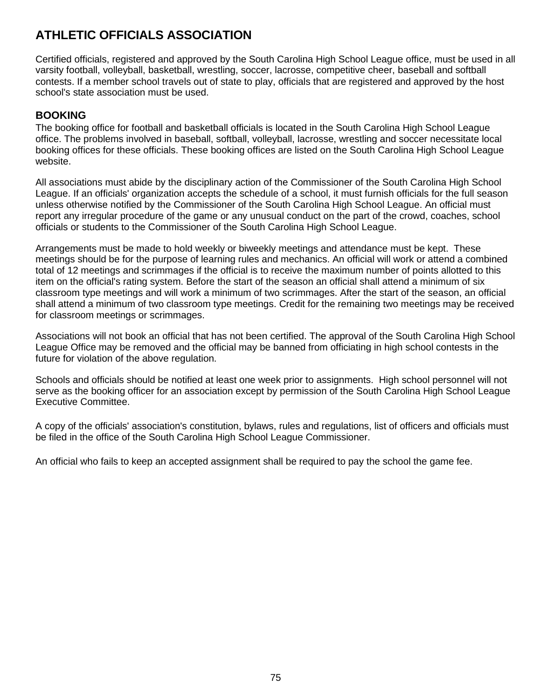# **ATHLETIC OFFICIALS ASSOCIATION**

Certified officials, registered and approved by the South Carolina High School League office, must be used in all varsity football, volleyball, basketball, wrestling, soccer, lacrosse, competitive cheer, baseball and softball contests. If a member school travels out of state to play, officials that are registered and approved by the host school's state association must be used.

### **BOOKING**

The booking office for football and basketball officials is located in the South Carolina High School League office. The problems involved in baseball, softball, volleyball, lacrosse, wrestling and soccer necessitate local booking offices for these officials. These booking offices are listed on the South Carolina High School League website.

All associations must abide by the disciplinary action of the Commissioner of the South Carolina High School League. If an officials' organization accepts the schedule of a school, it must furnish officials for the full season unless otherwise notified by the Commissioner of the South Carolina High School League. An official must report any irregular procedure of the game or any unusual conduct on the part of the crowd, coaches, school officials or students to the Commissioner of the South Carolina High School League.

Arrangements must be made to hold weekly or biweekly meetings and attendance must be kept. These meetings should be for the purpose of learning rules and mechanics. An official will work or attend a combined total of 12 meetings and scrimmages if the official is to receive the maximum number of points allotted to this item on the official's rating system. Before the start of the season an official shall attend a minimum of six classroom type meetings and will work a minimum of two scrimmages. After the start of the season, an official shall attend a minimum of two classroom type meetings. Credit for the remaining two meetings may be received for classroom meetings or scrimmages.

Associations will not book an official that has not been certified. The approval of the South Carolina High School League Office may be removed and the official may be banned from officiating in high school contests in the future for violation of the above regulation.

Schools and officials should be notified at least one week prior to assignments. High school personnel will not serve as the booking officer for an association except by permission of the South Carolina High School League Executive Committee.

A copy of the officials' association's constitution, bylaws, rules and regulations, list of officers and officials must be filed in the office of the South Carolina High School League Commissioner.

An official who fails to keep an accepted assignment shall be required to pay the school the game fee.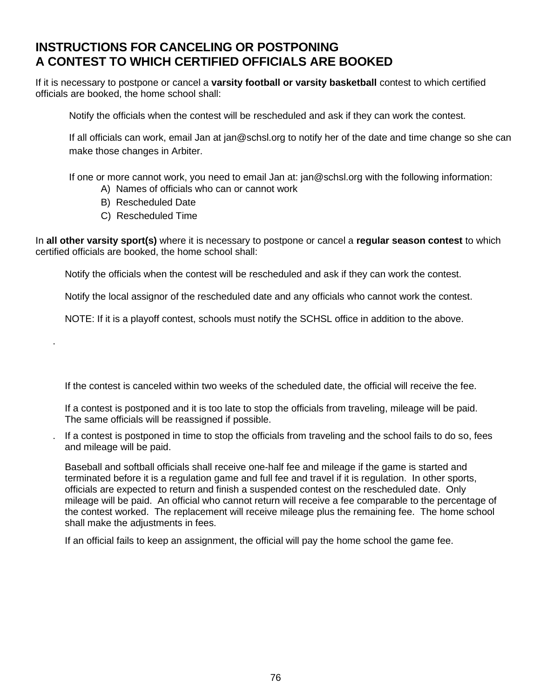## **INSTRUCTIONS FOR CANCELING OR POSTPONING A CONTEST TO WHICH CERTIFIED OFFICIALS ARE BOOKED**

If it is necessary to postpone or cancel a **varsity football or varsity basketball** contest to which certified officials are booked, the home school shall:

Notify the officials when the contest will be rescheduled and ask if they can work the contest.

If all officials can work, email Jan at jan@schsl.org to notify her of the date and time change so she can make those changes in Arbiter.

If one or more cannot work, you need to email Jan at: jan@schsl.org with the following information:

- A) Names of officials who can or cannot work
- B) Rescheduled Date
- C) Rescheduled Time

.

In **all other varsity sport(s)** where it is necessary to postpone or cancel a **regular season contest** to which certified officials are booked, the home school shall:

Notify the officials when the contest will be rescheduled and ask if they can work the contest.

Notify the local assignor of the rescheduled date and any officials who cannot work the contest.

NOTE: If it is a playoff contest, schools must notify the SCHSL office in addition to the above.

If the contest is canceled within two weeks of the scheduled date, the official will receive the fee.

If a contest is postponed and it is too late to stop the officials from traveling, mileage will be paid. The same officials will be reassigned if possible.

. If a contest is postponed in time to stop the officials from traveling and the school fails to do so, fees and mileage will be paid.

Baseball and softball officials shall receive one-half fee and mileage if the game is started and terminated before it is a regulation game and full fee and travel if it is regulation. In other sports, officials are expected to return and finish a suspended contest on the rescheduled date. Only mileage will be paid. An official who cannot return will receive a fee comparable to the percentage of the contest worked. The replacement will receive mileage plus the remaining fee. The home school shall make the adjustments in fees.

If an official fails to keep an assignment, the official will pay the home school the game fee.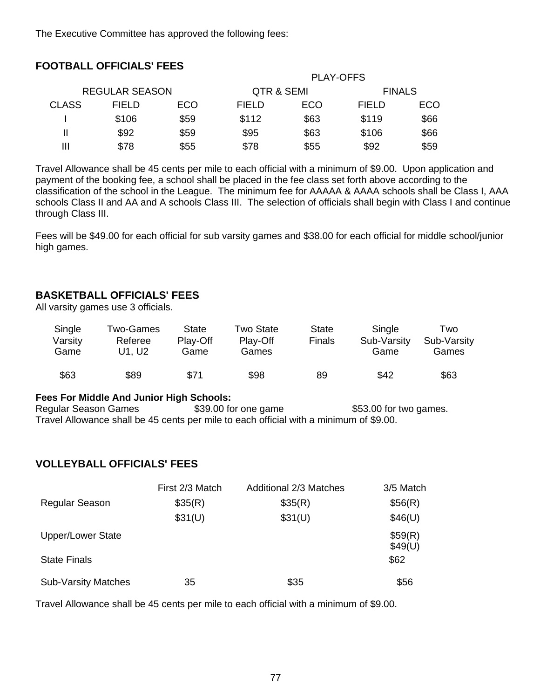The Executive Committee has approved the following fees:

|              |                       |            |              | <b>PLAY-OFFS</b> |               |      |
|--------------|-----------------------|------------|--------------|------------------|---------------|------|
|              | <b>REGULAR SEASON</b> |            | QTR & SEMI   |                  | <b>FINALS</b> |      |
| <b>CLASS</b> | <b>FIELD</b>          | <b>ECO</b> | <b>FIELD</b> | ECO              | <b>FIELD</b>  | ECO  |
|              | \$106                 | \$59       | \$112        | \$63             | \$119         | \$66 |
|              | \$92                  | \$59       | \$95         | \$63             | \$106         | \$66 |
| Ш            | \$78                  | \$55       | \$78         | \$55             | \$92          | \$59 |
|              |                       |            |              |                  |               |      |

Travel Allowance shall be 45 cents per mile to each official with a minimum of \$9.00. Upon application and payment of the booking fee, a school shall be placed in the fee class set forth above according to the classification of the school in the League. The minimum fee for AAAAA & AAAA schools shall be Class I, AAA schools Class II and AA and A schools Class III. The selection of officials shall begin with Class I and continue through Class III.

Fees will be \$49.00 for each official for sub varsity games and \$38.00 for each official for middle school/junior high games.

#### **BASKETBALL OFFICIALS' FEES**

**FOOTBALL OFFICIALS' FEES**

All varsity games use 3 officials.

| Single<br>Varsity<br>Game | Two-Games<br>Referee<br>U1. U2 | State<br>Play-Off<br>Game | Two State<br>Play-Off<br>Games | State<br><b>Finals</b> | Single<br>Sub-Varsity<br>Game | Two<br>Sub-Varsity<br>Games |
|---------------------------|--------------------------------|---------------------------|--------------------------------|------------------------|-------------------------------|-----------------------------|
| \$63                      | \$89                           | \$71                      | \$98                           | 89                     | \$42                          | \$63                        |

#### **Fees For Middle And Junior High Schools:**

Regular Season Games \$39.00 for one game \$53.00 for two games. Travel Allowance shall be 45 cents per mile to each official with a minimum of \$9.00.

#### **VOLLEYBALL OFFICIALS' FEES**

|                            | First 2/3 Match | <b>Additional 2/3 Matches</b> | 3/5 Match          |
|----------------------------|-----------------|-------------------------------|--------------------|
| <b>Regular Season</b>      | \$35(R)         | \$35(R)                       | \$56(R)            |
|                            | \$31(U)         | \$31(U)                       | \$46(U)            |
| <b>Upper/Lower State</b>   |                 |                               | \$59(R)<br>\$49(U) |
| <b>State Finals</b>        |                 |                               | \$62               |
| <b>Sub-Varsity Matches</b> | 35              | \$35                          | \$56               |

Travel Allowance shall be 45 cents per mile to each official with a minimum of \$9.00.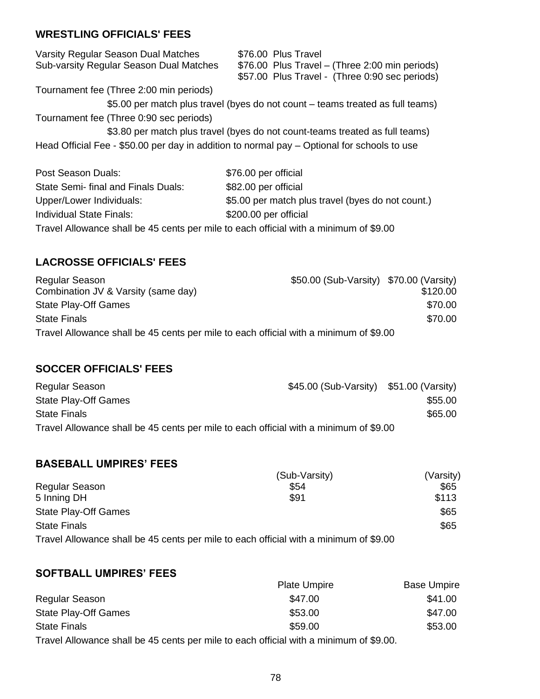### **WRESTLING OFFICIALS' FEES**

| Varsity Regular Season Dual Matches<br>Sub-varsity Regular Season Dual Matches | \$76.00 Plus Travel<br>\$76.00 Plus Travel – (Three 2:00 min periods)                         |
|--------------------------------------------------------------------------------|-----------------------------------------------------------------------------------------------|
|                                                                                | \$57.00 Plus Travel - (Three 0:90 sec periods)                                                |
| Tournament fee (Three 2:00 min periods)                                        |                                                                                               |
|                                                                                | \$5.00 per match plus travel (byes do not count – teams treated as full teams)                |
| Tournament fee (Three 0:90 sec periods)                                        |                                                                                               |
|                                                                                | \$3.80 per match plus travel (byes do not count-teams treated as full teams)                  |
|                                                                                | Head Official Fee - \$50.00 per day in addition to normal pay $-$ Optional for schools to use |
| Post Season Duals:                                                             | \$76.00 per official                                                                          |
| State Semi- final and Finals Duals:                                            | \$82.00 per official                                                                          |
| Upper/Lower Individuals:                                                       | \$5.00 per match plus travel (byes do not count.)                                             |

Travel Allowance shall be 45 cents per mile to each official with a minimum of \$9.00

Individual State Finals: \$200.00 per official

### **LACROSSE OFFICIALS' FEES**

| Regular Season                                                                        | \$50.00 (Sub-Varsity) \$70.00 (Varsity) |          |
|---------------------------------------------------------------------------------------|-----------------------------------------|----------|
| Combination JV & Varsity (same day)                                                   |                                         | \$120.00 |
| <b>State Play-Off Games</b>                                                           |                                         | \$70.00  |
| <b>State Finals</b>                                                                   |                                         | \$70.00  |
| Travel Allowance shall be 45 cents per mile to each official with a minimum of \$9.00 |                                         |          |

### **SOCCER OFFICIALS' FEES**

| Regular Season                                                                        | \$45.00 (Sub-Varsity) \$51.00 (Varsity) |         |
|---------------------------------------------------------------------------------------|-----------------------------------------|---------|
| <b>State Play-Off Games</b>                                                           |                                         | \$55.00 |
| <b>State Finals</b>                                                                   |                                         | \$65.00 |
| Travel Allowance shall be 45 cents per mile to each official with a minimum of \$9.00 |                                         |         |

### **BASEBALL UMPIRES' FEES**

|                             | (Sub-Varsity)                                                                         | (Varsity) |
|-----------------------------|---------------------------------------------------------------------------------------|-----------|
| Regular Season              | \$54                                                                                  | \$65      |
| 5 Inning DH                 | \$91                                                                                  | \$113     |
| <b>State Play-Off Games</b> |                                                                                       | \$65      |
| <b>State Finals</b>         |                                                                                       | \$65      |
|                             | Travel Allowance shall be 45 cents per mile to each official with a minimum of \$9.00 |           |

### **SOFTBALL UMPIRES' FEES**

|                                                                                        | <b>Plate Umpire</b> | <b>Base Umpire</b> |
|----------------------------------------------------------------------------------------|---------------------|--------------------|
| Regular Season                                                                         | \$47.00             | \$41.00            |
| <b>State Play-Off Games</b>                                                            | \$53.00             | \$47.00            |
| <b>State Finals</b>                                                                    | \$59.00             | \$53.00            |
| Travel Allowance shall be 45 cents per mile to each official with a minimum of \$9.00. |                     |                    |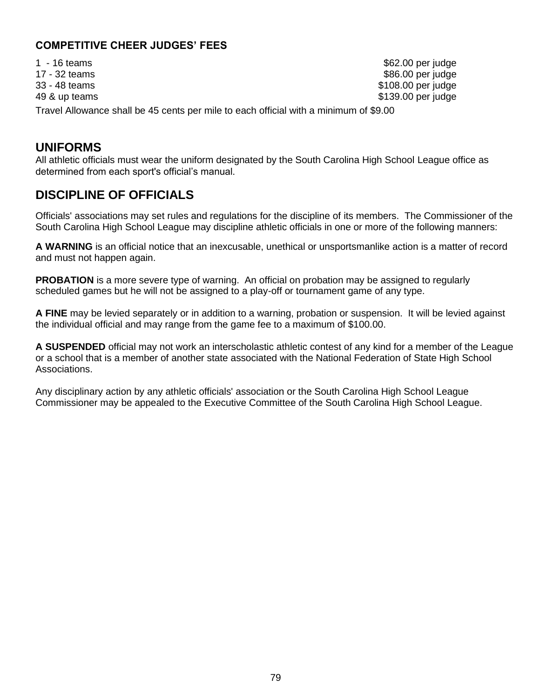### **COMPETITIVE CHEER JUDGES' FEES**

| 1 - 16 teams                                                                          | \$62.00 per judge   |
|---------------------------------------------------------------------------------------|---------------------|
| 17 - 32 teams                                                                         | \$86.00 per judge   |
| 33 - 48 teams                                                                         | \$108.00 per judge  |
| 49 & up teams                                                                         | $$139.00$ per judge |
| Travel Allowance shall be 45 cents per mile to each official with a minimum of \$9.00 |                     |

### **UNIFORMS**

All athletic officials must wear the uniform designated by the South Carolina High School League office as determined from each sport's official's manual.

## **DISCIPLINE OF OFFICIALS**

Officials' associations may set rules and regulations for the discipline of its members. The Commissioner of the South Carolina High School League may discipline athletic officials in one or more of the following manners:

**A WARNING** is an official notice that an inexcusable, unethical or unsportsmanlike action is a matter of record and must not happen again.

**PROBATION** is a more severe type of warning. An official on probation may be assigned to regularly scheduled games but he will not be assigned to a play-off or tournament game of any type.

**A FINE** may be levied separately or in addition to a warning, probation or suspension. It will be levied against the individual official and may range from the game fee to a maximum of \$100.00.

**A SUSPENDED** official may not work an interscholastic athletic contest of any kind for a member of the League or a school that is a member of another state associated with the National Federation of State High School Associations.

Any disciplinary action by any athletic officials' association or the South Carolina High School League Commissioner may be appealed to the Executive Committee of the South Carolina High School League.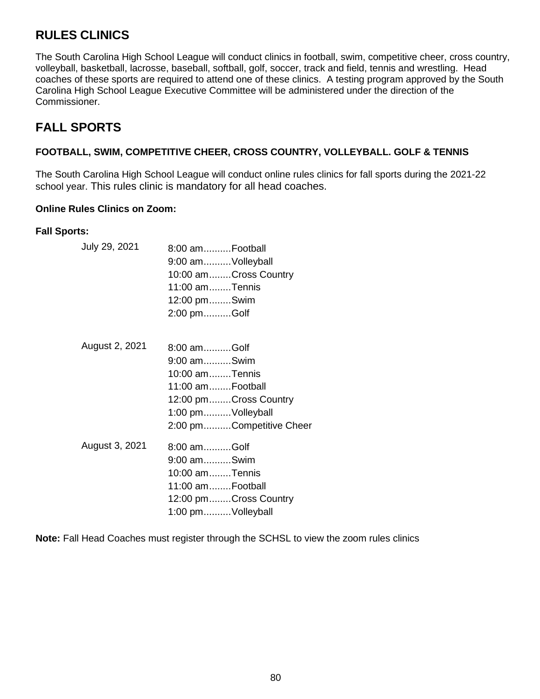## **RULES CLINICS**

The South Carolina High School League will conduct clinics in football, swim, competitive cheer, cross country, volleyball, basketball, lacrosse, baseball, softball, golf, soccer, track and field, tennis and wrestling. Head coaches of these sports are required to attend one of these clinics. A testing program approved by the South Carolina High School League Executive Committee will be administered under the direction of the Commissioner.

# **FALL SPORTS**

#### **FOOTBALL, SWIM, COMPETITIVE CHEER, CROSS COUNTRY, VOLLEYBALL. GOLF & TENNIS**

The South Carolina High School League will conduct online rules clinics for fall sports during the 2021-22 school year. This rules clinic is mandatory for all head coaches.

#### **Online Rules Clinics on Zoom:**

#### **Fall Sports:**

| July 29, 2021  | 8:00 amFootball<br>9:00 amVolleyball<br>10:00 amCross Country<br>11:00 amTennis<br>12:00 pmSwim<br>2:00 pmGolf                             |
|----------------|--------------------------------------------------------------------------------------------------------------------------------------------|
| August 2, 2021 | 8:00 amGolf<br>9:00 amSwim<br>10:00 amTennis<br>11:00 amFootball<br>12:00 pmCross Country<br>1:00 pmVolleyball<br>2:00 pmCompetitive Cheer |
| August 3, 2021 | 8:00 amGolf<br>9:00 amSwim<br>10:00 amTennis<br>11:00 amFootball<br>12:00 pmCross Country<br>1:00 pmVolleyball                             |

**Note:** Fall Head Coaches must register through the SCHSL to view the zoom rules clinics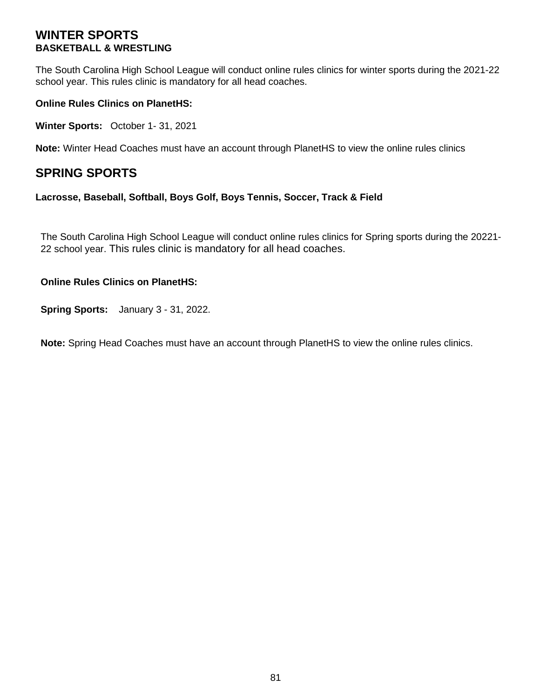### **WINTER SPORTS BASKETBALL & WRESTLING**

The South Carolina High School League will conduct online rules clinics for winter sports during the 2021-22 school year. This rules clinic is mandatory for all head coaches.

#### **Online Rules Clinics on PlanetHS:**

**Winter Sports:** October 1- 31, 2021

**Note:** Winter Head Coaches must have an account through PlanetHS to view the online rules clinics

### **SPRING SPORTS**

#### **Lacrosse, Baseball, Softball, Boys Golf, Boys Tennis, Soccer, Track & Field**

The South Carolina High School League will conduct online rules clinics for Spring sports during the 20221- 22 school year. This rules clinic is mandatory for all head coaches.

#### **Online Rules Clinics on PlanetHS:**

**Spring Sports:** January 3 - 31, 2022.

**Note:** Spring Head Coaches must have an account through PlanetHS to view the online rules clinics.